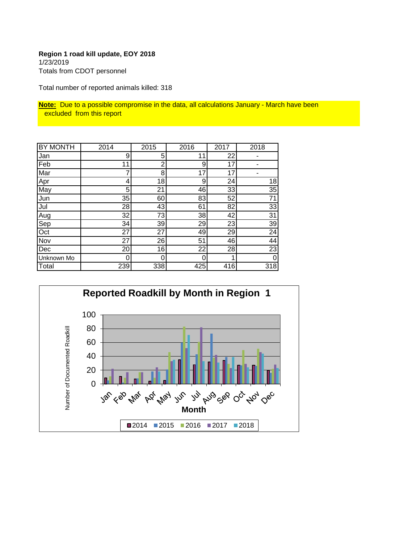# **Region 1 road kill update, EOY 2018** 1/23/2019 Totals from CDOT personnel

Total number of reported animals killed: 318

**Note:** Due to a possible compromise in the data, all calculations January - March have been excluded from this report

| <b>BY MONTH</b> | 2014            | 2015           | 2016 | 2017 | 2018 |
|-----------------|-----------------|----------------|------|------|------|
| Jan             | 9               | 5              | 11   | 22   |      |
| Feb             | 11              | $\overline{2}$ | 9    | 17   |      |
| Mar             | 7               | 8              | 17   | 17   |      |
| Apr             | 4               | 18             | 9    | 24   | 18   |
| May             | 5               | 21             | 46   | 33   | 35   |
| Jun             | 35              | 60             | 83   | 52   | 71   |
| Jul             | 28              | 43             | 61   | 82   | 33   |
| Aug             | 32              | 73             | 38   | 42   | 31   |
| Sep             | 34              | 39             | 29   | 23   | 39   |
| Oct             | 27              | 27             | 49   | 29   | 24   |
| Nov             | 27              | 26             | 51   | 46   | 44   |
| Dec             | 20 <sub>2</sub> | 16             | 22   | 28   | 23   |
| Unknown Mo      | 0               | 0              | 0    |      | 0    |
| Total           | 239             | 338            | 425  | 416  | 318  |

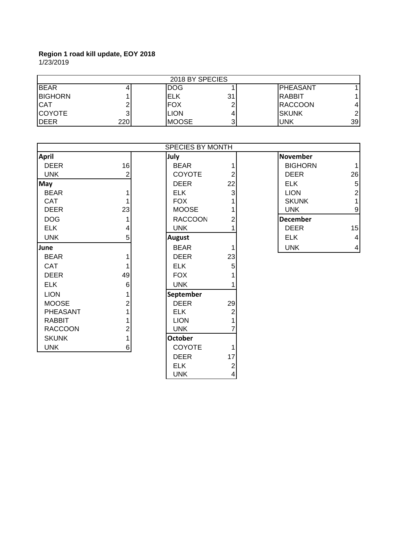1/23/2019

| 2018 BY SPECIES |     |              |    |                  |               |
|-----------------|-----|--------------|----|------------------|---------------|
| <b>IBEAR</b>    |     | <b>IDOG</b>  |    | <b>IPHEASANT</b> |               |
| <b>BIGHORN</b>  |     | ELK          | 31 | IRABBIT          |               |
| <b>CAT</b>      |     | <b>FOX</b>   |    | <b>RACCOON</b>   | 4             |
| <b>COYOTE</b>   |     | <b>LION</b>  |    | ISKUNK           | $\mathcal{D}$ |
| <b>I</b> DEER   | 220 | <b>MOOSE</b> | 2. | <b>UNK</b>       | 39            |

|                |                | SPECIES BY MONTH |    |                 |                |
|----------------|----------------|------------------|----|-----------------|----------------|
| <b>April</b>   |                | July             |    | <b>November</b> |                |
| <b>DEER</b>    | 16             | <b>BEAR</b>      |    | <b>BIGHORN</b>  | $\mathbf{1}$   |
| <b>UNK</b>     | $\overline{2}$ | <b>COYOTE</b>    | 2  | <b>DEER</b>     | 26             |
| May            |                | <b>DEER</b>      | 22 | <b>ELK</b>      | 5              |
| <b>BEAR</b>    |                | <b>ELK</b>       | 3  | <b>LION</b>     | $\overline{2}$ |
| <b>CAT</b>     |                | <b>FOX</b>       |    | <b>SKUNK</b>    | 1              |
| <b>DEER</b>    | 23             | <b>MOOSE</b>     |    | <b>UNK</b>      | 9              |
| <b>DOG</b>     |                | <b>RACCOON</b>   | 2  | <b>December</b> |                |
| <b>ELK</b>     | 4              | <b>UNK</b>       |    | <b>DEER</b>     | 15             |
| <b>UNK</b>     | 5              | <b>August</b>    |    | <b>ELK</b>      | $\overline{4}$ |
| <b>June</b>    |                | <b>BEAR</b>      |    | <b>UNK</b>      | $\overline{4}$ |
| <b>BEAR</b>    |                | <b>DEER</b>      | 23 |                 |                |
| <b>CAT</b>     |                | <b>ELK</b>       | 5  |                 |                |
| <b>DEER</b>    | 49             | <b>FOX</b>       |    |                 |                |
| <b>ELK</b>     | 6              | <b>UNK</b>       |    |                 |                |
| <b>LION</b>    |                | September        |    |                 |                |
| <b>MOOSE</b>   | 2              | <b>DEER</b>      | 29 |                 |                |
| PHEASANT       |                | <b>ELK</b>       | 2  |                 |                |
| <b>RABBIT</b>  |                | <b>LION</b>      |    |                 |                |
| <b>RACCOON</b> | 2              | <b>UNK</b>       |    |                 |                |
| <b>SKUNK</b>   |                | <b>October</b>   |    |                 |                |
| <b>UNK</b>     | $6 \mid$       | COYOTE           |    |                 |                |
|                |                | <b>DEER</b>      | 17 |                 |                |

ELK 2 UNK 4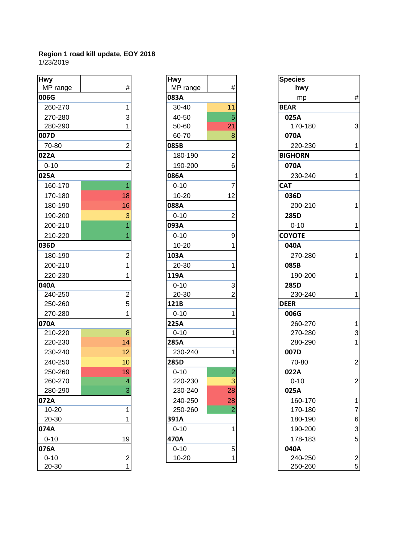| <b>Hwy</b> |                | <b>Hwy</b> |                | <b>Species</b> |                |
|------------|----------------|------------|----------------|----------------|----------------|
| MP range   | $\#$           | MP range   | $\#$           | hwy            |                |
| 006G       |                | 083A       |                | mp             | #              |
| 260-270    | 1              | 30-40      | 11             | <b>BEAR</b>    |                |
| 270-280    | 3              | 40-50      | 5              | 025A           |                |
| 280-290    |                | 50-60      | 21             | 170-180        | 3              |
| 007D       |                | 60-70      | 8              | 070A           |                |
| 70-80      | 2              | 085B       |                | 220-230        | 1              |
| 022A       |                | 180-190    | $\overline{2}$ | <b>BIGHORN</b> |                |
| $0 - 10$   | $\overline{2}$ | 190-200    | 6              | 070A           |                |
| 025A       |                | 086A       |                | 230-240        | 1              |
| 160-170    | 1              | $0 - 10$   | 7              | <b>CAT</b>     |                |
| 170-180    | 18             | $10 - 20$  | 12             | 036D           |                |
| 180-190    | 16             | 088A       |                | 200-210        | 1              |
| 190-200    | 3              | $0 - 10$   | $\overline{2}$ | 285D           |                |
| 200-210    |                | 093A       |                | $0 - 10$       | 1              |
| 210-220    |                | $0 - 10$   | 9              | <b>COYOTE</b>  |                |
| 036D       |                | $10 - 20$  |                | 040A           |                |
| 180-190    | 2              | 103A       |                | 270-280        | 1              |
| 200-210    |                | 20-30      | 1              | 085B           |                |
| 220-230    |                | 119A       |                | 190-200        | 1              |
| 040A       |                | $0 - 10$   | 3              | 285D           |                |
| 240-250    | $\overline{c}$ | $20 - 30$  | 2              | 230-240        | 1              |
| 250-260    | 5              | 121B       |                | <b>DEER</b>    |                |
| 270-280    | 1              | $0 - 10$   | 1              | 006G           |                |
| 070A       |                | 225A       |                | 260-270        | 1              |
| 210-220    | 8              | $0 - 10$   | 1              | 270-280        | 3              |
| 220-230    | 14             | 285A       |                | 280-290        | 1              |
| 230-240    | 12             | 230-240    | 1              | 007D           |                |
| 240-250    | 10             | 285D       |                | 70-80          | $\overline{a}$ |
| 250-260    | 19             | $0 - 10$   | $\overline{c}$ | 022A           |                |
| 260-270    | $\overline{4}$ | 220-230    | $\overline{3}$ | $0 - 10$       | $\overline{a}$ |
| 280-290    | $\overline{3}$ | 230-240    | 28             | 025A           |                |
| 072A       |                | 240-250    | 28             | 160-170        | 1              |
| 10-20      | 1              | 250-260    | $\overline{2}$ | 170-180        | 7              |
| 20-30      |                | 391A       |                | 180-190        | 6              |
| 074A       |                | $0 - 10$   | 1              | 190-200        | 3              |
| $0 - 10$   | 19             | 470A       |                | 178-183        | 5              |
| 076A       |                | $0 - 10$   | 5 <sup>5</sup> | 040A           |                |
| $0 - 10$   | $\frac{2}{1}$  | $10 - 20$  | 1              | 240-250        | $\overline{c}$ |
| $20 - 30$  |                |            |                | 250-260        | 5              |

| <b>Hwy</b> |                |
|------------|----------------|
| MP range   | #              |
| 083A       |                |
| 30-40      | 11             |
| 40-50      | 5              |
| 50-60      | 21             |
| 60-70      | 8              |
| 085B       |                |
| 180-190    | 2              |
| 190-200    | 6              |
| 086A       |                |
| $0 - 10$   | 7              |
| $10 - 20$  | 12             |
| 088A       |                |
| $0 - 10$   | $\overline{c}$ |
| 093A       |                |
| $0 - 10$   | 9              |
| 10-20      | 1              |
| 103A       |                |
| 20-30      | 1              |
| 119A       |                |
| $0 - 10$   | 3              |
| 20-30      | $\overline{c}$ |
| 121B       |                |
| $0 - 10$   | 1              |
| 225A       |                |
| $0 - 10$   | 1              |
| 285A       |                |
| 230-240    | 1              |
| 285D       |                |
| $0 - 10$   | $\overline{2}$ |
| 220-230    | 3              |
| 230-240    | 28             |
| 240-250    | 28             |
| 250-260    |                |
| 391A       |                |
| $0 - 10$   | 1              |
| 470A       |                |
| $0 - 10$   | 5              |
| $10 - 20$  | 1              |

| wy       |                | <b>Hwy</b> |                | <b>Species</b> |                           |
|----------|----------------|------------|----------------|----------------|---------------------------|
| MP range | #              | MP range   | #              | hwy            |                           |
| )6G      |                | 083A       |                | mp             | $\#$                      |
| 260-270  | 1              | 30-40      | 11             | <b>BEAR</b>    |                           |
| 270-280  | 3              | 40-50      | 5              | 025A           |                           |
| 280-290  |                | 50-60      | 21             | 170-180        | $\ensuremath{\mathsf{3}}$ |
| )7D      |                | 60-70      | 8              | 070A           |                           |
| 70-80    | 2              | 085B       |                | 220-230        | $\mathbf{1}$              |
| 22A      |                | 180-190    | 2              | <b>BIGHORN</b> |                           |
| $0 - 10$ | 2              | 190-200    | 6              | 070A           |                           |
| 25A      |                | 086A       |                | 230-240        | $\mathbf{1}$              |
| 160-170  |                | $0 - 10$   |                | <b>CAT</b>     |                           |
| 170-180  | 18             | $10 - 20$  | 12             | 036D           |                           |
| 180-190  | 16             | 088A       |                | 200-210        | 1                         |
| 190-200  |                | $0 - 10$   | $\overline{2}$ | 285D           |                           |
| 200-210  |                | 093A       |                | $0 - 10$       | $\mathbf{1}$              |
| 210-220  |                | $0 - 10$   | 9              | <b>COYOTE</b>  |                           |
| 36D      |                | $10 - 20$  |                | 040A           |                           |
| 180-190  | 2              | 103A       |                | 270-280        | 1                         |
| 200-210  |                | 20-30      |                | 085B           |                           |
| 220-230  |                | 119A       |                | 190-200        | $\mathbf{1}$              |
| 10A      |                | $0 - 10$   | 3              | 285D           |                           |
| 240-250  | 2              | 20-30      |                | 230-240        | 1                         |
| 250-260  | 5              | 121B       |                | <b>DEER</b>    |                           |
| 270-280  |                | $0 - 10$   |                | 006G           |                           |
| 70A      |                | 225A       |                | 260-270        | 1                         |
| 210-220  | 8              | $0 - 10$   |                | 270-280        | 3                         |
| 220-230  | 14             | 285A       |                | 280-290        | $\mathbf{1}$              |
| 230-240  | 12             | 230-240    |                | 007D           |                           |
| 240-250  | 10             | 285D       |                | 70-80          | $\boldsymbol{2}$          |
| 250-260  | 19             | $0 - 10$   | $\overline{2}$ | 022A           |                           |
| 260-270  |                | 220-230    | 3              | $0 - 10$       | $\overline{\mathbf{c}}$   |
| 280-290  | 3              | 230-240    | 28             | 025A           |                           |
| 72A      |                | 240-250    | 28             | 160-170        | $\mathbf{1}$              |
| 10-20    | 1              | 250-260    |                | 170-180        | $\overline{\mathcal{I}}$  |
| 20-30    |                | 391A       |                | 180-190        | 6                         |
| 74A      |                | $0 - 10$   | 1              | 190-200        | 3                         |
| $0 - 10$ | 19             | 470A       |                | 178-183        | 5                         |
| 76A      |                | $0 - 10$   | 5 <sup>5</sup> | 040A           |                           |
| $0 - 10$ | $\overline{2}$ | 10-20      | 1              | 240-250        | $\overline{\mathbf{c}}$   |
| 20-30    |                |            |                | 250-260        | 5                         |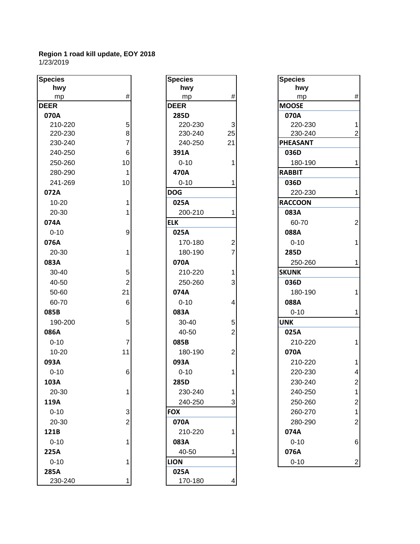| <b>Species</b> |                | <b>Species</b> |                | <b>Species</b>  |                |
|----------------|----------------|----------------|----------------|-----------------|----------------|
| hwy            |                | hwy            |                | hwy             |                |
| mp             | $\#$           | mp             | $\#$           | mp              | #              |
| <b>DEER</b>    |                | <b>DEER</b>    |                | <b>MOOSE</b>    |                |
| 070A           |                | 285D           |                | 070A            |                |
| 210-220        | 5              | 220-230        | 3              | 220-230         | 1              |
| 220-230        | 8              | 230-240        | 25             | 230-240         | $\overline{2}$ |
| 230-240        | 7              | 240-250        | 21             | <b>PHEASANT</b> |                |
| 240-250        | 6              | 391A           |                | 036D            |                |
| 250-260        | 10             | $0 - 10$       |                | 180-190         | 1              |
| 280-290        | 1              | 470A           |                | <b>RABBIT</b>   |                |
| 241-269        | 10             | $0 - 10$       |                | 036D            |                |
| 072A           |                | <b>DOG</b>     |                | 220-230         | 1              |
| $10 - 20$      |                | 025A           |                | <b>RACCOON</b>  |                |
| 20-30          |                | 200-210        |                | 083A            |                |
| 074A           |                | <b>ELK</b>     |                | 60-70           | $\overline{2}$ |
| $0 - 10$       | 9              | 025A           |                | 088A            |                |
| 076A           |                | 170-180        | $\overline{c}$ | $0 - 10$        | 1              |
| 20-30          | 1              | 180-190        | 7              | 285D            |                |
| 083A           |                | 070A           |                | 250-260         | 1              |
| 30-40          | 5              | 210-220        |                | <b>SKUNK</b>    |                |
| 40-50          | $\overline{2}$ | 250-260        | 3              | 036D            |                |
| 50-60          | 21             | 074A           |                | 180-190         | 1              |
| 60-70          | 6              | $0 - 10$       | 4              | 088A            |                |
| 085B           |                | 083A           |                | $0 - 10$        | 1              |
| 190-200        | 5              | 30-40          | 5              | <b>UNK</b>      |                |
| 086A           |                | 40-50          | $\overline{2}$ | 025A            |                |
| $0 - 10$       | 7              | 085B           |                | 210-220         | 1              |
| 10-20          | 11             | 180-190        | 2              | 070A            |                |
| 093A           |                | 093A           |                | 210-220         | 1              |
| $0 - 10$       | 6              | $0 - 10$       |                | 220-230         | 4              |
| 103A           |                | 285D           |                | 230-240         | $\overline{2}$ |
| 20-30          | 1              | 230-240        |                | 240-250         | 1              |
| 119A           |                | 240-250        | 3              | 250-260         | $\overline{c}$ |
| $0 - 10$       | 3              | <b>FOX</b>     |                | 260-270         | 1              |
| 20-30          | 2              | 070A           |                | 280-290         | $\overline{c}$ |
| 121B           |                | 210-220        |                | 074A            |                |
| $0 - 10$       |                | 083A           |                | $0 - 10$        | 6              |
| 225A           |                | 40-50          |                | 076A            |                |
| $0 - 10$       |                | <b>LION</b>    |                | $0 - 10$        | $\overline{c}$ |
| 285A           |                | 025A           |                |                 |                |
| 230-240        |                | 170-180        |                |                 |                |

| cies     |                | <b>Species</b>                     |
|----------|----------------|------------------------------------|
| hwy      |                | hwy                                |
| mp       | #              | #<br>mp                            |
| ΞR       |                | <b>DEER</b>                        |
| 70A      |                | 285D                               |
| 210-220  | 5              | 3<br>220-230                       |
| 220-230  | 8              | 230-240<br>25                      |
| 230-240  | $\overline{7}$ | 21<br>240-250                      |
| 240-250  | 6              | 391A                               |
| 250-260  | 10             | $0 - 10$<br>1                      |
| 280-290  | 1              | 470A                               |
| 241-269  | 10             | $0 - 10$<br>1                      |
| 72A      |                | <b>DOG</b>                         |
| 10-20    | 1              | 025A                               |
| 20-30    | 1              | 200-210<br>1                       |
| 74A      |                | <b>ELK</b>                         |
| $0 - 10$ | 9              | 025A                               |
| 76A      |                | 170-180<br>$\overline{\mathbf{c}}$ |
| 20-30    | 1              | $\overline{7}$<br>180-190          |
| 33A      |                | 070A                               |
| 30-40    | 5              | 210-220<br>1                       |
| 40-50    | $\overline{2}$ | 3<br>250-260                       |
| 50-60    | 21             | 074A                               |
| 60-70    | 6              | 4<br>$0 - 10$                      |
| 35B      |                | 083A                               |
| 190-200  | 5              | 30-40<br>5                         |
| 36A      |                | $\overline{2}$<br>40-50            |
| 0-10     | $\overline{7}$ | 085B                               |
| 10-20    | 11             | $\overline{c}$<br>180-190          |
| 93A      |                | 093A                               |
| $0 - 10$ | 6              | $0 - 10$<br>1                      |
| )3A      |                | 285D                               |
| 20-30    | 1              | 230-240<br>1                       |
| L9A      |                | 3<br>240-250                       |
| 0-10     | 3              | <b>FOX</b>                         |
| 20-30    | $\overline{2}$ | 070A                               |
| 21B      |                | 210-220<br>1                       |
| $0 - 10$ | 1              | 083A                               |
| 25A      |                | 40-50<br>1                         |
| $0 - 10$ | 1              | <b>LION</b>                        |
| 35A      |                | 025A                               |
| 230-240  | 1              | 170-180<br>4                       |

| cies     |                | <b>Species</b> |    | <b>Species</b>  |                         |
|----------|----------------|----------------|----|-----------------|-------------------------|
| hwy      |                | hwy            |    | hwy             |                         |
| mp       | #              | mp             | #  | mp              | $\#$                    |
| ER.      |                | <b>DEER</b>    |    | <b>MOOSE</b>    |                         |
| 70A      |                | 285D           |    | 070A            |                         |
| 210-220  | 5              | 220-230        | 3  | 220-230         |                         |
| 220-230  | 8              | 230-240        | 25 | 230-240         |                         |
| 230-240  | $\overline{7}$ | 240-250        | 21 | <b>PHEASANT</b> |                         |
| 240-250  | 6              | 391A           |    | 036D            |                         |
| 250-260  | 10             | $0 - 10$       |    | 180-190         | $\mathbf{1}$            |
| 280-290  | $\mathbf 1$    | 470A           |    | <b>RABBIT</b>   |                         |
| 241-269  | 10             | $0 - 10$       |    | 036D            |                         |
| 72A      |                | <b>DOG</b>     |    | 220-230         | 1                       |
| 10-20    |                | 025A           |    | <b>RACCOON</b>  |                         |
| 20-30    | 1              | 200-210        |    | 083A            |                         |
| 74A      |                | <b>ELK</b>     |    | 60-70           | $\overline{2}$          |
| $0 - 10$ | 9              | 025A           |    | 088A            |                         |
| 76A      |                | 170-180        | 2  | $0 - 10$        | 1                       |
| 20-30    | 1              | 180-190        |    | 285D            |                         |
| 33A      |                | 070A           |    | 250-260         | 1                       |
| 30-40    | 5              | 210-220        |    | <b>SKUNK</b>    |                         |
| 40-50    | $\overline{2}$ | 250-260        | 3  | 036D            |                         |
| 50-60    | 21             | 074A           |    | 180-190         | $\mathbf{1}$            |
| 60-70    | 6              | $0 - 10$       | 4  | 088A            |                         |
| 35B      |                | 083A           |    | $0 - 10$        | $\mathbf{1}$            |
| 190-200  | 5              | 30-40          | 5  | <b>UNK</b>      |                         |
| 36A      |                | 40-50          | 2  | 025A            |                         |
| $0 - 10$ | $\overline{7}$ | 085B           |    | 210-220         | $\mathbf{1}$            |
| 10-20    | 11             | 180-190        | 2  | 070A            |                         |
| 93A      |                | 093A           |    | 210-220         | 1                       |
| $0 - 10$ | 6              | $0 - 10$       |    | 220-230         | $\overline{\mathbf{4}}$ |
| )3A      |                | 285D           |    | 230-240         | $\mathcal{P}$           |
| 20-30    |                | 230-240        |    | 240-250         | 1                       |
| L9A      |                | 240-250        | 3  | 250-260         | 2                       |
| $0 - 10$ | 3              | <b>FOX</b>     |    | 260-270         |                         |
| 20-30    | 2              | 070A           |    | 280-290         | 2                       |
| 21B      |                | 210-220        |    | 074A            |                         |
| $0 - 10$ |                | 083A           |    | $0 - 10$        | 6                       |
| 25A      |                | 40-50          |    | 076A            |                         |
| $0 - 10$ |                | <b>LION</b>    |    | $0 - 10$        | $\overline{c}$          |
|          |                |                |    |                 |                         |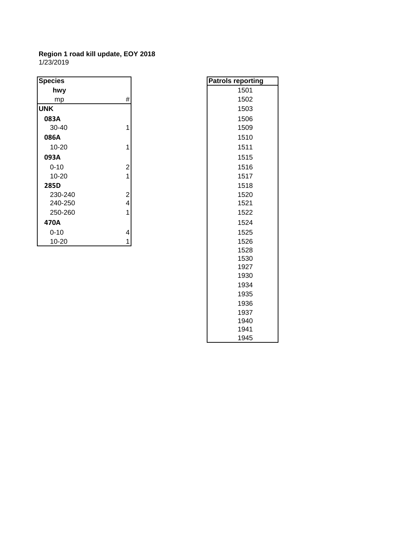| <b>Species</b> |                | <b>Patrols reporting</b> |
|----------------|----------------|--------------------------|
| hwy            |                | 1501                     |
| mp             | #              | 1502                     |
| <b>UNK</b>     |                | 1503                     |
| 083A           |                | 1506                     |
| $30 - 40$      | 1              | 1509                     |
| 086A           |                | 1510                     |
| 10-20          | 1              | 1511                     |
| 093A           |                | 1515                     |
| $0 - 10$       | $\overline{2}$ | 1516                     |
| 10-20          | 1              | 1517                     |
| 285D           |                | 1518                     |
| 230-240        | $\overline{2}$ | 1520                     |
| 240-250        | 4              | 1521                     |
| 250-260        | 1              | 1522                     |
| 470A           |                | 1524                     |
| $0 - 10$       | 4              | 1525                     |
| 10-20          | 1              | 1526                     |
|                |                | 1500                     |

| <sup>9</sup> atrol <u>s reporting</u> |
|---------------------------------------|
| 1501                                  |
| 1502                                  |
| 1503                                  |
| 1506                                  |
| 1509                                  |
| 1510                                  |
| 1511                                  |
| 1515                                  |
| 1516                                  |
| 1517                                  |
| 1518                                  |
| 1520                                  |
| 1521                                  |
| 1522                                  |
| 1524                                  |
| 1525                                  |
| 1526                                  |
| 1528                                  |
| 1530                                  |
| 1927                                  |
| 1930                                  |
| 1934                                  |
| 1935                                  |
| 1936                                  |
| 1937                                  |
| 1940                                  |
| 1941                                  |
| 1945                                  |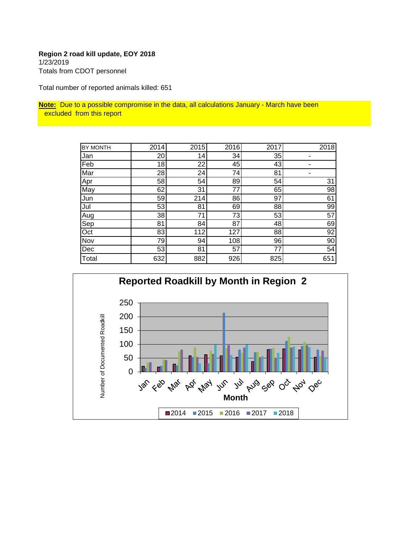# **Region 2 road kill update, EOY 2018** 1/23/2019 Totals from CDOT personnel

Total number of reported animals killed: 651

**Note:** Due to a possible compromise in the data, all calculations January - March have been excluded from this report

| BY MONTH | 2014 | 2015 | 2016 | 2017 | 2018 |
|----------|------|------|------|------|------|
| Jan      | 20   | 14   | 34   | 35   | ۰    |
| Feb      | 18   | 22   | 45   | 43   |      |
| Mar      | 28   | 24   | 74   | 81   |      |
| Apr      | 58   | 54   | 89   | 54   | 31   |
| May      | 62   | 31   | 77   | 65   | 98   |
| Jun      | 59   | 214  | 86   | 97   | 61   |
| Jul      | 53   | 81   | 69   | 88   | 99   |
| Aug      | 38   | 71   | 73   | 53   | 57   |
| Sep      | 81   | 84   | 87   | 48   | 69   |
| Oct      | 83   | 112  | 127  | 88   | 92   |
| Nov      | 79   | 94   | 108  | 96   | 90   |
| Dec      | 53   | 81   | 57   | 77   | 54   |
| Total    | 632  | 882  | 926  | 825  | 651  |

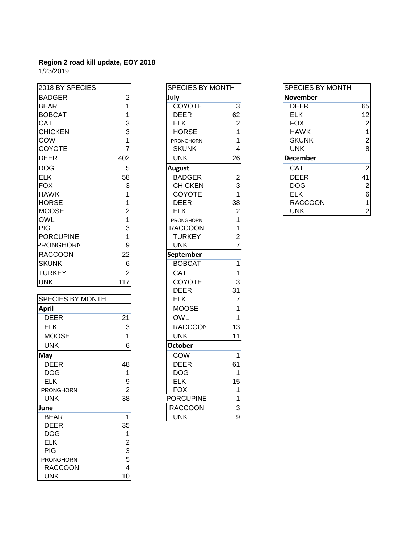| 2018 BY SPECIES  |              | <b>SPECIES BY MONTH</b> |    | SPECIES BY MONTH |                |
|------------------|--------------|-------------------------|----|------------------|----------------|
| <b>BADGER</b>    |              | July                    |    | <b>November</b>  |                |
| <b>BEAR</b>      |              | <b>COYOTE</b>           | 3  | <b>DEER</b>      | 65             |
| <b>BOBCAT</b>    |              | <b>DEER</b>             | 62 | <b>ELK</b>       | 12             |
| <b>CAT</b>       |              | <b>ELK</b>              |    | <b>FOX</b>       | $\overline{2}$ |
| <b>CHICKEN</b>   |              | <b>HORSE</b>            |    | <b>HAWK</b>      |                |
| <b>COW</b>       |              | <b>PRONGHORN</b>        |    | <b>SKUNK</b>     | $\overline{a}$ |
| COYOTE           |              | <b>SKUNK</b>            |    | <b>UNK</b>       | 8              |
| <b>DEER</b>      | 402          | <b>UNK</b>              | 26 | <b>December</b>  |                |
| <b>DOG</b>       | 5            | <b>August</b>           |    | <b>CAT</b>       | $\overline{2}$ |
| <b>ELK</b>       | 58           | <b>BADGER</b>           | 2  | <b>DEER</b>      | 41             |
| <b>FOX</b>       | 3            | <b>CHICKEN</b>          |    | <b>DOG</b>       | $\overline{2}$ |
| <b>HAWK</b>      |              | <b>COYOTE</b>           |    | <b>ELK</b>       | 6              |
| <b>HORSE</b>     |              | <b>DEER</b>             | 38 | <b>RACCOON</b>   |                |
| <b>MOOSE</b>     |              | ELK.                    |    | <b>UNK</b>       | 2              |
| <b>OWL</b>       |              | <b>PRONGHORN</b>        |    |                  |                |
| <b>PIG</b>       |              | <b>RACCOON</b>          |    |                  |                |
| <b>PORCUPINE</b> |              | <b>TURKEY</b>           |    |                  |                |
| <b>PRONGHORN</b> | 9            | <b>UNK</b>              |    |                  |                |
| <b>RACCOON</b>   | 22           | September               |    |                  |                |
| <b>SKUNK</b>     | 6            | <b>BOBCAT</b>           |    |                  |                |
| <b>TURKEY</b>    | $\mathbf{2}$ | <b>CAT</b>              |    |                  |                |

|                         |                | レレレい             | ັບເ |
|-------------------------|----------------|------------------|-----|
| <b>SPECIES BY MONTH</b> |                | <b>ELK</b>       | 7   |
| <b>April</b>            |                | <b>MOOSE</b>     | 1   |
| <b>DEER</b>             | 21             | <b>OWL</b>       | 1   |
| <b>ELK</b>              | 3              | <b>RACCOON</b>   | 13  |
| <b>MOOSE</b>            |                | <b>UNK</b>       | 11  |
| <b>UNK</b>              | 6              | <b>October</b>   |     |
| May                     |                | <b>COW</b>       | 1   |
| <b>DEER</b>             | 48             | <b>DEER</b>      | 61  |
| <b>DOG</b>              | 1              | <b>DOG</b>       | 1   |
| <b>ELK</b>              | 9              | <b>ELK</b>       | 15  |
| <b>PRONGHORN</b>        | $\overline{2}$ | <b>FOX</b>       | 1   |
| <b>UNK</b>              | 38             | <b>PORCUPINE</b> | 1   |
| June                    |                | <b>RACCOON</b>   | 3   |
| <b>BEAR</b>             | 1              | <b>UNK</b>       | 9   |
| <b>DEER</b>             | 35             |                  |     |
| <b>DOG</b>              | 1              |                  |     |
| <b>ELK</b>              | 2              |                  |     |
| <b>PIG</b>              | 3              |                  |     |
| <b>PRONGHORN</b>        | 5              |                  |     |
| <b>RACCOON</b>          | 4              |                  |     |
| <b>UNK</b>              | 10             |                  |     |

| 2018 BY SPECIES         |                 | <b>SPECIES BY MONTH</b> |                |
|-------------------------|-----------------|-------------------------|----------------|
| <b>BADGER</b>           | $\overline{2}$  | July                    |                |
| <b>BEAR</b>             | 1               | COYOTE                  | $\overline{3}$ |
| <b>BOBCAT</b>           | 1               | <b>DEER</b>             | 62             |
| <b>CAT</b>              | 3               | <b>ELK</b>              | $\mathbf{2}$   |
| <b>CHICKEN</b>          | 3               | <b>HORSE</b>            | $\overline{1}$ |
| COW                     | 1               | <b>PRONGHORN</b>        | $\mathbf{1}$   |
| <b>COYOTE</b>           | $\overline{7}$  | <b>SKUNK</b>            | $\overline{4}$ |
| <b>DEER</b>             | 402             | <b>UNK</b>              | 26             |
| <b>DOG</b>              | 5               | <b>August</b>           |                |
| <b>ELK</b>              | 58              | <b>BADGER</b>           | $\frac{2}{3}$  |
| <b>FOX</b>              | 3               | <b>CHICKEN</b>          |                |
| <b>HAWK</b>             | 1               | <b>COYOTE</b>           | $\mathbf{1}$   |
| <b>HORSE</b>            | 1               | <b>DEER</b>             | 38             |
| <b>MOOSE</b>            | $\overline{2}$  | <b>ELK</b>              | $\overline{2}$ |
| <b>OWL</b>              | 1               | <b>PRONGHORN</b>        | $\mathbf{1}$   |
| PIG                     | 3               | <b>RACCOON</b>          | $\mathbf{1}$   |
| <b>PORCUPINE</b>        | 1               | <b>TURKEY</b>           | $\overline{2}$ |
| <b>PRONGHORN</b>        | 9               | <b>UNK</b>              | $\overline{7}$ |
| <b>RACCOON</b>          | 22              | September               |                |
| <b>SKUNK</b>            | 6               | <b>BOBCAT</b>           | $\overline{1}$ |
| <b>TURKEY</b>           | $\overline{2}$  | <b>CAT</b>              | 1              |
| <b>UNK</b>              | 117             | <b>COYOTE</b>           | 3              |
|                         |                 | <b>DEER</b>             | 31             |
| <b>SPECIES BY MONTH</b> |                 | <b>ELK</b>              | $\overline{7}$ |
| <b>April</b>            |                 | <b>MOOSE</b>            | 1              |
| <b>DEER</b>             | $\overline{21}$ | <b>OWL</b>              | 1              |
| <b>ELK</b>              | 3               | <b>RACCOON</b>          | 13             |
| <b>MOOSE</b>            | 1               | <b>UNK</b>              | 11             |
| <b>UNK</b>              | 6               | <b>October</b>          |                |
| May                     |                 | COW                     | 1              |
| <b>DEER</b>             | 48              | <b>DEER</b>             | 61             |
| <b>DOG</b>              | 1               | <b>DOG</b>              | 1              |
| <b>ELK</b>              | 9               | <b>ELK</b>              | 15             |
| <b>PRONGHORN</b>        | $\overline{2}$  | <b>FOX</b>              | $\mathbf{1}$   |
| <b>UNK</b>              | 38              | <b>PORCUPINE</b>        | 1              |
| June                    |                 | <b>RACCOON</b>          | $\overline{3}$ |
| <b>BEAR</b>             | $\overline{1}$  | <b>UNK</b>              | $\mathsf{g}$   |

| SPECIES BY MONTH |                |
|------------------|----------------|
| <b>November</b>  |                |
| DEER             | 65             |
| <b>ELK</b>       | 12             |
| <b>FOX</b>       | $\overline{2}$ |
| HAWK             | $\mathbf{1}$   |
| <b>SKUNK</b>     | $\overline{c}$ |
| UNK              | 8              |
| <b>December</b>  |                |
| CAT              | 2              |
| DEER             | 41             |
| <b>DOG</b>       | $\overline{c}$ |
| ELK              | 6              |
| RACCOON          | 1              |
| UNK              | 2              |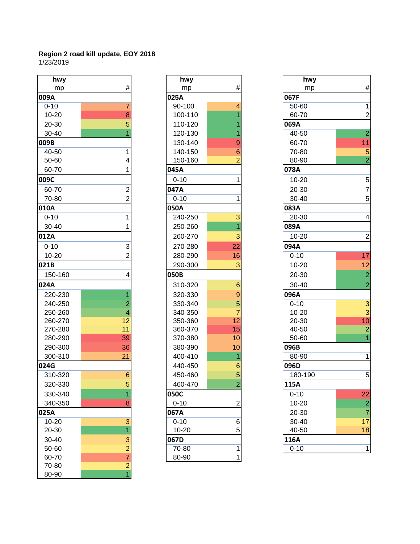| hwy       |                           | hwy       |                | hwy       |                |
|-----------|---------------------------|-----------|----------------|-----------|----------------|
| mp        | $\#$                      | mp        | #              | mp        | #              |
| 009A      |                           | 025A      |                | 067F      |                |
| $0 - 10$  | 7                         | 90-100    |                | 50-60     | 1              |
| $10 - 20$ | 8                         | 100-110   |                | 60-70     | $\overline{a}$ |
| 20-30     | 5                         | 110-120   |                | 069A      |                |
| 30-40     |                           | 120-130   |                | 40-50     | $\overline{2}$ |
| 009B      |                           | 130-140   | 9              | 60-70     | 11             |
| 40-50     | 1                         | 140-150   | 6              | 70-80     | 5              |
| 50-60     | 4                         | 150-160   |                | 80-90     | $\overline{2}$ |
| 60-70     |                           | 045A      |                | 078A      |                |
| 009C      |                           | $0 - 10$  |                | $10 - 20$ | 5              |
| 60-70     | $\overline{c}$            | 047A      |                | 20-30     | $\overline{7}$ |
| 70-80     | $\overline{2}$            | $0 - 10$  | 1              | 30-40     | 5              |
| 010A      |                           | 050A      |                | 083A      |                |
| $0 - 10$  | 1                         | 240-250   | 3              | $20 - 30$ | 4              |
| 30-40     |                           | 250-260   |                | 089A      |                |
| 012A      |                           | 260-270   | 3              | $10 - 20$ | $\overline{2}$ |
| $0 - 10$  | $\ensuremath{\mathsf{3}}$ | 270-280   | 22             | 094A      |                |
| $10 - 20$ | $\overline{2}$            | 280-290   | 16             | $0 - 10$  | 17             |
| 021B      |                           | 290-300   | 3              | $10 - 20$ | 12             |
| 150-160   | 4                         | 050B      |                | 20-30     | $\overline{a}$ |
| 024A      |                           | 310-320   | 6              | $30 - 40$ | $\overline{a}$ |
| 220-230   |                           | 320-330   | $\overline{9}$ | 096A      |                |
| 240-250   | 2                         | 330-340   | 5              | $0 - 10$  | 3              |
| 250-260   | 4                         | 340-350   |                | $10 - 20$ | 3              |
| 260-270   | 12                        | 350-360   | 12             | 20-30     | 10             |
| 270-280   | 11                        | 360-370   | 15             | 40-50     | $\overline{a}$ |
| 280-290   | 39                        | 370-380   | 10             | 50-60     | $\overline{1}$ |
| 290-300   | 36                        | 380-390   | 10             | 096B      |                |
| 300-310   | 21                        | 400-410   |                | 80-90     | 1              |
| 024G      |                           | 440-450   | 6              | 096D      |                |
| 310-320   | $\,6$                     | 450-460   | 5              | 180-190   | 5              |
| 320-330   | $\vert 5 \vert$           | 460-470   | 2              | 115A      |                |
| 330-340   | 1                         | 050C      |                | $0 - 10$  | 22             |
| 340-350   | 8                         | $0 - 10$  | $\overline{2}$ | $10 - 20$ | $\overline{a}$ |
| 025A      |                           | 067A      |                | 20-30     | $\overline{7}$ |
| $10 - 20$ | $\overline{3}$            | $0 - 10$  | 6              | 30-40     | 17             |
| 20-30     | $\overline{1}$            | $10 - 20$ | 5              | 40-50     | 18             |
| 30-40     | $\mathbf{3}$              | 067D      |                | 116A      |                |
| 50-60     |                           | 70-80     | 1              | $0 - 10$  | 1              |
| 60-70     | $\frac{2}{7}$             | 80-90     | 1              |           |                |
| 70-80     | $\frac{2}{1}$             |           |                |           |                |
| 80-90     |                           |           |                |           |                |

| hwy                      |                 | hwy       |                 | hwy       |
|--------------------------|-----------------|-----------|-----------------|-----------|
| mp                       | #               | mp        | #               | mp        |
| V                        |                 | 025A      |                 | 067F      |
| $\overline{0}$           | 7               | 90-100    | 4               | 50-60     |
| $-20$                    | 8               | 100-110   | $\overline{1}$  | 60-70     |
| $-30$                    | 5               | 110-120   | 1               | 069A      |
| -40                      |                 | 120-130   | 1               | 40-50     |
|                          |                 | 130-140   | 9               | 60-70     |
| $-50$                    | 1               | 140-150   | 6               | 70-80     |
| -60                      | 4               | 150-160   | $\overline{2}$  | 80-90     |
| -70                      | 1               | 045A      |                 | 078A      |
|                          |                 | $0 - 10$  | 1               | $10 - 20$ |
| $-70$                    | 2               | 047A      |                 | 20-30     |
| -80                      | $\overline{2}$  | $0 - 10$  | 1               | 30-40     |
| $\overline{\phantom{0}}$ |                 | 050A      |                 | 083A      |
| $\overline{0}$           | 1               | 240-250   | 3               | 20-30     |
| -40                      | 1               | 250-260   | 1               | 089A      |
| V                        |                 | 260-270   | 3               | 10-20     |
| $\overline{0}$           | 3               | 270-280   | 22              | 094A      |
| -20                      | $\overline{2}$  | 280-290   | 16              | $0 - 10$  |
|                          |                 | 290-300   | 3               | $10 - 20$ |
| $0 - 160$                | 4               | 050B      |                 | 20-30     |
|                          |                 | 310-320   | $6\phantom{1}6$ | 30-40     |
| 0-230                    | 1               | 320-330   | $\overline{9}$  | 096A      |
| 0-250                    | $\overline{c}$  | 330-340   | 5               | $0 - 10$  |
| 0-260                    | $\overline{4}$  | 340-350   | $\overline{7}$  | $10 - 20$ |
| 0-270                    | 12              | 350-360   | 12              | 20-30     |
| 0-280                    | 11              | 360-370   | 15              | 40-50     |
| 0-290                    | 39              | 370-380   | 10              | 50-60     |
| 0-300                    | 36              | 380-390   | 10              | 096B      |
| 0-310                    | 21              | 400-410   | 1               | 80-90     |
|                          |                 | 440-450   | 6               | 096D      |
| $0 - 320$                | $6\phantom{1}6$ | 450-460   | 5               | 180-190   |
| 0-330                    | 5               | 460-470   | 2               | 115A      |
| 0-340                    | 1               | 050C      |                 | $0 - 10$  |
| 0-350                    | 8               | $0 - 10$  | $\overline{2}$  | 10-20     |
|                          |                 | 067A      |                 | 20-30     |
| $-20$                    | 3               | $0 - 10$  | 6               | 30-40     |
| -30                      | $\overline{1}$  | $10 - 20$ | 5               | 40-50     |
| -40                      | 3               | 067D      |                 | 116A      |
| -60                      | $\overline{2}$  | 70-80     | 1               | $0 - 10$  |
| .70                      |                 | $80-90$   | 1               |           |

| hwy       |                 |           | hwy     |                  | hwy       |                 |
|-----------|-----------------|-----------|---------|------------------|-----------|-----------------|
| mp        | #               |           | mp      | $\#$             | mp        | $\#$            |
| )9A       |                 | 025A      |         |                  | 067F      |                 |
| $0 - 10$  |                 |           | 90-100  | 4                | 50-60     | $\mathbf{1}$    |
| $10 - 20$ | 8               |           | 100-110 |                  | 60-70     | $\mathbf{2}$    |
| 20-30     | 5               |           | 110-120 |                  | 069A      |                 |
| 30-40     |                 |           | 120-130 |                  | 40-50     | $\overline{2}$  |
| )9B       |                 |           | 130-140 | 9                | 60-70     | 11              |
| 40-50     |                 |           | 140-150 | 6                | 70-80     | $\overline{5}$  |
| 50-60     | 4               |           | 150-160 | 2                | 80-90     | $\overline{2}$  |
| 60-70     |                 | 045A      |         |                  | 078A      |                 |
| )9C       |                 | $0 - 10$  |         | 1                | $10 - 20$ | 5 <sup>1</sup>  |
| 60-70     | 2               | 047A      |         |                  | 20-30     | $\overline{7}$  |
| 70-80     | $\overline{2}$  | $0 - 10$  |         | 1                | 30-40     | 5 <sup>1</sup>  |
| LOA       |                 | 050A      |         |                  | 083A      |                 |
| $0 - 10$  |                 |           | 240-250 | 3                | 20-30     | $\vert 4 \vert$ |
| 30-40     |                 |           | 250-260 |                  | 089A      |                 |
| L2A       |                 |           | 260-270 | 3                | $10 - 20$ | $\mathbf{2}$    |
| $0 - 10$  | 3               |           | 270-280 | 22               | 094A      |                 |
| 10-20     | 2               |           | 280-290 | 16               | $0 - 10$  | 17              |
| 21B       |                 |           | 290-300 | 3                | $10 - 20$ | 12              |
| 150-160   |                 | 050B      |         |                  | 20-30     | $\mathbf{2}$    |
| 24A       |                 |           | 310-320 | $6\phantom{1}6$  | 30-40     | $\overline{2}$  |
| 220-230   |                 |           | 320-330 | $\overline{9}$   | 096A      |                 |
| 240-250   |                 |           | 330-340 | 5                | $0 - 10$  | $\overline{3}$  |
| 250-260   |                 |           | 340-350 | 7                | $10 - 20$ | $\overline{3}$  |
| 260-270   | 12              |           | 350-360 | 12               | 20-30     | 10              |
| 270-280   | 11              |           | 360-370 | 15               | 40-50     | $\mathbf{2}$    |
| 280-290   | 39              |           | 370-380 | 10               | 50-60     | $\overline{1}$  |
| 290-300   | 36              |           | 380-390 | 10               | 096B      |                 |
| 300-310   | 21              |           | 400-410 | 1                | 80-90     | $\mathbf{1}$    |
| 24G       |                 |           | 440-450 | 6                | 096D      |                 |
| 310-320   | $6\phantom{1}6$ |           | 450-460 | 5                | 180-190   | $\overline{5}$  |
| 320-330   | 5               |           | 460-470 | 2                | 115A      |                 |
| 330-340   | 1               | 050C      |         |                  | $0 - 10$  | 22              |
| 340-350   | 8               | $0 - 10$  |         | $\boldsymbol{2}$ | 10-20     | $\mathbf{2}$    |
| 25A       |                 | 067A      |         |                  | 20-30     | $\overline{7}$  |
| 10-20     | 3               | $0 - 10$  |         | 6                | $30 - 40$ | 17              |
| 20-30     | $\overline{1}$  | $10 - 20$ |         | 5                | 40-50     | 18              |
| 30-40     | $\vert 3 \vert$ | 067D      |         |                  | 116A      |                 |
| 50-60     | $\overline{2}$  | 70-80     |         | 1                | $0 - 10$  | $\mathbf{1}$    |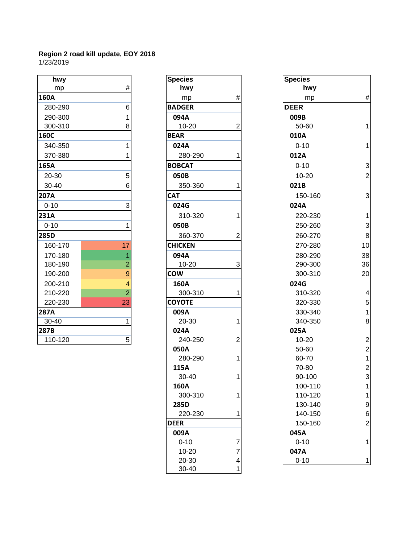| hwy         |                | <b>Species</b> |                | <b>Species</b> |                          |
|-------------|----------------|----------------|----------------|----------------|--------------------------|
| mp          | $\#$           | hwy            |                | hwy            |                          |
| <b>160A</b> |                | mp             | #              | mp             | #                        |
| 280-290     | 6              | <b>BADGER</b>  |                | <b>DEER</b>    |                          |
| 290-300     |                | 094A           |                | 009B           |                          |
| 300-310     | 8              | $10 - 20$      | 2              | 50-60          |                          |
| <b>160C</b> |                | <b>BEAR</b>    |                | 010A           |                          |
| 340-350     |                | 024A           |                | $0 - 10$       | 1                        |
| 370-380     |                | 280-290        |                | 012A           |                          |
| 165A        |                | <b>BOBCAT</b>  |                | $0 - 10$       | 3                        |
| 20-30       | 5              | 050B           |                | $10 - 20$      | $\overline{2}$           |
| 30-40       | 6              | 350-360        |                | 021B           |                          |
| 207A        |                | <b>CAT</b>     |                | 150-160        | 3                        |
| $0 - 10$    | 3              | 024G           |                | 024A           |                          |
| <b>231A</b> |                | 310-320        |                | 220-230        | 1                        |
| $0 - 10$    |                | 050B           |                | 250-260        | 3                        |
| <b>285D</b> |                | 360-370        |                | 260-270        | 8                        |
| 160-170     | 17             | <b>CHICKEN</b> |                | 270-280        | 10                       |
| 170-180     | 1              | 094A           |                | 280-290        | 38                       |
| 180-190     | $\overline{2}$ | $10 - 20$      | 3              | 290-300        | 36                       |
| 190-200     | $\overline{9}$ | <b>COW</b>     |                | 300-310        | 20                       |
| 200-210     | 4              | 160A           |                | 024G           |                          |
| 210-220     | $\overline{2}$ | 300-310        |                | 310-320        | $\overline{\mathcal{A}}$ |
| 220-230     | 23             | <b>COYOTE</b>  |                | 320-330        | 5                        |
| <b>287A</b> |                | 009A           |                | 330-340        | 1                        |
| 30-40       |                | 20-30          |                | 340-350        | 8                        |
| 287B        |                | 024A           |                | 025A           |                          |
| 110-120     | 5 <sup>1</sup> | 240-250        | $\overline{2}$ | $10 - 20$      | $\mathcal{P}$            |

| <b>Species</b> |                     | <b>Specie</b> |
|----------------|---------------------|---------------|
| hwy            |                     | h             |
| mp             | #                   | ľ             |
| <b>BADGER</b>  |                     | <b>DEER</b>   |
| 094A           |                     | 009B          |
| 10-20          | $\overline{c}$      | $50-$         |
| <b>BEAR</b>    |                     | 010A          |
| 024A           |                     | $0 - 1$       |
| 280-290        | 1                   | 012A          |
| <b>BOBCAT</b>  |                     | $0 - 1$       |
| 050B           |                     | $10 - 2$      |
| 350-360        | 1                   | 021B          |
| <b>CAT</b>     |                     | 150           |
| 024G           |                     | 024A          |
| 310-320        | 1                   | 220           |
| 050B           |                     | 250           |
| 360-370        | 2                   | 260           |
| <b>CHICKEN</b> |                     | 270           |
| 094A           |                     | 280           |
| 10-20          | 3                   | 290           |
| <b>COW</b>     |                     | 300           |
| 160A           |                     | 024G          |
| 300-310        | 1                   | 310           |
| <b>COYOTE</b>  |                     | 320           |
| 009A           |                     | 330           |
| 20-30          | 1                   | 340           |
| 024A           |                     | 025A          |
| 240-250        | $\overline{c}$      | $10 - 1$      |
| 050A           |                     | $50-$         |
| 280-290        | 1                   | $60 -$        |
| 115A           |                     | $70-$         |
| 30-40          | 1                   | $90-$         |
| 160A           |                     | 100           |
| 300-310        | 1                   | 110           |
| 285D           |                     | 130           |
| 220-230        | 1                   | 140           |
| <b>DEER</b>    |                     | 150           |
| 009A           |                     | 045A          |
| $0 - 10$       | $\overline{7}$      | $0 - 1$       |
| 10-20          | $\overline{7}$<br>4 | 047A          |
| 20-30<br>30-40 | 1                   | $0 - 1$       |
|                |                     |               |

| hwy      |                | <b>Species</b> |   | <b>Species</b> |                           |
|----------|----------------|----------------|---|----------------|---------------------------|
| mp       | #              | hwy            |   | hwy            |                           |
| 50A      |                | mp             | # | mp             | $\#$                      |
| 280-290  | 6              | <b>BADGER</b>  |   | <b>DEER</b>    |                           |
| 290-300  |                | 094A           |   | 009B           |                           |
| 300-310  | 8              | $10 - 20$      | 2 | 50-60          |                           |
| 50C      |                | <b>BEAR</b>    |   | 010A           |                           |
| 340-350  |                | 024A           |   | $0 - 10$       |                           |
| 370-380  |                | 280-290        |   | 012A           |                           |
| 55A      |                | <b>BOBCAT</b>  |   | $0 - 10$       | 3                         |
| 20-30    | 5              | 050B           |   | 10-20          | $\overline{2}$            |
| 30-40    | 6              | 350-360        |   | 021B           |                           |
| )7A      |                | <b>CAT</b>     |   | 150-160        | 3                         |
| $0 - 10$ | 3              | 024G           |   | 024A           |                           |
| 31A      |                | 310-320        |   | 220-230        |                           |
| $0 - 10$ |                | 050B           |   | 250-260        | $\ensuremath{\mathsf{3}}$ |
| 35D      |                | 360-370        | 2 | 260-270        | 8                         |
| 160-170  | 17             | <b>CHICKEN</b> |   | 270-280        | 10                        |
| 170-180  |                | 094A           |   | 280-290        | 38                        |
| 180-190  | 2              | $10 - 20$      | 3 | 290-300        | 36                        |
| 190-200  | 9              | <b>COW</b>     |   | 300-310        | 20                        |
| 200-210  |                | 160A           |   | 024G           |                           |
| 210-220  | 2              | 300-310        |   | 310-320        | $\overline{\mathbf{4}}$   |
| 220-230  | 23             | <b>COYOTE</b>  |   | 320-330        | 5                         |
| 37A      |                | 009A           |   | 330-340        | 1                         |
| 30-40    |                | 20-30          |   | 340-350        | 8                         |
| 37B      |                | 024A           |   | 025A           |                           |
| 110-120  | 5 <sup>1</sup> | 240-250        | 2 | 10-20          | $\overline{\mathbf{c}}$   |
|          |                | 050A           |   | 50-60          | $\overline{c}$            |
|          |                | 280-290        | 1 | 60-70          | 1                         |
|          |                | 115A           |   | 70-80          | $\overline{\mathbf{c}}$   |
|          |                | 30-40          | 1 | 90-100         | 3                         |
|          |                | 160A           |   | 100-110        |                           |
|          |                | 300-310        | 1 | 110-120        | 1                         |
|          |                | 285D           |   | 130-140        | 9                         |
|          |                | 220-230        |   | 140-150        | $\boldsymbol{6}$          |
|          |                | <b>DEER</b>    |   | 150-160        | $\overline{c}$            |
|          |                | 009A           |   | 045A           |                           |
|          |                | $0 - 10$       | 7 | $0 - 10$       |                           |
|          |                | $10 - 20$      | 7 | 047A           |                           |
|          |                | 20-30          | 4 | $0 - 10$       | 1                         |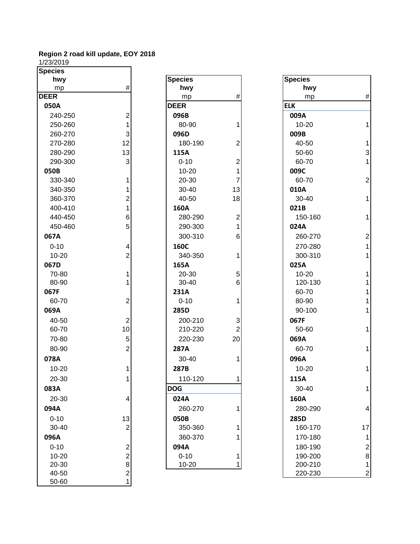1/23/2019

| <b>Species</b> |                |                |                |                |                |
|----------------|----------------|----------------|----------------|----------------|----------------|
| hwy            |                | <b>Species</b> |                | <b>Species</b> |                |
| mp             | #              | hwy            |                | hwy            |                |
| <b>DEER</b>    |                | mp             | #              | mp             | #              |
| 050A           |                | <b>DEER</b>    |                | <b>ELK</b>     |                |
| 240-250        | $\overline{c}$ | 096B           |                | 009A           |                |
| 250-260        | 1              | 80-90          | 1              | $10 - 20$      | 1              |
| 260-270        | 3              | 096D           |                | 009B           |                |
| 270-280        | 12             | 180-190        | 2              | 40-50          | 1              |
| 280-290        | 13             | 115A           |                | 50-60          | 3              |
| 290-300        | 3              | $0 - 10$       | $\overline{2}$ | 60-70          | 1              |
| 050B           |                | $10 - 20$      | 1              | 009C           |                |
| 330-340        | 1              | 20-30          | 7              | 60-70          | $\overline{2}$ |
| 340-350        | 1              | 30-40          | 13             | 010A           |                |
| 360-370        | 2              | 40-50          | 18             | 30-40          | 1              |
| 400-410        | 1              | 160A           |                | 021B           |                |
| 440-450        | 6              | 280-290        | 2              | 150-160        | 1              |
| 450-460        | 5              | 290-300        | 1              | 024A           |                |
| 067A           |                | 300-310        | 6              | 260-270        | $\overline{a}$ |
| $0 - 10$       | 4              | 160C           |                | 270-280        | 1              |
| $10 - 20$      | $\overline{2}$ | 340-350        | 1              | 300-310        | 1              |
| 067D           |                | 165A           |                | 025A           |                |
| 70-80          | 1              | 20-30          | 5              | $10 - 20$      |                |
| 80-90          |                | 30-40          | 6              | 120-130        |                |
| 067F           |                | 231A           |                | 60-70          |                |
| 60-70          | $\overline{c}$ | $0 - 10$       | 1              | 80-90          |                |
| 069A           |                | 285D           |                | 90-100         | 1              |
| 40-50          | $\overline{c}$ | 200-210        | 3              | 067F           |                |
| 60-70          | 10             | 210-220        | $\overline{2}$ | 50-60          | 1              |
| 70-80          | 5              | 220-230        | 20             | 069A           |                |
| 80-90          | $\overline{2}$ | 287A           |                | 60-70          | 1              |
| 078A           |                | 30-40          | 1              | 096A           |                |
| $10 - 20$      | 1              | 287B           |                | 10-20          | 1              |
| 20-30          | 1              | 110-120        | $\mathbf{1}$   | 115A           |                |
| 083A           |                | <b>DOG</b>     |                | 30-40          | 1              |
| 20-30          | 4              | 024A           |                | 160A           |                |
| 094A           |                | 260-270        |                | 280-290        | 4              |
| $0 - 10$       | 13             | 050B           |                | 285D           |                |
| 30-40          | $\overline{2}$ | 350-360        | 1              | 160-170        | 17             |
| 096A           |                | 360-370        |                | 170-180        | 1              |
| $0 - 10$       |                | 094A           |                | 180-190        | $\overline{c}$ |
| $10 - 20$      | $\frac{2}{2}$  | $0 - 10$       | 1              | 190-200        | 8              |
| 20-30          | 8              | 10-20          | 1              | 200-210        | 1              |
| 40-50          | $\overline{c}$ |                |                | 220-230        | $\overline{a}$ |
| 50-60          | $\mathbf 1$    |                |                |                |                |

| <b>Species</b> |                                                       |
|----------------|-------------------------------------------------------|
| hwy            |                                                       |
| mp             | #                                                     |
| <b>DEER</b>    |                                                       |
| 096B           |                                                       |
| 80-90          | 1                                                     |
| 096D           |                                                       |
| 180-190        | $\begin{array}{c} 2 \\ 2 \\ 1 \\ 7 \\ 13 \end{array}$ |
| 115A           |                                                       |
| $0 - 10$       |                                                       |
| 10-20          |                                                       |
| 20-30          |                                                       |
| 30-40          |                                                       |
| 40-50          | 18                                                    |
| 160A           |                                                       |
| 280-290        | $\begin{array}{c} 2 \\ 1 \\ 6 \end{array}$            |
| 290-300        |                                                       |
| 300-310        |                                                       |
| 160C           |                                                       |
| 340-350        | 1                                                     |
| 165A           |                                                       |
| 20-30          | 5<br>6                                                |
| 30-40          |                                                       |
| 231A           |                                                       |
| $0 - 10$       | 1                                                     |
| 285D           |                                                       |
| 200-210        | $\begin{array}{c} 3 \\ 2 \\ 20 \end{array}$           |
| 210-220        |                                                       |
| 220-230        |                                                       |
| 287A           |                                                       |
| 30-40          | 1                                                     |
| 287B           |                                                       |
| 110-120        | 1                                                     |
| <b>DOG</b>     |                                                       |
| 024A           |                                                       |
| 260-270        | 1                                                     |
| 050B           |                                                       |
| 350-360        | 1                                                     |
| 360-370        | 1                                                     |
| 094A           |                                                       |
| $0 - 10$       |                                                       |
| 10-20          |                                                       |
|                |                                                       |

| hwy                     |                                | <b>Species</b> |                | <b>Species</b> |                         |
|-------------------------|--------------------------------|----------------|----------------|----------------|-------------------------|
| mp                      | $\#$                           | hwy            |                | hwy            |                         |
| $\overline{\mathsf{R}}$ |                                | mp             | $\#$           | mp             | $\#$                    |
| 50A                     |                                | <b>DEER</b>    |                | <b>ELK</b>     |                         |
| 240-250                 | $\mathbf{2}$                   | 096B           |                | 009A           |                         |
| 250-260                 |                                | 80-90          | 1              | $10 - 20$      | $\mathbf{1}$            |
| 260-270                 | $\mathbf{3}$                   | 096D           |                | 009B           |                         |
| 270-280                 | 12                             | 180-190        | $\overline{2}$ | 40-50          | 1                       |
| 280-290                 | 13                             | 115A           |                | 50-60          | $\overline{3}$          |
| 290-300                 | $\overline{3}$                 | $0 - 10$       | $\overline{c}$ | 60-70          | $\mathbf{1}$            |
| 50B                     |                                | $10 - 20$      |                | 009C           |                         |
| 330-340                 | 1                              | 20-30          | $\overline{7}$ | 60-70          | $\mathbf{2}$            |
| 340-350                 |                                | 30-40          | 13             | 010A           |                         |
| 360-370                 | 2                              | 40-50          | 18             | 30-40          | $\mathbf{1}$            |
| 400-410                 | 1                              | 160A           |                | 021B           |                         |
| 440-450                 | 6 <sup>1</sup>                 | 280-290        | $\overline{2}$ | 150-160        | 1                       |
| 450-460                 | 5 <sup>1</sup>                 | 290-300        | 1              | 024A           |                         |
| 57A                     |                                | 300-310        | 6              | 260-270        | $\overline{\mathbf{c}}$ |
| $0 - 10$                | 4                              | 160C           |                | 270-280        | $\mathbf 1$             |
| 10-20                   | $\overline{2}$                 | 340-350        | 1              | 300-310        | $\mathbf{1}$            |
| 57D                     |                                | 165A           |                | 025A           |                         |
| 70-80                   |                                | 20-30          | 5              | 10-20          | 1                       |
| 80-90                   |                                | 30-40          | 6              | 120-130        | 1                       |
| 57F                     |                                | 231A           |                | 60-70          | 1                       |
| 60-70                   | $\mathbf{2}$                   | $0 - 10$       | 1              | 80-90          | 1                       |
| 59A                     |                                | 285D           |                | 90-100         | $\mathbf{1}$            |
| 40-50                   | $\overline{2}$                 | 200-210        | 3              | 067F           |                         |
| 60-70                   | 10                             | 210-220        | 2              | 50-60          | 1                       |
| 70-80                   | 5 <sup>1</sup>                 | 220-230        | 20             | 069A           |                         |
| 80-90                   | $\mathbf{2}$                   | 287A           |                | 60-70          | 1                       |
| 78A                     |                                | 30-40          | 1              | 096A           |                         |
| 10-20                   |                                | 287B           |                | $10 - 20$      | $\mathbf{1}$            |
| 20-30                   |                                | 110-120        | 1              | 115A           |                         |
| 33A                     |                                | <b>DOG</b>     |                | 30-40          | 1                       |
| 20-30                   | $\vert 4 \vert$                | 024A           |                | 160A           |                         |
| )4A                     |                                | 260-270        | 1              | 280-290        | 4                       |
| 0-10                    | 13                             | 050B           |                | 285D           |                         |
| 30-40                   | $\overline{2}$                 | 350-360        |                | 160-170        | 17                      |
| )6A                     |                                | 360-370        |                | 170-180        | 1                       |
| $0 - 10$                |                                | 094A           |                | 180-190        | 2                       |
| 10-20                   | $\mathbf{2}$<br>$\overline{2}$ | $0 - 10$       |                | 190-200        | 8                       |
| 20-30                   | $\bf{8}$                       | $10 - 20$      | 1              | 200-210        | 1                       |
| 40-50                   | 2 <sup>1</sup>                 |                |                | 220-230        | $\mathbf 2$             |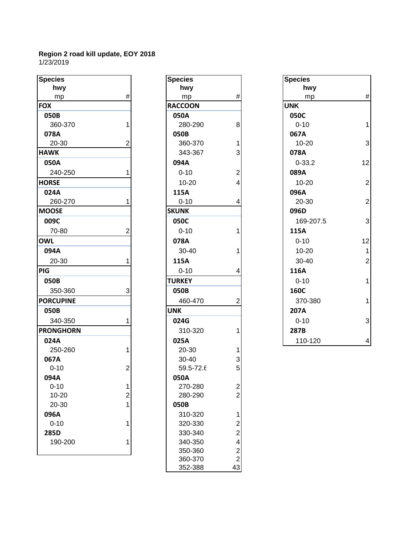| <b>Species</b>   |                         | <b>Species</b> |                          | <b>Species</b> |                |
|------------------|-------------------------|----------------|--------------------------|----------------|----------------|
| hwy              |                         | hwy            |                          | hwy            |                |
| mp               | #                       | mp             | #                        | mp             | #              |
| <b>FOX</b>       |                         | <b>RACCOON</b> |                          | <b>UNK</b>     |                |
| 050B             |                         | 050A           |                          | 050C           |                |
| 360-370          |                         | 280-290        | 8                        | $0 - 10$       | 1              |
| 078A             |                         | 050B           |                          | 067A           |                |
| 20-30            | 2                       | 360-370        | 1                        | $10 - 20$      | 3              |
| <b>HAWK</b>      |                         | 343-367        | 3                        | 078A           |                |
| 050A             |                         | 094A           |                          | $0 - 33.2$     | 12             |
| 240-250          |                         | $0 - 10$       | $\overline{c}$           | 089A           |                |
| <b>HORSE</b>     |                         | $10 - 20$      | 4                        | $10 - 20$      | $\overline{a}$ |
| 024A             |                         | 115A           |                          | 096A           |                |
| 260-270          |                         | $0 - 10$       | 4                        | 20-30          | $\overline{a}$ |
| <b>MOOSE</b>     |                         | <b>SKUNK</b>   |                          | 096D           |                |
| 009C             |                         | 050C           |                          | 169-207.5      | 3              |
| 70-80            | 2                       | $0 - 10$       |                          | 115A           |                |
| <b>OWL</b>       |                         | 078A           |                          | $0 - 10$       | 12             |
| 094A             |                         | 30-40          |                          | $10 - 20$      | $\mathbf 1$    |
| 20-30            |                         | 115A           |                          | 30-40          | $\overline{c}$ |
| PIG              |                         | $0 - 10$       | 4                        | 116A           |                |
| 050B             |                         | <b>TURKEY</b>  |                          | $0 - 10$       | 1              |
| 350-360          | 3                       | 050B           |                          | 160C           |                |
| <b>PORCUPINE</b> |                         | 460-470        | 2                        | 370-380        | 1              |
| 050B             |                         | <b>UNK</b>     |                          | 207A           |                |
| 340-350          |                         | 024G           |                          | $0 - 10$       | 3              |
| <b>PRONGHORN</b> |                         | 310-320        |                          | 287B           |                |
| 024A             |                         | 025A           |                          | 110-120        | 4              |
| 250-260          | 1                       | 20-30          |                          |                |                |
| 067A             |                         | 30-40          | 3                        |                |                |
| $0 - 10$         | 2                       | 59.5-72.6      | 5                        |                |                |
| 094A             |                         | 050A           |                          |                |                |
| $0 - 10$         | 1                       | 270-280        | $\overline{\mathbf{c}}$  |                |                |
| $10 - 20$        | $\overline{\mathbf{c}}$ | 280-290        | $\overline{2}$           |                |                |
| 20-30            | $\overline{1}$          | 050B           |                          |                |                |
| 096A             |                         | 310-320        | 1                        |                |                |
| $0 - 10$         | 1                       | 320-330        | $\overline{\mathbf{c}}$  |                |                |
| 285D             |                         | 330-340        | $\overline{2}$           |                |                |
| 190-200          | 1                       | 340-350        | $\overline{\mathcal{L}}$ |                |                |
|                  |                         | 350-360        | $\overline{2}$           |                |                |

| <b>Species</b> |                                                 |
|----------------|-------------------------------------------------|
| hwy            |                                                 |
| mp             | #                                               |
| <b>RACCOON</b> |                                                 |
| 050A           |                                                 |
| 280-290        | 8                                               |
| 050B           |                                                 |
| 360-370        |                                                 |
| 343-367        |                                                 |
| 094A           | $\begin{array}{c} 1 \\ 3 \\ 2 \\ 4 \end{array}$ |
| $0 - 10$       |                                                 |
| 10-20          |                                                 |
| 115A           |                                                 |
| $0 - 10$       | 4                                               |
| <b>SKUNK</b>   |                                                 |
| 050C           |                                                 |
| $0 - 10$       | 1                                               |
| 078A           |                                                 |
| 30-40          | 1                                               |
| 115A           |                                                 |
| $0 - 10$       | 4                                               |
| <b>TURKEY</b>  |                                                 |
| 050B           |                                                 |
| 460-470        | 2                                               |
| <b>UNK</b>     |                                                 |
| 024G           |                                                 |
| 310-320        | 1                                               |
| 025A           |                                                 |
| 20-30          |                                                 |
| 30-40          |                                                 |
| 59.5-72.6      | $\frac{1}{3}$                                   |
| 050A           |                                                 |
| 270-280        |                                                 |
| 280-290        |                                                 |
| 050B           |                                                 |
| 310-320        | 12242                                           |
| 320-330        |                                                 |
| 330-340        |                                                 |
| 340-350        |                                                 |
| 350-360        |                                                 |
| 360-370        |                                                 |
| 352-388        |                                                 |

|   | hwy            |                | hwy        |                  |
|---|----------------|----------------|------------|------------------|
| # | mp             | #              | mp         | #                |
|   | <b>RACCOON</b> |                | <b>UNK</b> |                  |
|   | 050A           |                | 050C       |                  |
|   | 280-290        | 8              | $0 - 10$   |                  |
|   | 050B           |                | 067A       |                  |
| 2 | 360-370        | 1              | $10 - 20$  | 3                |
|   | 343-367        | 3              | 078A       |                  |
|   | 094A           |                | $0 - 33.2$ | 12               |
|   | $0 - 10$       | $\overline{c}$ | 089A       |                  |
|   | $10 - 20$      | 4              | $10 - 20$  | $\boldsymbol{2}$ |
|   | 115A           |                | 096A       |                  |
|   | $0 - 10$       | 4              | 20-30      | $\mathbf{2}$     |
|   | <b>SKUNK</b>   |                | 096D       |                  |
|   | 050C           |                | 169-207.5  | $\overline{3}$   |
| 2 | $0 - 10$       |                | 115A       |                  |
|   | 078A           |                | $0 - 10$   | 12               |
|   | 30-40          |                | $10 - 20$  | 1                |
|   | 115A           |                | 30-40      | $\overline{2}$   |
|   | $0 - 10$       | 4              | 116A       |                  |
|   | <b>TURKEY</b>  |                | $0 - 10$   | 1                |
| 3 | 050B           |                | 160C       |                  |
|   | 460-470        | 2              | 370-380    |                  |
|   | <b>UNK</b>     |                | 207A       |                  |
|   | 024G           |                | $0 - 10$   | 3                |
|   | 310-320        |                | 287B       |                  |
|   | 025A           |                | 110-120    | $\vert 4 \vert$  |
|   |                | <b>Species</b> |            | <b>Species</b>   |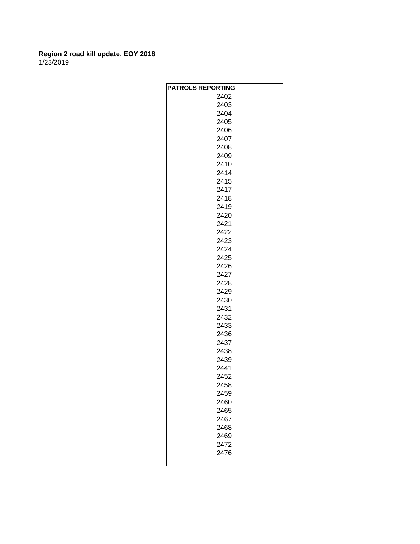| <b>PATROLS REPORTING</b> |  |
|--------------------------|--|
| 2402                     |  |
| 2403                     |  |
| 2404                     |  |
| 2405                     |  |
| 2406                     |  |
| 2407                     |  |
| 2408                     |  |
| 2409                     |  |
| 2410                     |  |
| 2414                     |  |
| 2415                     |  |
| 2417                     |  |
| 2418                     |  |
| 2419                     |  |
| 2420                     |  |
| 2421                     |  |
| 2422                     |  |
| 2423                     |  |
| 2424                     |  |
| 2425                     |  |
| 2426                     |  |
| 2427                     |  |
| 2428                     |  |
| 2429                     |  |
| 2430                     |  |
| 2431                     |  |
| 2432                     |  |
| 2433                     |  |
| 2436                     |  |
| 2437                     |  |
| 2438                     |  |
| 2439                     |  |
| 2441                     |  |
| 2452                     |  |
| 2458                     |  |
| 2459                     |  |
| 2460                     |  |
| 2465                     |  |
| 2467                     |  |
| 2468                     |  |
| 2469                     |  |
| 2472                     |  |
| 2476                     |  |
|                          |  |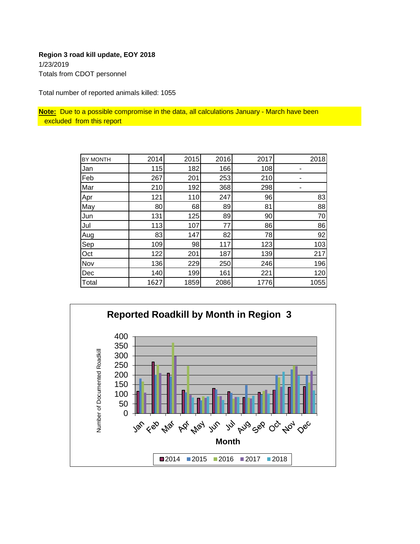# **Region 3 road kill update, EOY 2018** 1/23/2019 Totals from CDOT personnel

Total number of reported animals killed: 1055

**Note:** Due to a possible compromise in the data, all calculations January - March have been excluded from this report

| BY MONTH | 2014 | 2015 | 2016 | 2017 | 2018 |
|----------|------|------|------|------|------|
| Jan      | 115  | 182  | 166  | 108  |      |
| Feb      | 267  | 201  | 253  | 210  |      |
| Mar      | 210  | 192  | 368  | 298  |      |
| Apr      | 121  | 110  | 247  | 96   | 83   |
| May      | 80   | 68   | 89   | 81   | 88   |
| Jun      | 131  | 125  | 89   | 90   | 70   |
| Jul      | 113  | 107  | 77   | 86   | 86   |
| Aug      | 83   | 147  | 82   | 78   | 92   |
| Sep      | 109  | 98   | 117  | 123  | 103  |
| Oct      | 122  | 201  | 187  | 139  | 217  |
| Nov      | 136  | 229  | 250  | 246  | 196  |
| Dec      | 140  | 199  | 161  | 221  | 120  |
| Total    | 1627 | 1859 | 2086 | 1776 | 1055 |

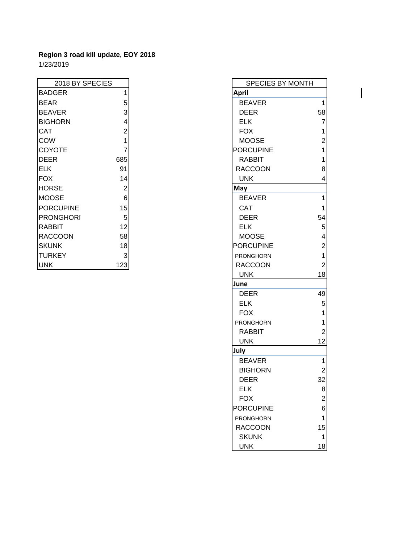$\overline{\phantom{a}}$ 

| 2018 BY SPECIES  |     | <b>SPECIES BY MONTH</b> |                |
|------------------|-----|-------------------------|----------------|
| <b>BADGER</b>    |     | <b>April</b>            |                |
| <b>BEAR</b>      | 5   | <b>BEAVER</b>           | 1              |
| <b>BEAVER</b>    | 3   | <b>DEER</b>             | 58             |
| <b>BIGHORN</b>   | 4   | <b>ELK</b>              | 7              |
| <b>CAT</b>       | 2   | <b>FOX</b>              | 1              |
| <b>COW</b>       |     | <b>MOOSE</b>            | $\overline{2}$ |
| <b>COYOTE</b>    |     | <b>PORCUPINE</b>        | 1              |
| DEER             | 685 | <b>RABBIT</b>           | 1              |
| <b>ELK</b>       | 91  | <b>RACCOON</b>          | 8              |
| <b>FOX</b>       | 14  | <b>UNK</b>              | 4              |
| <b>HORSE</b>     | 2   | May                     |                |
| <b>MOOSE</b>     | 6   | <b>BEAVER</b>           | 1              |
| <b>PORCUPINE</b> | 15  | <b>CAT</b>              | 1              |
| <b>PRONGHORI</b> | 5   | <b>DEER</b>             | 54             |
| <b>RABBIT</b>    | 12  | <b>ELK</b>              | 5              |
| <b>RACCOON</b>   | 58  | <b>MOOSE</b>            | 4              |
| <b>SKUNK</b>     | 18  | <b>PORCUPINE</b>        | $\overline{2}$ |
| <b>TURKEY</b>    | 3   | <b>PRONGHORN</b>        | 1              |
| <b>UNK</b>       | 123 | <b>RACCOON</b>          | $\overline{2}$ |

| 2018 BY SPECIES |                | SPECIES BY MONTH |                |
|-----------------|----------------|------------------|----------------|
| <b>GER</b>      | 1              | <b>April</b>     |                |
| ₹               | 5              | <b>BEAVER</b>    | $\mathbf{1}$   |
| /ER             | 3              | <b>DEER</b>      | 58             |
| <b>ORN</b>      | 4              | <b>ELK</b>       | $\overline{7}$ |
|                 | $\overline{2}$ | <b>FOX</b>       | 1              |
|                 | 1              | <b>MOOSE</b>     | $\overline{c}$ |
| <b>OTE</b>      | $\overline{7}$ | <b>PORCUPINE</b> | 1              |
| \$              | 685            | <b>RABBIT</b>    | 1              |
|                 | 91             | <b>RACCOON</b>   | 8              |
|                 | 14             | <b>UNK</b>       | 4              |
| SE              | $\overline{2}$ | May              |                |
| SE              | $\,6$          | <b>BEAVER</b>    | 1              |
| <b>CUPINE</b>   | 15             | <b>CAT</b>       | 1              |
| <b>NGHORI</b>   | $\overline{5}$ | <b>DEER</b>      | 54             |
| 3IT             | 12             | <b>ELK</b>       | 5              |
| COON            | 58             | <b>MOOSE</b>     | 4              |
| ٩K              | 18             | <b>PORCUPINE</b> | $\overline{c}$ |
| <b>KEY</b>      | $\mathbf{3}$   | PRONGHORN        | 1              |
|                 | 123            | <b>RACCOON</b>   | $\overline{2}$ |
|                 |                | <b>UNK</b>       | 18             |
|                 |                | June             |                |
|                 |                | <b>DEER</b>      | 49             |
|                 |                | <b>ELK</b>       | $\mathbf 5$    |
|                 |                | <b>FOX</b>       | 1              |
|                 |                | PRONGHORN        | 1              |
|                 |                | <b>RABBIT</b>    | $\overline{2}$ |
|                 |                | <b>UNK</b>       | 12             |
|                 |                | July             |                |
|                 |                | <b>BEAVER</b>    | 1              |
|                 |                | <b>BIGHORN</b>   | $\overline{2}$ |
|                 |                | <b>DEER</b>      | 32             |
|                 |                | <b>ELK</b>       | 8              |
|                 |                | <b>FOX</b>       | $\overline{2}$ |
|                 |                | <b>PORCUPINE</b> | 6              |
|                 |                | PRONGHORN        | 1              |
|                 |                | <b>RACCOON</b>   | 15             |
|                 |                | <b>SKUNK</b>     | 1              |
|                 |                | <b>UNK</b>       | 18             |

 $\overline{\phantom{a}}$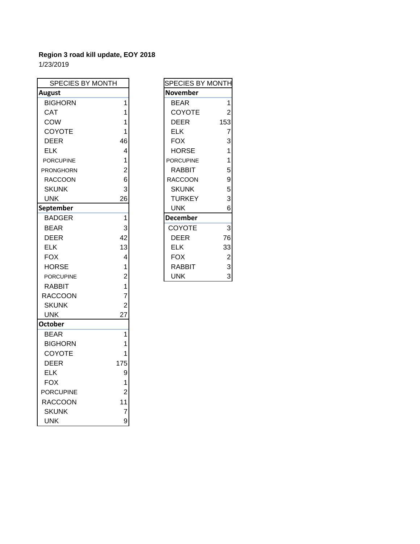| SPECIES BY MONTH |                | SPECIES BY MONTH                   |
|------------------|----------------|------------------------------------|
| <b>August</b>    |                | <b>November</b>                    |
| <b>BIGHORN</b>   | 1              | $\mathbf{1}$<br><b>BEAR</b>        |
| CAT              | 1              | <b>COYOTE</b><br>$\overline{2}$    |
| <b>COW</b>       | 1              | <b>DEER</b><br>153                 |
| COYOTE           | 1              | <b>ELK</b><br>$\overline{7}$       |
| DEER             | 46             | <b>FOX</b><br>3                    |
| <b>ELK</b>       | 4              | $\mathbf{1}$<br><b>HORSE</b>       |
| <b>PORCUPINE</b> | 1              | $\overline{1}$<br><b>PORCUPINE</b> |
| <b>PRONGHORN</b> | $\overline{2}$ | 5<br>RABBIT                        |
| <b>RACCOON</b>   | 6              | 9<br><b>RACCOON</b>                |
| <b>SKUNK</b>     | 3              | 5<br><b>SKUNK</b>                  |
| <b>UNK</b>       | 26             | 3<br><b>TURKEY</b>                 |
| September        |                | <b>UNK</b><br>6                    |
| <b>BADGER</b>    | $\overline{1}$ | <b>December</b>                    |
| <b>BEAR</b>      | 3              | 3<br>COYOTE                        |
| <b>DEER</b>      | 42             | <b>DEER</b><br>76                  |
| <b>ELK</b>       | 13             | <b>ELK</b><br>33                   |
| <b>FOX</b>       | 4              | <b>FOX</b><br>$\overline{c}$       |
| <b>HORSE</b>     | 1              | 3<br><b>RABBIT</b>                 |
| <b>PORCUPINE</b> | $\overline{2}$ | 3<br><b>UNK</b>                    |
| <b>RABBIT</b>    | 1              |                                    |
| <b>RACCOON</b>   | $\overline{7}$ |                                    |
| <b>SKUNK</b>     | $\overline{c}$ |                                    |
| <b>UNK</b>       | 27             |                                    |
| <b>October</b>   |                |                                    |
| <b>BEAR</b>      | 1              |                                    |
| <b>BIGHORN</b>   | 1              |                                    |
| COYOTE           | 1              |                                    |
| <b>DEER</b>      | 175            |                                    |
| <b>ELK</b>       | 9              |                                    |
| <b>FOX</b>       | 1              |                                    |
| <b>PORCUPINE</b> | $\overline{2}$ |                                    |
| <b>RACCOON</b>   | 11             |                                    |
| <b>SKUNK</b>     | $\overline{7}$ |                                    |
| <b>UNK</b>       | 9              |                                    |

| SPECIES BY MONTH |                |
|------------------|----------------|
| November         |                |
| BEAR             | 1              |
| <b>COYOTE</b>    | $\overline{c}$ |
| DEER             | 153            |
| ELK              | 7              |
| FOX              | 3              |
| HORSE            | 1              |
| <b>PORCUPINE</b> | 1              |
| RABBIT           | 5              |
| RACCOON          | 9<br>5         |
| <b>SKUNK</b>     |                |
| TURKEY           | 3              |
| UNK              | 6              |
| <b>December</b>  |                |
| COYOTE           | 3              |
| DEER             | 76             |
| ELK              | 33             |
| FOX              | $\overline{c}$ |
| RABBIT           | 3              |
| UNK              | 3              |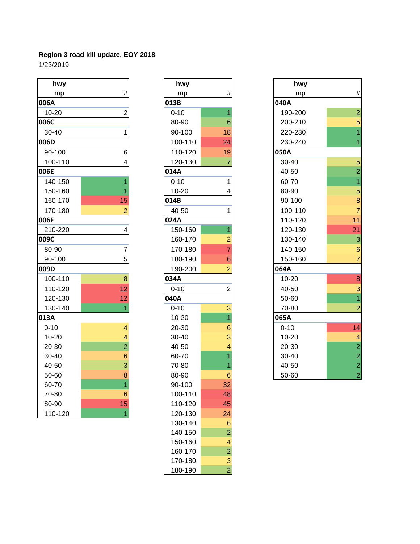| hwy       |                         | hwy       |                 | hwy       |                                            |
|-----------|-------------------------|-----------|-----------------|-----------|--------------------------------------------|
| mp        | $\#$                    | mp        | $\#$            | mp        | #                                          |
| 006A      |                         | 013B      |                 | 040A      |                                            |
| 10-20     | $\overline{2}$          | $0 - 10$  | $\overline{1}$  | 190-200   | $\overline{a}$                             |
| 006C      |                         | 80-90     | $6\phantom{1}6$ | 200-210   | 5                                          |
| 30-40     | 1                       | 90-100    | 18              | 220-230   | 1                                          |
| 006D      |                         | 100-110   | 24              | 230-240   |                                            |
| 90-100    | 6                       | 110-120   | 19              | 050A      |                                            |
| 100-110   | 4                       | 120-130   | $\overline{7}$  | 30-40     | 5                                          |
| 006E      |                         | 014A      |                 | 40-50     | $\overline{a}$                             |
| 140-150   | $\overline{1}$          | $0 - 10$  | 1               | 60-70     | 1                                          |
| 150-160   |                         | $10 - 20$ | 4               | 80-90     | 5                                          |
| 160-170   | 15                      | 014B      |                 | 90-100    | 8                                          |
| 170-180   | $\overline{2}$          | 40-50     | 1               | 100-110   | $\overline{7}$                             |
| 006F      |                         | 024A      |                 | 110-120   | 11                                         |
| 210-220   | $\overline{\mathbf{4}}$ | 150-160   | $\overline{1}$  | 120-130   | 21                                         |
| 009C      |                         | 160-170   | $\overline{2}$  | 130-140   | 3                                          |
| 80-90     | $\overline{7}$          | 170-180   | $\overline{7}$  | 140-150   | 6                                          |
| 90-100    | 5                       | 180-190   | 6               | 150-160   | $\overline{7}$                             |
| 009D      |                         | 190-200   | $\overline{2}$  | 064A      |                                            |
| 100-110   | 8                       | 034A      |                 | $10 - 20$ | 8                                          |
| 110-120   | 12                      | $0 - 10$  | $\overline{c}$  | 40-50     | 3                                          |
| 120-130   | 12                      | 040A      |                 | 50-60     | $\overline{1}$                             |
| 130-140   | 1                       | $0 - 10$  | 3               | 70-80     | $\overline{a}$                             |
| 013A      |                         | $10 - 20$ | $\overline{1}$  | 065A      |                                            |
| $0 - 10$  | $\overline{4}$          | 20-30     | 6               | $0 - 10$  | 14                                         |
| $10 - 20$ | 4                       | 30-40     | 3               | $10 - 20$ | $\overline{\mathcal{A}}$                   |
| 20-30     | $\overline{2}$          | 40-50     | 4               | 20-30     |                                            |
| 30-40     | 6                       | 60-70     | $\overline{1}$  | 30-40     | $\begin{array}{c} 2 \\ 2 \\ 2 \end{array}$ |
| 40-50     | 3                       | 70-80     | 1               | 40-50     |                                            |
| 50-60     | 8                       | 80-90     | $6\phantom{1}6$ | 50-60     | $\overline{a}$                             |
| 60-70     | $\overline{1}$          | 90-100    | 32              |           |                                            |
| 70-80     | 6                       | 100-110   | 48              |           |                                            |
| 80-90     | 15                      | 110-120   | 45              |           |                                            |
| 110-120   | $\overline{1}$          | 120-130   | 24              |           |                                            |

| hwy      |                                       |
|----------|---------------------------------------|
| mp       | #                                     |
| 013B     |                                       |
| $0 - 10$ | 1                                     |
| 80-90    | 6                                     |
| 90-100   | 18                                    |
| 100-110  | $\overline{24}$                       |
| 110-120  | 19                                    |
| 120-130  | 7                                     |
| 014A     |                                       |
| $0 - 10$ | 1                                     |
| 10-20    | 4                                     |
| 014B     |                                       |
| 40-50    | 1                                     |
| 024A     |                                       |
| 150-160  | $\overline{1}$                        |
| 160-170  | $\frac{1}{7}$ $\frac{1}{6}$           |
| 170-180  |                                       |
| 180-190  |                                       |
| 190-200  | $\overline{2}$                        |
| 034A     |                                       |
| $0 - 10$ | $\overline{2}$                        |
| 040A     |                                       |
| $0 - 10$ |                                       |
|          |                                       |
| 10-20    |                                       |
| 20-30    |                                       |
| 30-40    |                                       |
| 40-50    | $\frac{3}{1}$ 6 3 4                   |
| 60-70    |                                       |
| 70-80    | $\begin{array}{c} 1 \\ 1 \end{array}$ |
| 80-90    | 6                                     |
| 90-100   | 32                                    |
| 100-110  | 48                                    |
| 110-120  | 45                                    |
| 120-130  | 24                                    |
| 130-140  | 6                                     |
| 140-150  | $\overline{c}$                        |
| 150-160  |                                       |
| 160-170  |                                       |
| 170-180  | $\frac{4}{2}$ $\frac{3}{2}$           |

| hwy       |                | hwy       |                | hwy       |                         |
|-----------|----------------|-----------|----------------|-----------|-------------------------|
| mp        | #              | mp        | $\#$           | mp        | $\#$                    |
| )6A       |                | 013B      |                | 040A      |                         |
| 10-20     | 2              | $0 - 10$  | 1              | 190-200   | $\overline{2}$          |
| 06C       |                | 80-90     | $6\phantom{1}$ | 200-210   | 5 <sup>1</sup>          |
| 30-40     |                | 90-100    | 18             | 220-230   | $\overline{1}$          |
| 06D       |                | 100-110   | 24             | 230-240   | 1                       |
| 90-100    | 6              | 110-120   | 19             | 050A      |                         |
| 100-110   |                | 120-130   |                | 30-40     | 5 <sup>1</sup>          |
| 06E       |                | 014A      |                | 40-50     | $\mathbf{2}$            |
| 140-150   |                | $0 - 10$  |                | 60-70     | $\overline{1}$          |
| 150-160   |                | $10 - 20$ |                | 80-90     | 5 <sup>1</sup>          |
| 160-170   | 15             | 014B      |                | 90-100    | $\bf{8}$                |
| 170-180   |                | 40-50     |                | 100-110   | $\overline{7}$          |
| 06F       |                | 024A      |                | 110-120   | 11                      |
| 210-220   | 4              | 150-160   |                | 120-130   | 21                      |
| )9C       |                | 160-170   | 2              | 130-140   | $\overline{3}$          |
| 80-90     | 7              | 170-180   |                | 140-150   | $6 \overline{6}$        |
| 90-100    | 5              | 180-190   | 6              | 150-160   | $\overline{7}$          |
| )9D       |                | 190-200   | 2              | 064A      |                         |
| 100-110   | 8              | 034A      |                | $10 - 20$ | $\bf{8}$                |
| 110-120   | 12             | $0 - 10$  | $\overline{2}$ | 40-50     | $\mathbf{3}$            |
| 120-130   | 12             | 040A      |                | 50-60     | $\overline{1}$          |
| 130-140   |                | $0 - 10$  | 3              | 70-80     | $\mathbf{2}$            |
| L3A       |                | $10 - 20$ |                | 065A      |                         |
| $0 - 10$  | 4              | 20-30     | 6              | $0 - 10$  | 14                      |
| $10 - 20$ |                | 30-40     | 3              | $10 - 20$ | $\overline{\mathbf{4}}$ |
| 20-30     | $\overline{2}$ | 40-50     |                | 20-30     | $\overline{2}$          |
| 30-40     | 6              | 60-70     |                | 30-40     | $\overline{2}$          |
| 40-50     | 3              | 70-80     |                | 40-50     | $\mathbf{z}$            |
| 50-60     | 8 <sup>1</sup> | 80-90     | $6 \,$         | 50-60     | $\overline{2}$          |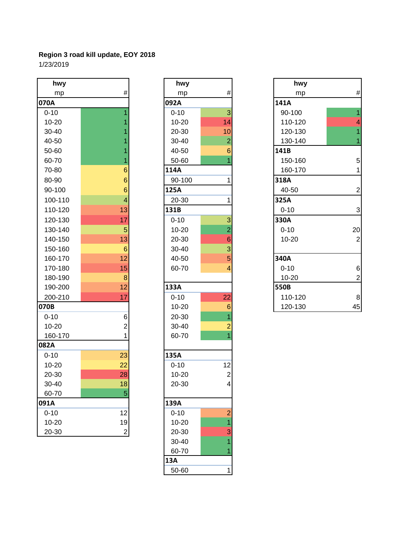| hwy       |                          | hwy       |                         | hwy       |                         |
|-----------|--------------------------|-----------|-------------------------|-----------|-------------------------|
| mp        | $\#$                     | mp        | $\#$                    | mp        | #                       |
| 070A      |                          | 092A      |                         | 141A      |                         |
| $0 - 10$  | $\overline{1}$           | $0 - 10$  | 3                       | 90-100    | $\overline{1}$          |
| $10 - 20$ | 1                        | $10 - 20$ | 14                      | 110-120   | 4                       |
| 30-40     |                          | 20-30     | 10                      | 120-130   | 1                       |
| 40-50     |                          | 30-40     | $\overline{c}$          | 130-140   | 1                       |
| 50-60     |                          | 40-50     | $6\phantom{1}$          | 141B      |                         |
| 60-70     | 1                        | 50-60     | $\overline{1}$          | 150-160   | 5                       |
| 70-80     | $6\phantom{1}6$          | 114A      |                         | 160-170   | 1                       |
| 80-90     | $6\phantom{1}6$          | 90-100    | $\mathbf 1$             | 318A      |                         |
| 90-100    | $6\phantom{1}6$          | 125A      |                         | 40-50     | $\overline{\mathbf{c}}$ |
| 100-110   | $\overline{\mathcal{A}}$ | 20-30     | $\mathbf{1}$            | 325A      |                         |
| 110-120   | 13                       | 131B      |                         | $0 - 10$  | 3                       |
| 120-130   | 17                       | $0 - 10$  | 3                       | 330A      |                         |
| 130-140   | 5                        | $10 - 20$ | $\overline{2}$          | $0 - 10$  | 20                      |
| 140-150   | 13                       | 20-30     | $\boldsymbol{6}$        | $10 - 20$ | $\overline{a}$          |
| 150-160   | $\boldsymbol{6}$         | 30-40     | 3                       |           |                         |
| 160-170   | 12                       | 40-50     | 5                       | 340A      |                         |
| 170-180   | 15                       | 60-70     | 4                       | $0 - 10$  | 6                       |
| 180-190   | $\bf 8$                  |           |                         | $10 - 20$ | $\overline{c}$          |
| 190-200   | 12                       | 133A      |                         | 550B      |                         |
| 200-210   | 17                       | $0 - 10$  | 22                      | 110-120   | 8                       |
| 070B      |                          | $10 - 20$ | $\,$ 6 $\,$             | 120-130   | 45                      |
| $0 - 10$  | $\mathbf 6$              | 20-30     | $\overline{1}$          |           |                         |
| $10 - 20$ | $\overline{c}$           | 30-40     | $\overline{2}$          |           |                         |
| 160-170   | 1                        | 60-70     | $\overline{1}$          |           |                         |
| 082A      |                          |           |                         |           |                         |
| $0 - 10$  | 23                       | 135A      |                         |           |                         |
| $10 - 20$ | 22                       | $0 - 10$  | 12                      |           |                         |
| 20-30     | 28                       | $10 - 20$ | $\overline{\mathbf{c}}$ |           |                         |
| 30-40     | 18                       | 20-30     | 4                       |           |                         |
| 60-70     | 5                        |           |                         |           |                         |
| 091A      |                          | 139A      |                         |           |                         |
| $0 - 10$  | 12                       | $0 - 10$  | $\frac{2}{1}$           |           |                         |
| $10 - 20$ | 19                       | $10 - 20$ |                         |           |                         |
| 20-30     | $\mathbf{2}$             | 20-30     | 3                       |           |                         |

| hwy       |                                                   |
|-----------|---------------------------------------------------|
| mp        | #                                                 |
| 092A      |                                                   |
| $0 - 10$  | 3                                                 |
| $10 - 20$ | 14                                                |
| 20-30     | 10                                                |
| 30-40     | $\overline{2}$                                    |
| 40-50     | 6                                                 |
| 50-60     | $\overline{1}$                                    |
| 114A      |                                                   |
| 90-100    | 1                                                 |
| 125A      |                                                   |
| 20-30     | 1                                                 |
| 131B      |                                                   |
| $0 - 10$  |                                                   |
| $10 - 20$ |                                                   |
| 20-30     |                                                   |
| 30-40     |                                                   |
| 40-50     | $3\overline{)2}6\overline{)3}5\overline{4}$       |
| 60-70     |                                                   |
| 133A      |                                                   |
| $0 - 10$  | 22                                                |
| 10-20     |                                                   |
| 20-30     | $\begin{array}{c}\n6 \\ 1 \\ 2 \\ 1\n\end{array}$ |
| 30-40     |                                                   |
| 60-70     |                                                   |
| 135A      |                                                   |
| $0 - 10$  | 12                                                |
| 10-20     | $\overline{\mathbf{c}}$                           |
| 20-30     | 4                                                 |
| 139A      |                                                   |
| $0 - 10$  | $\overline{2}$                                    |
| $10 - 20$ |                                                   |
| 20-30     | $\frac{1}{3}$                                     |
| 30-40     | 1                                                 |
| 60-70     | $\overline{1}$                                    |
| 13A       |                                                   |
| 50-60     | 1                                                 |

| hwy       |                 | hwy       |                 | hwy       |                         |
|-----------|-----------------|-----------|-----------------|-----------|-------------------------|
| mp        | $\#$            | mp        | $\#$            | mp        | $\#$                    |
| 70A       |                 | 092A      |                 | 141A      |                         |
| $0 - 10$  |                 | $0 - 10$  | 3               | 90-100    | $\overline{1}$          |
| $10 - 20$ |                 | $10 - 20$ | 14              | 110-120   | $\overline{\mathbf{4}}$ |
| 30-40     |                 | 20-30     | 10              | 120-130   | $\overline{1}$          |
| 40-50     |                 | 30-40     | $\overline{2}$  | 130-140   | 1                       |
| 50-60     |                 | 40-50     | 6               | 141B      |                         |
| 60-70     |                 | 50-60     |                 | 150-160   | $5\overline{)}$         |
| 70-80     | 6               | 114A      |                 | 160-170   | 1                       |
| 80-90     | 6               | 90-100    |                 | 318A      |                         |
| 90-100    | 6               | 125A      |                 | 40-50     | $\overline{2}$          |
| 100-110   | 4               | 20-30     |                 | 325A      |                         |
| 110-120   | 13              | 131B      |                 | $0 - 10$  | $\mathbf{3}$            |
| 120-130   | 17              | $0 - 10$  | 3               | 330A      |                         |
| 130-140   | 5               | $10 - 20$ | $\overline{2}$  | $0 - 10$  | 20                      |
| 140-150   | 13              | 20-30     | $6\phantom{1}6$ | $10 - 20$ | $\overline{2}$          |
| 150-160   | $6\phantom{1}6$ | $30 - 40$ | 3               |           |                         |
| 160-170   | 12              | 40-50     | 5               | 340A      |                         |
| 170-180   | 15              | 60-70     | 4               | $0 - 10$  | $6 \overline{6}$        |
| 180-190   | 8               |           |                 | $10 - 20$ | $\overline{2}$          |
| 190-200   | 12              | 133A      |                 | 550B      |                         |
| 200-210   | 17              | $0 - 10$  | 22              | 110-120   | $\bf{8}$                |
| 70B       |                 | $10 - 20$ | $\,$ 6 $\,$     | 120-130   | 45                      |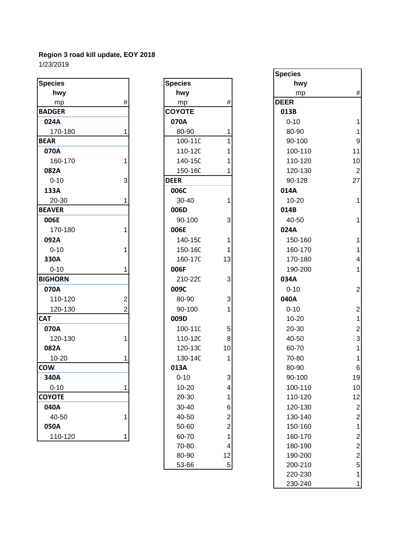| <b>Species</b> |                | <b>Species</b> |                         | hwy         |                |
|----------------|----------------|----------------|-------------------------|-------------|----------------|
| hwy            |                | hwy            |                         | mp          | #              |
| mp             | #              | mp             | $\#$                    | <b>DEER</b> |                |
| <b>BADGER</b>  |                | <b>COYOTE</b>  |                         | 013B        |                |
| 024A           |                | 070A           |                         | $0 - 10$    | 1              |
| 170-180        | 1              | 80-90          |                         | 80-90       |                |
| <b>BEAR</b>    |                | 100-11C        |                         | 90-100      | 9              |
| 070A           |                | 110-12C        |                         | 100-110     | 11             |
| 160-170        | 1              | 140-150        |                         | 110-120     | 10             |
| 082A           |                | 150-16C        |                         | 120-130     | $\overline{2}$ |
| $0 - 10$       | 3              | <b>DEER</b>    |                         | 90-128      | 27             |
| 133A           |                | 006C           |                         | 014A        |                |
| 20-30          | 1              | 30-40          | 1                       | $10 - 20$   | $\overline{1}$ |
| <b>BEAVER</b>  |                | 006D           |                         | 014B        |                |
| 006E           |                | 90-100         | 3                       | 40-50       | 1              |
| 170-180        |                | 006E           |                         | 024A        |                |
| 092A           |                | 140-15C        | 1                       | 150-160     | 1              |
| $0 - 10$       |                | 150-16C        | 1                       | 160-170     | 1              |
| 330A           |                | 160-17C        | 13                      | 170-180     | 4              |
| $0 - 10$       |                | 006F           |                         | 190-200     | 1              |
| <b>BIGHORN</b> |                | 210-220        | 3                       | 034A        |                |
| 070A           |                | 009C           |                         | $0 - 10$    | $\overline{2}$ |
| 110-120        | $\overline{2}$ | 80-90          | 3                       | 040A        |                |
| 120-130        | 2              | 90-100         | 1                       | $0 - 10$    | $\overline{a}$ |
| <b>CAT</b>     |                | 009D           |                         | $10 - 20$   | $\mathbf{1}$   |
| 070A           |                | 100-11C        | 5                       | 20-30       | $\overline{a}$ |
| 120-130        | 1              | 110-120        | 8                       | 40-50       | 3              |
| 082A           |                | 120-130        | 10                      | 60-70       | 1              |
| 10-20          |                | 130-14C        | 1                       | 70-80       | 1              |
| <b>COW</b>     |                | 013A           |                         | 80-90       | 6              |
| 340A           |                | $0 - 10$       | 3                       | 90-100      | 19             |
| $0 - 10$       |                | 10-20          | 4                       | 100-110     | 10             |
| <b>COYOTE</b>  |                | 20-30          | 1                       | 110-120     | 12             |
| 040A           |                | 30-40          | 6                       | 120-130     | $\overline{c}$ |
| 40-50          | 1              | 40-50          | $\overline{\mathbf{c}}$ | 130-140     | $\overline{c}$ |
| 050A           |                | 50-60          | $\boldsymbol{2}$        | 150-160     | 1              |
| 110-120        | 1              | 60-70          | 1                       | 160-170     | $\overline{c}$ |
|                |                |                |                         |             |                |

| Species       |                                             |
|---------------|---------------------------------------------|
| hwy           |                                             |
| <u>mp</u>     | #                                           |
| <b>COYOTE</b> |                                             |
| 070A          |                                             |
| 80-90         | 1                                           |
| 100-110       | 1                                           |
| 110-120       | 1                                           |
| 140-150       | 1                                           |
| 150-160       | 1                                           |
| <b>DEER</b>   |                                             |
| 006C          |                                             |
| 30-40         | 1                                           |
| 006D          |                                             |
| 90-100        | 3                                           |
| 006E          | $\overline{1}$                              |
| 140-15C       |                                             |
| 150-16C       | 1                                           |
| 160-170       | 13                                          |
| 006F          |                                             |
| 210-220       | 3                                           |
| 009C          | $\begin{array}{c} 3 \\ 1 \end{array}$       |
| 80-90         |                                             |
| 90-100        |                                             |
| 009D          |                                             |
| 100-110       | $\begin{array}{c} 5 \\ 8 \\ 10 \end{array}$ |
| 110-120       |                                             |
| 120-130       |                                             |
| 130-14C       | 1                                           |
| 013A          |                                             |
| $0 - 10$      | 3                                           |
| 10-20         | 4                                           |
| 20-30         | $\mathbf 1$                                 |
| 30-40         | 6 2 2 1 4                                   |
| 40-50         |                                             |
| 50-60         |                                             |
| 60-70         |                                             |
| 70-80         |                                             |
| 80-90         | 12                                          |
| 53-66         | 5                                           |
|               |                                             |

|              |      |                |                  | <b>Species</b> |                         |
|--------------|------|----------------|------------------|----------------|-------------------------|
| pecies       |      | <b>Species</b> |                  | hwy            |                         |
| hwy          |      | hwy            |                  | mp             | $\#$                    |
| mp           | $\#$ | mp             | $\#$             | <b>DEER</b>    |                         |
| <b>ADGER</b> |      | <b>COYOTE</b>  |                  | 013B           |                         |
| 024A         |      | 070A           |                  | $0 - 10$       |                         |
| 170-180      |      | 80-90          |                  | 80-90          |                         |
| EAR          |      | 100-11C        |                  | 90-100         | $9\,$                   |
| 070A         |      | 110-120        |                  | 100-110        | 11                      |
| 160-170      | 1    | 140-150        |                  | 110-120        | 10                      |
| 082A         |      | 150-160        |                  | 120-130        | $\overline{2}$          |
| $0 - 10$     | 3    | <b>DEER</b>    |                  | 90-128         | 27                      |
| 133A         |      | 006C           |                  | 014A           |                         |
| 20-30        |      | 30-40          |                  | $10 - 20$      |                         |
| <b>EAVER</b> |      | 006D           |                  | 014B           |                         |
| 006E         |      | 90-100         | 3                | 40-50          | $\mathbf{1}$            |
| 170-180      |      | 006E           |                  | 024A           |                         |
| 092A         |      | 140-15C        | 1                | 150-160        | 1                       |
| $0 - 10$     |      | 150-160        | 1                | 160-170        | 1                       |
| 330A         |      | 160-17C        | 13               | 170-180        | 4                       |
| $0 - 10$     |      | 006F           |                  | 190-200        | 1                       |
| <b>GHORN</b> |      | 210-220        | 3                | 034A           |                         |
| 070A         |      | 009C           |                  | $0 - 10$       | $\mathbf{2}$            |
| 110-120      | 2    | 80-90          | 3                | 040A           |                         |
| 120-130      | 2    | 90-100         |                  | $0 - 10$       | $\overline{\mathbf{c}}$ |
| ۹Т           |      | 009D           |                  | $10 - 20$      | $\mathbf{1}$            |
| 070A         |      | 100-110        | 5                | 20-30          | $\overline{2}$          |
| 120-130      |      | 110-120        | 8                | 40-50          | $\mathbf{3}$            |
| 082A         |      | 120-130        | 10               | 60-70          |                         |
| $10 - 20$    |      | 130-140        | 1                | 70-80          |                         |
| WC           |      | 013A           |                  | 80-90          | $6 \,$                  |
| 340A         |      | $0 - 10$       | 3                | 90-100         | 19                      |
| $0 - 10$     | 1    | $10 - 20$      | 4                | 100-110        | 10                      |
| ϽϒΟΤΕ        |      | 20-30          | 1                | 110-120        | 12                      |
| 040A         |      | 30-40          | 6                | 120-130        | $\overline{\mathbf{c}}$ |
| 40-50        | 1    | 40-50          | $\boldsymbol{2}$ | 130-140        | $\mathbf{2}$            |
| 050A         |      | 50-60          | $\overline{c}$   | 150-160        | 1                       |
| 110-120      | 1    | 60-70          | 1                | 160-170        | $\overline{\mathbf{c}}$ |
|              |      | 70-80          | 4                | 180-190        | $\mathbf{2}$            |
|              |      | 80-90          | 12               | 190-200        | $\overline{\mathbf{c}}$ |
|              |      | 53-66          | $\sqrt{5}$       | 200-210        | 5                       |
|              |      |                |                  | 220-230        | 1                       |
|              |      |                |                  | 230-240        | 1                       |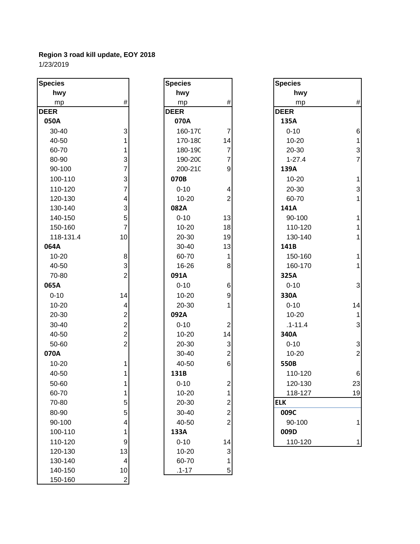| <b>Species</b> |                           | <b>Species</b> |                           | <b>Species</b> |                 |
|----------------|---------------------------|----------------|---------------------------|----------------|-----------------|
| hwy            |                           | hwy            |                           | hwy            |                 |
| mp             | $\#$                      | mp             | $\#$                      | mp             | #               |
| <b>DEER</b>    |                           | <b>DEER</b>    |                           | <b>DEER</b>    |                 |
| 050A           |                           | 070A           |                           | 135A           |                 |
| 30-40          | 3                         | 160-17C        | $\boldsymbol{7}$          | $0 - 10$       | $6\phantom{1}6$ |
| 40-50          |                           | 170-18C        | 14                        | $10 - 20$      | $\mathbf 1$     |
| 60-70          | 1                         | 180-19C        | $\overline{7}$            | 20-30          | 3               |
| 80-90          | $\ensuremath{\mathsf{3}}$ | 190-20C        | $\overline{7}$            | $1 - 27.4$     | $\overline{7}$  |
| 90-100         | $\overline{7}$            | 200-21C        | 9                         | 139A           |                 |
| 100-110        | 3                         | 070B           |                           | 10-20          | $\mathbf{1}$    |
| 110-120        | 7                         | $0 - 10$       | 4                         | 20-30          | 3               |
| 120-130        | 4                         | $10 - 20$      | $\overline{c}$            | 60-70          | $\mathbf{1}$    |
| 130-140        | 3                         | 082A           |                           | 141A           |                 |
| 140-150        | 5                         | $0 - 10$       | 13                        | 90-100         | 1               |
| 150-160        | $\overline{7}$            | $10 - 20$      | 18                        | 110-120        | 1               |
| 118-131.4      | 10                        | 20-30          | 19                        | 130-140        | 1               |
| 064A           |                           | 30-40          | 13                        | 141B           |                 |
| $10 - 20$      | 8                         | 60-70          | 1                         | 150-160        | 1               |
| 40-50          | 3                         | 16-26          | $\bf 8$                   | 160-170        | $\mathbf{1}$    |
| 70-80          | $\overline{2}$            | 091A           |                           | 325A           |                 |
| 065A           |                           | $0 - 10$       | 6                         | $0 - 10$       | 3               |
| $0 - 10$       | 14                        | $10 - 20$      | 9                         | 330A           |                 |
| 10-20          | 4                         | 20-30          | 1                         | $0 - 10$       | 14              |
| 20-30          | $\overline{\mathbf{c}}$   | 092A           |                           | $10 - 20$      | $\mathbf 1$     |
| 30-40          | $\overline{2}$            | $0 - 10$       | $\boldsymbol{2}$          | $.1 - 11.4$    | 3               |
| 40-50          | $\overline{2}$            | $10 - 20$      | 14                        | 340A           |                 |
| 50-60          | $\overline{2}$            | 20-30          | $\ensuremath{\mathsf{3}}$ | $0 - 10$       | 3               |
| 070A           |                           | 30-40          | $\overline{2}$            | $10 - 20$      | $\overline{c}$  |
| 10-20          |                           | 40-50          | $6\overline{6}$           | 550B           |                 |
| 40-50          |                           | 131B           |                           | 110-120        | $6\phantom{a}$  |
| 50-60          |                           | $0 - 10$       | $\overline{2}$            | 120-130        | 23              |
| 60-70          | 1                         | 10-20          | $\mathbf{1}$              | 118-127        | <u>19</u>       |
| 70-80          | 5                         | 20-30          | $\overline{\mathbf{c}}$   | <b>ELK</b>     |                 |
| 80-90          | 5                         | 30-40          | $\overline{a}$            | 009C           |                 |
| 90-100         | 4                         | 40-50          | $\overline{2}$            | 90-100         | 1               |
| 100-110        | 1                         | 133A           |                           | 009D           |                 |
| 110-120        | $\boldsymbol{9}$          | $0 - 10$       | 14                        | 110-120        | 1               |
| 120-130        | 13                        | 10-20          | 3                         |                |                 |
| 130-140        | 4                         | 60-70          | 1                         |                |                 |
| 140-150        | 10                        | $.1 - 17$      | 5                         |                |                 |
| 150-160        | $\overline{2}$            |                |                           |                |                 |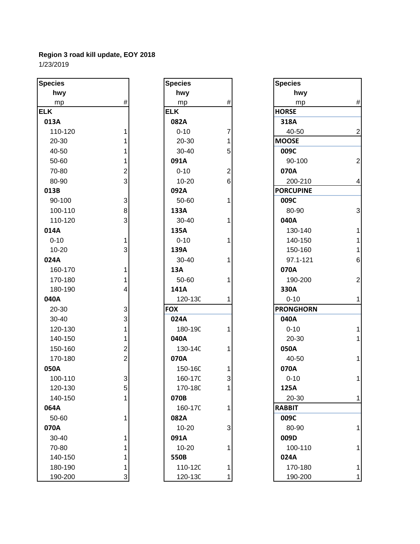| <b>Species</b> |                         | <b>Species</b> |                | <b>Species</b>   |
|----------------|-------------------------|----------------|----------------|------------------|
| hwy            |                         | hwy            |                | hwy              |
| mp             | $\#$                    | mp             | #              | mp               |
| <b>ELK</b>     |                         | <b>ELK</b>     |                | <b>HORSE</b>     |
| 013A           |                         | 082A           |                | 318A             |
| 110-120        | 1                       | $0 - 10$       | 7              | 40-50            |
| 20-30          | 1                       | 20-30          | 1              | <b>MOOSE</b>     |
| 40-50          | 1                       | 30-40          | 5              | 009C             |
| 50-60          | 1                       | 091A           |                | 90-100           |
| 70-80          | $\overline{\mathbf{c}}$ | $0 - 10$       | $\overline{c}$ | 070A             |
| 80-90          | 3                       | $10 - 20$      | 6              | 200-210          |
| 013B           |                         | 092A           |                | <b>PORCUPINE</b> |
| 90-100         | 3                       | 50-60          | 1              | 009C             |
| 100-110        | 8                       | 133A           |                | 80-90            |
| 110-120        | 3                       | 30-40          | 1              | 040A             |
| 014A           |                         | 135A           |                | 130-140          |
| $0 - 10$       | 1                       | $0 - 10$       | 1              | 140-150          |
| 10-20          | 3                       | 139A           |                | 150-160          |
| 024A           |                         | 30-40          | 1              | 97.1-121         |
| 160-170        | 1                       | 13A            |                | 070A             |
| 170-180        | 1                       | 50-60          | 1              | 190-200          |
| 180-190        | 4                       | 141A           |                | 330A             |
| 040A           |                         | 120-13C        | 1              | $0 - 10$         |
| 20-30          | 3                       | <b>FOX</b>     |                | <b>PRONGHORN</b> |
| 30-40          | 3                       | 024A           |                | 040A             |
| 120-130        | 1                       | 180-19C        | 1              | $0 - 10$         |
| 140-150        | 1                       | 040A           |                | 20-30            |
| 150-160        | $\overline{\mathbf{c}}$ | 130-14C        | 1              | 050A             |
| 170-180        | $\overline{2}$          | 070A           |                | 40-50            |
| 050A           |                         | 150-16C        | 1              | 070A             |
| 100-110        | 3                       | 160-17C        | 3              | $0 - 10$         |
| 120-130        | 5                       | 170-18C        |                | 125A             |
| 140-150        | 1                       | 070B           |                | 20-30            |
| 064A           |                         | 160-17C        | 1              | <b>RABBIT</b>    |
| 50-60          | 1                       | 082A           |                | 009C             |
| 070A           |                         | $10 - 20$      | 3              | 80-90            |
| 30-40          | 1                       | 091A           |                | 009D             |
| 70-80          |                         | $10 - 20$      | 1              | 100-110          |
| 140-150        |                         | 550B           |                | 024A             |
| 180-190        | 1                       | 110-12C        | 1              | 170-180          |
| 190-200        | 3                       | 120-13C        | 1              | 190-200          |

| <b>Species</b> |                |
|----------------|----------------|
| hwy            |                |
| mp             | #              |
| <b>ELK</b>     |                |
| 082A           |                |
| $0 - 10$       |                |
| 20-30          |                |
| 30-40          | 7 1 5 2 6      |
| 091A           |                |
| $0 - 10$       |                |
| 10-20          |                |
| 092A           |                |
| 50-60          | $\overline{1}$ |
| 133A           |                |
| 30-40          | 1              |
| 135A           |                |
| $0 - 10$       | 1              |
| 139A           |                |
| 30-40          | 1              |
| 13A            |                |
| 50-60          | 1              |
| 141A           |                |
| 120-130        | 1              |
| <b>FOX</b>     |                |
| 024A           |                |
| 180-190        | 1              |
| 040A           |                |
| 130-140        | 1              |
| 070A           |                |
| 150-16C        | 1              |
| 160-170        | 3              |
| 170-180        | 1              |
| 070B           |                |
| 160-170        | 1              |
| 082A           |                |
| 10-20          | 3              |
| 091A           |                |
| $10 - 20$      | 1              |
| 550B           |                |
| 110-120        | 1              |
| 120-130        |                |

| pecies    |                | <b>Species</b> |                | <b>Species</b>   |                  |
|-----------|----------------|----------------|----------------|------------------|------------------|
| hwy       |                | hwy            |                | hwy              |                  |
| mp        | $\#$           | mp             | $\#$           | mp               | $\#$             |
| LK.       |                | <b>ELK</b>     |                | <b>HORSE</b>     |                  |
| 013A      |                | 082A           |                | 318A             |                  |
| 110-120   |                | $0 - 10$       | 7              | 40-50            | $\mathbf 2$      |
| 20-30     |                | 20-30          | 1              | <b>MOOSE</b>     |                  |
| 40-50     |                | 30-40          | 5              | 009C             |                  |
| 50-60     |                | 091A           |                | 90-100           | $\mathbf{2}$     |
| 70-80     | $\overline{2}$ | $0 - 10$       | $\overline{c}$ | 070A             |                  |
| 80-90     | 3              | $10 - 20$      | 6              | 200-210          | $\overline{4}$   |
| 013B      |                | 092A           |                | <b>PORCUPINE</b> |                  |
| 90-100    | $\mathbf{3}$   | 50-60          | 1              | 009C             |                  |
| 100-110   | 8              | 133A           |                | 80-90            | $\mathbf{3}$     |
| 110-120   | 3              | 30-40          | 1              | 040A             |                  |
| 014A      |                | 135A           |                | 130-140          | 1                |
| $0 - 10$  | 1              | $0 - 10$       | 1              | 140-150          | $\mathbf 1$      |
| $10 - 20$ | 3              | 139A           |                | 150-160          | $\mathbf{1}$     |
| 024A      |                | 30-40          |                | 97.1-121         | $6 \overline{6}$ |
| 160-170   |                | 13A            |                | 070A             |                  |
| 170-180   |                | 50-60          |                | 190-200          | $\overline{2}$   |
| 180-190   | 4              | 141A           |                | 330A             |                  |
| 040A      |                | 120-13C        |                | $0 - 10$         | $\mathbf{1}$     |
| 20-30     | 3              | <b>FOX</b>     |                | <b>PRONGHORN</b> |                  |
| 30-40     | 3              | 024A           |                | 040A             |                  |
| 120-130   | 1              | 180-190        |                | $0 - 10$         | 1                |
| 140-150   | 1              | 040A           |                | 20-30            | $\overline{1}$   |
| 150-160   | $\mathbf{2}$   | 130-14C        |                | 050A             |                  |
| 170-180   | $\overline{c}$ | 070A           |                | 40-50            | 1                |
| 050A      |                | 150-16C        | 1              | 070A             |                  |
| 100-110   | 3              | 160-17C        | 3              | $0 - 10$         | $\mathbf{1}$     |
| 120-130   | 5              | 170-18C        |                | 125A             |                  |
| 140-150   | 1              | 070B           |                | 20-30            | $\mathbf{1}$     |
| 064A      |                | 160-17C        | 1              | <b>RABBIT</b>    |                  |
| 50-60     |                | 082A           |                | 009C             |                  |
| 070A      |                | $10 - 20$      | 3              | 80-90            | 1                |
| 30-40     | 1              | 091A           |                | 009D             |                  |
| 70-80     |                | $10 - 20$      | 1              | 100-110          | 1                |
| 140-150   |                | 550B           |                | 024A             |                  |
| 180-190   |                | 110-12C        |                | 170-180          | 1                |
| 190-200   | 3              | 120-130        |                | 190-200          | $\mathbf{1}$     |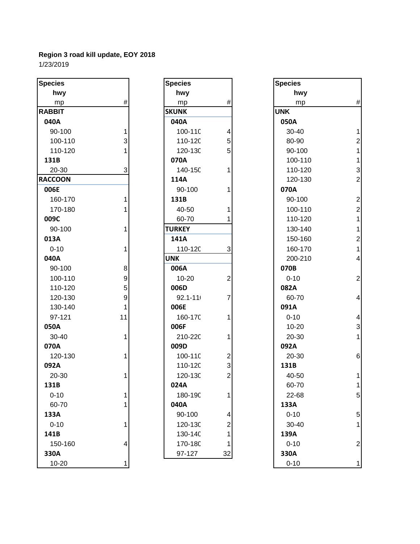| <b>Species</b> |      | <b>Species</b> |                         | <b>Species</b> |                         |
|----------------|------|----------------|-------------------------|----------------|-------------------------|
| hwy            |      | hwy            |                         | hwy            |                         |
| mp             | $\#$ | mp             | $\#$                    | mp             | #                       |
| <b>RABBIT</b>  |      | <b>SKUNK</b>   |                         | <b>UNK</b>     |                         |
| 040A           |      | 040A           |                         | 050A           |                         |
| 90-100         | 1    | 100-11C        | 4                       | 30-40          | 1                       |
| 100-110        | 3    | 110-120        | 5                       | 80-90          | $\overline{\mathbf{c}}$ |
| 110-120        |      | 120-13C        | 5                       | 90-100         | 1                       |
| 131B           |      | 070A           |                         | 100-110        | 1                       |
| 20-30          | 3    | 140-15C        | 1                       | 110-120        | 3                       |
| <b>RACCOON</b> |      | 114A           |                         | 120-130        | $\overline{a}$          |
| 006E           |      | 90-100         | 1                       | 070A           |                         |
| 160-170        | 1    | 131B           |                         | 90-100         | $\overline{a}$          |
| 170-180        |      | 40-50          |                         | 100-110        | $\overline{c}$          |
| 009C           |      | 60-70          |                         | 110-120        | $\mathbf{1}$            |
| 90-100         | 1    | <b>TURKEY</b>  |                         | 130-140        | $\mathbf{1}$            |
| 013A           |      | 141A           |                         | 150-160        | $\overline{\mathbf{c}}$ |
| $0 - 10$       | 1    | 110-12C        | 3                       | 160-170        | $\overline{1}$          |
| 040A           |      | <b>UNK</b>     |                         | 200-210        | 4                       |
| 90-100         | 8    | 006A           |                         | 070B           |                         |
| 100-110        | 9    | $10 - 20$      | $\mathbf 2$             | $0 - 10$       | $\overline{a}$          |
| 110-120        | 5    | 006D           |                         | 082A           |                         |
| 120-130        | 9    | $92.1 - 111$   | 7                       | 60-70          | 4                       |
| 130-140        | 1    | 006E           |                         | 091A           |                         |
| 97-121         | 11   | 160-17C        | 1                       | $0 - 10$       | 4                       |
| 050A           |      | 006F           |                         | $10 - 20$      | 3                       |
| 30-40          | 1    | 210-220        | 1                       | 20-30          | 1                       |
| 070A           |      | 009D           |                         | 092A           |                         |
| 120-130        | 1    | 100-11C        | $\overline{\mathbf{c}}$ | 20-30          | $\overline{6}$          |
| 092A           |      | 110-12C        | 3                       | 131B           |                         |
| 20-30          |      | 120-13C        | $\overline{2}$          | 40-50          |                         |
| 131B           |      | 024A           |                         | 60-70          | 1                       |
| $0 - 10$       |      | 180-19C        | 1                       | 22-68          | 5                       |
| 60-70          |      | 040A           |                         | 133A           |                         |
| 133A           |      | 90-100         | 4                       | $0 - 10$       | 5                       |
| $0 - 10$       |      | 120-13C        | 2                       | 30-40          | 1                       |
| 141B           |      | 130-14C        | 1                       | 139A           |                         |
| 150-160        | 4    | 170-18C        | 1                       | $0 - 10$       | $\overline{c}$          |
| 330A           |      | 97-127         | 32                      | 330A           |                         |
| $10 - 20$      |      |                |                         | $0 - 10$       | 1                       |

| Species       |                                            |
|---------------|--------------------------------------------|
| hwy           |                                            |
| mp            | #                                          |
| <b>SKUNK</b>  |                                            |
| 040A          |                                            |
| 100-110       | $\begin{array}{c} 4 \\ 5 \\ 5 \end{array}$ |
| 110-120       |                                            |
| 120-130       |                                            |
| 070A          |                                            |
| 140-150       | $\overline{1}$                             |
| 114A          |                                            |
| 90-100        | 1                                          |
| 131B          |                                            |
| 40-50         | 1                                          |
| 60-70         | 1                                          |
| <b>TURKEY</b> |                                            |
| 141A          |                                            |
| 110-120       | 3                                          |
| UNK           |                                            |
| 006A          |                                            |
| 10-20         | $\overline{c}$                             |
| 006D          |                                            |
| $92.1 - 111$  |                                            |
| 006E          |                                            |
| 160-170       | 1                                          |
| 006F          |                                            |
| 210-220       | 1                                          |
| 009D          |                                            |
| 100-110       | $\begin{array}{c} 2 \\ 3 \\ 2 \end{array}$ |
| 110-120       |                                            |
| 120-130       |                                            |
| 024A          |                                            |
| 180-190       | 1                                          |
| 040A          |                                            |
| 90-100        |                                            |
| 120-130       |                                            |
| 130-140       | 4<br>2<br>1<br>1                           |
| 170-180       |                                            |
| 97-127        |                                            |

| pecies        |                  | <b>Species</b> |                | <b>Species</b> |                 |
|---------------|------------------|----------------|----------------|----------------|-----------------|
| hwy           |                  | hwy            |                | hwy            |                 |
| mp            | $\#$             | mp             | $\#$           | mp             | $\#$            |
| <b>ABBIT</b>  |                  | <b>SKUNK</b>   |                | <b>UNK</b>     |                 |
| 040A          |                  | 040A           |                | 050A           |                 |
| 90-100        | 1                | 100-110        | 4              | 30-40          | $\mathbf{1}$    |
| 100-110       | 3                | 110-12C        | $\mathbf 5$    | 80-90          | $\overline{2}$  |
| 110-120       |                  | 120-130        | 5              | 90-100         | $\mathbf{1}$    |
| 131B          |                  | 070A           |                | 100-110        | $\mathbf{1}$    |
| 20-30         | 3                | 140-15C        | 1              | 110-120        | $\mathbf{3}$    |
| <b>ACCOON</b> |                  | 114A           |                | 120-130        | $\mathbf{2}$    |
| 006E          |                  | 90-100         |                | 070A           |                 |
| 160-170       | 1                | 131B           |                | 90-100         | $\overline{2}$  |
| 170-180       |                  | 40-50          |                | 100-110        | $\mathbf{2}$    |
| 009C          |                  | 60-70          |                | 110-120        | $\mathbf{1}$    |
| 90-100        |                  | <b>TURKEY</b>  |                | 130-140        | $\mathbf{1}$    |
| 013A          |                  | 141A           |                | 150-160        | $\overline{c}$  |
| $0 - 10$      | 1                | 110-12C        | 3              | 160-170        | $\mathbf{1}$    |
| 040A          |                  | <b>UNK</b>     |                | 200-210        | $\overline{4}$  |
| 90-100        | 8                | 006A           |                | 070B           |                 |
| 100-110       | 9                | $10 - 20$      | $\overline{c}$ | $0 - 10$       | $\overline{2}$  |
| 110-120       | 5                | 006D           |                | 082A           |                 |
| 120-130       | $\boldsymbol{9}$ | $92.1 - 111$   | $\overline{7}$ | 60-70          | $\overline{4}$  |
| 130-140       | 1                | 006E           |                | 091A           |                 |
| 97-121        | 11               | 160-17C        | 1              | $0 - 10$       | $\overline{4}$  |
| 050A          |                  | 006F           |                | $10 - 20$      | $\mathbf{3}$    |
| 30-40         | 1                | 210-220        |                | 20-30          | $\mathbf{1}$    |
| 070A          |                  | 009D           |                | 092A           |                 |
| 120-130       |                  | 100-11C        | $\overline{c}$ | 20-30          | $\sqrt{6}$      |
| 092A          |                  | 110-120        | 3              | 131B           |                 |
| 20-30         | 1                | 120-13C        | $\overline{c}$ | 40-50          | $\mathbf{1}$    |
| 131B          |                  | 024A           |                | 60-70          | $\mathbf{1}$    |
| $0 - 10$      | 1                | 180-19C        | 1              | 22-68          | $5\overline{)}$ |
| 60-70         | 1                | 040A           |                | 133A           |                 |
| 133A          |                  | 90-100         | 4              | $0 - 10$       | 5 <sup>1</sup>  |
| $0 - 10$      | 1                | 120-130        | 2              | 30-40          | $\mathbf{1}$    |
| 141B          |                  | 130-14C        |                | 139A           |                 |
| 150-160       | 4                | 170-18C        |                | $0 - 10$       | $\mathbf{2}$    |
| 330A          |                  | 97-127         | 32             | 330A           |                 |
| 10-20         | 1                |                |                | $0 - 10$       | $\mathbf{1}$    |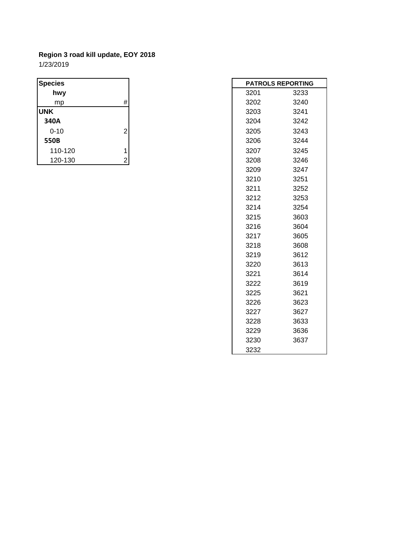| <b>Species</b> |                | <b>PATROLS REPORTIN</b> |      |  |
|----------------|----------------|-------------------------|------|--|
| hwy            |                | 3201                    | 3233 |  |
| mp             | #              | 3202                    | 3240 |  |
| <b>UNK</b>     |                | 3203                    | 3241 |  |
| 340A           |                | 3204                    | 3242 |  |
| $0 - 10$       | $\overline{2}$ | 3205                    | 3243 |  |
| 550B           |                | 3206                    | 3244 |  |
| 110-120        |                | 3207                    | 3245 |  |
| 120-130        | 2              | 3208                    | 3246 |  |

|      | <b>PATROLS REPORTING</b> |
|------|--------------------------|
| 3201 | 3233                     |
| 3202 | 3240                     |
| 3203 | 3241                     |
| 3204 | 3242                     |
| 3205 | 3243                     |
| 3206 | 3244                     |
| 3207 | 3245                     |
| 3208 | 3246                     |
| 3209 | 3247                     |
| 3210 | 3251                     |
| 3211 | 3252                     |
| 3212 | 3253                     |
| 3214 | 3254                     |
| 3215 | 3603                     |
| 3216 | 3604                     |
| 3217 | 3605                     |
| 3218 | 3608                     |
| 3219 | 3612                     |
| 3220 | 3613                     |
| 3221 | 3614                     |
| 3222 | 3619                     |
| 3225 | 3621                     |
| 3226 | 3623                     |
| 3227 | 3627                     |
| 3228 | 3633                     |
| 3229 | 3636                     |
| 3230 | 3637                     |
| 3232 |                          |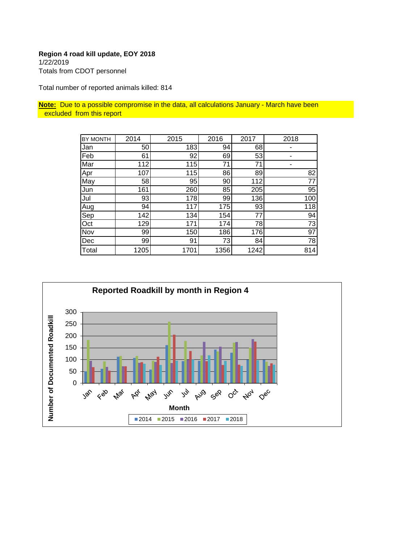# **Region 4 road kill update, EOY 2018** 1/22/2019 Totals from CDOT personnel

Total number of reported animals killed: 814

**Note:** Due to a possible compromise in the data, all calculations January - March have been excluded from this report

| BY MONTH | 2014 | 2015 | 2016 | 2017 | 2018            |
|----------|------|------|------|------|-----------------|
| Jan      | 50   | 183  | 94   | 68   |                 |
| Feb      | 61   | 92   | 69   | 53   |                 |
| Mar      | 112  | 115  | 71   | 71   |                 |
| Apr      | 107  | 115  | 86   | 89   | 82              |
| May      | 58   | 95   | 90   | 112  | $\overline{77}$ |
| Jun      | 161  | 260  | 85   | 205  | 95              |
| Jul      | 93   | 178  | 99   | 136  | 100             |
| Aug      | 94   | 117  | 175  | 93   | 118             |
| Sep      | 142  | 134  | 154  | 77   | 94              |
| Oct      | 129  | 171  | 174  | 78   | 73              |
| Nov      | 99   | 150  | 186  | 176  | 97              |
| Dec      | 99   | 91   | 73   | 84   | $\overline{78}$ |
| Total    | 1205 | 1701 | 1356 | 1242 | 814             |

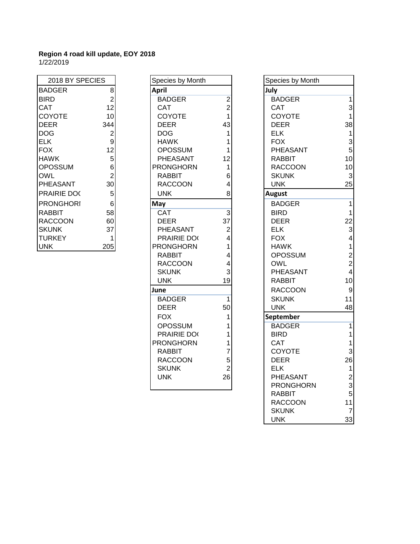| 2018 BY SPECIES |                |
|-----------------|----------------|
| BADGER          | 8              |
| BIRD            | $\overline{2}$ |
| CAT             | 12             |
| COYOTE          | 10             |
| DEER            | 344            |
| DOG             | 2<br>9         |
| ELK             |                |
| FOX             | 12             |
| HAWK            | $\frac{5}{6}$  |
| OPOSSUM         |                |
| OWL             | $\overline{2}$ |
| PHEASANT        | 30             |
| PRAIRIE DOC     | 5              |
| PRONGHORI       | 6              |
| RABBIT          | 58             |
| RACCOON         | 60             |
| SKUNK           | 37             |
| JRKEY           |                |
| JNK             | 20             |

| 2018 BY SPECIES  |                  | Species by Month |                | Species by     |
|------------------|------------------|------------------|----------------|----------------|
| <b>BADGER</b>    | 8 <sup>1</sup>   | <b>April</b>     |                | July           |
| <b>BIRD</b>      | $\overline{2}$   | <b>BADGER</b>    | $\overline{c}$ | <b>BADGER</b>  |
| <b>CAT</b>       | 12               | <b>CAT</b>       | $\overline{2}$ | <b>CAT</b>     |
| <b>COYOTE</b>    | 10               | <b>COYOTE</b>    | $\mathbf{1}$   | <b>COYOTE</b>  |
| <b>DEER</b>      | 344              | <b>DEER</b>      | 43             | <b>DEER</b>    |
| DOG              | $\overline{2}$   | <b>DOG</b>       | 1              | <b>ELK</b>     |
| <b>ELK</b>       | $\mathsf{g}$     | <b>HAWK</b>      | 1              | <b>FOX</b>     |
| <b>FOX</b>       | 12               | <b>OPOSSUM</b>   | 1              | <b>PHEASAI</b> |
| <b>HAWK</b>      | $\overline{5}$   | PHEASANT         | 12             | <b>RABBIT</b>  |
| <b>OPOSSUM</b>   | $6 \overline{6}$ | <b>PRONGHORN</b> | 1              | <b>RACCOC</b>  |
| <b>OWL</b>       | $\overline{2}$   | <b>RABBIT</b>    | 6              | <b>SKUNK</b>   |
| PHEASANT         | 30               | <b>RACCOON</b>   | 4              | <b>UNK</b>     |
| PRAIRIE DOC      | 5 <sup>5</sup>   | <b>UNK</b>       | 8              | <b>August</b>  |
| <b>PRONGHORI</b> | $6 \overline{6}$ | May              |                | <b>BADGER</b>  |
| <b>RABBIT</b>    | 58               | <b>CAT</b>       | 3              | <b>BIRD</b>    |
| <b>RACCOON</b>   | 60               | <b>DEER</b>      | 37             | <b>DEER</b>    |
| <b>SKUNK</b>     | 37               | PHEASANT         | $\overline{c}$ | <b>ELK</b>     |
| TURKEY           | 1                | PRAIRIE DO       | $\overline{4}$ | <b>FOX</b>     |
| <b>UNK</b>       | 205              | <b>PRONGHORN</b> | 1              | <b>HAWK</b>    |
|                  |                  | <b>RABBIT</b>    | $\overline{4}$ | OPOSSU         |
|                  |                  | <b>RACCOON</b>   | 4              | <b>OWL</b>     |
|                  |                  | <b>SKUNK</b>     | 3              | <b>PHEASAI</b> |
|                  |                  | <b>UNK</b>       | 19             | RABBIT         |
|                  |                  | June             |                | <b>RACCOC</b>  |
|                  |                  | <b>BADGER</b>    | $\overline{1}$ | <b>SKUNK</b>   |
|                  |                  | <b>DEER</b>      | 50             | <b>UNK</b>     |
|                  |                  | <b>FOX</b>       | 1              | September      |
|                  |                  | <b>OPOSSUM</b>   | 1              | <b>BADGER</b>  |
|                  |                  | PRAIRIE DO       | 1              | <b>BIRD</b>    |
|                  |                  | <b>PRONGHORN</b> | 1              | <b>CAT</b>     |
|                  |                  | <b>RABBIT</b>    | 7              | <b>COYOTE</b>  |
|                  |                  | <b>RACCOON</b>   | 5              | <b>DEER</b>    |
|                  |                  | <b>SKUNK</b>     | $\overline{2}$ | <b>ELK</b>     |
|                  |                  | <b>UNK</b>       | 26             | <b>PHEASAI</b> |
|                  |                  |                  |                | <b>PRONGH</b>  |
|                  |                  |                  |                |                |

| 2018 BY SPECIES  |                | Species by Month |                | Species by Month |                         |
|------------------|----------------|------------------|----------------|------------------|-------------------------|
| <b>BADGER</b>    | 8              | <b>April</b>     |                | July             |                         |
| <b>BIRD</b>      | $\overline{2}$ | <b>BADGER</b>    | $\overline{c}$ | <b>BADGER</b>    | $\mathbf{1}$            |
| CAT              | 12             | <b>CAT</b>       | $\overline{2}$ | CAT              | 3                       |
| <b>COYOTE</b>    | 10             | COYOTE           | 1              | COYOTE           | $\mathbf{1}$            |
| <b>DEER</b>      | 344            | <b>DEER</b>      | 43             | <b>DEER</b>      | 38                      |
| <b>DOG</b>       | $\overline{c}$ | <b>DOG</b>       | 1              | <b>ELK</b>       | $\mathbf{1}$            |
| <b>ELK</b>       | 9              | <b>HAWK</b>      |                | <b>FOX</b>       | 3                       |
| <b>FOX</b>       | 12             | <b>OPOSSUM</b>   |                | PHEASANT         | 5                       |
| <b>HAWK</b>      | 5              | PHEASANT         | 12             | <b>RABBIT</b>    | 10                      |
| <b>OPOSSUM</b>   | $\,6$          | <b>PRONGHORN</b> | 1              | <b>RACCOON</b>   | 10                      |
| OWL              | $\overline{2}$ | <b>RABBIT</b>    | 6              | <b>SKUNK</b>     | 3                       |
| PHEASANT         | 30             | <b>RACCOON</b>   | 4              | <b>UNK</b>       | 25                      |
| PRAIRIE DOC      | 5              | <b>UNK</b>       | 8              | <b>August</b>    |                         |
| <b>PRONGHORI</b> | $\,6$          | May              |                | <b>BADGER</b>    | $\mathbf{1}$            |
| <b>RABBIT</b>    | 58             | CAT              | 3              | <b>BIRD</b>      | $\mathbf{1}$            |
| <b>RACCOON</b>   | 60             | <b>DEER</b>      | 37             | <b>DEER</b>      | 22                      |
| <b>SKUNK</b>     | 37             | PHEASANT         | 2              | <b>ELK</b>       | 3                       |
| <b>TURKEY</b>    | 1              | PRAIRIE DO       | 4              | <b>FOX</b>       | $\overline{\mathbf{4}}$ |
| <b>UNK</b>       | 205            | <b>PRONGHORN</b> | 1              | <b>HAWK</b>      | $\mathbf{1}$            |
|                  |                | <b>RABBIT</b>    | 4              | <b>OPOSSUM</b>   | $\overline{\mathbf{c}}$ |
|                  |                | <b>RACCOON</b>   | 4              | <b>OWL</b>       | $\overline{c}$          |
|                  |                | <b>SKUNK</b>     | 3              | PHEASANT         | $\overline{\mathbf{4}}$ |
|                  |                | <b>UNK</b>       | 19             | <b>RABBIT</b>    | 10                      |
|                  |                | June             |                | <b>RACCOON</b>   | 9                       |
|                  |                | <b>BADGER</b>    | 1              | <b>SKUNK</b>     | 11                      |
|                  |                | <b>DEER</b>      | 50             | <b>UNK</b>       | 48                      |
|                  |                | <b>FOX</b>       | 1              | September        |                         |
|                  |                | <b>OPOSSUM</b>   |                | <b>BADGER</b>    | $\mathbf{1}$            |
|                  |                | PRAIRIE DO       | 1              | <b>BIRD</b>      | $\mathbf{1}$            |
|                  |                | <b>PRONGHORN</b> | 1              | CAT              | $\mathbf{1}$            |
|                  |                | <b>RABBIT</b>    | 7              | <b>COYOTE</b>    | 3                       |
|                  |                | <b>RACCOON</b>   | 5              | <b>DEER</b>      | 26                      |
|                  |                | <b>SKUNK</b>     | $\overline{2}$ | <b>ELK</b>       | $\mathbf{1}$            |
|                  |                | <b>UNK</b>       | 26             | PHEASANT         | $\overline{2}$          |
|                  |                |                  |                | <b>PRONGHORN</b> | 3                       |
|                  |                |                  |                | <b>RABBIT</b>    | 5                       |
|                  |                |                  |                | <b>RACCOON</b>   | 11                      |
|                  |                |                  |                | <b>SKUNK</b>     | $\overline{7}$          |
|                  |                |                  |                | <b>UNK</b>       | 33                      |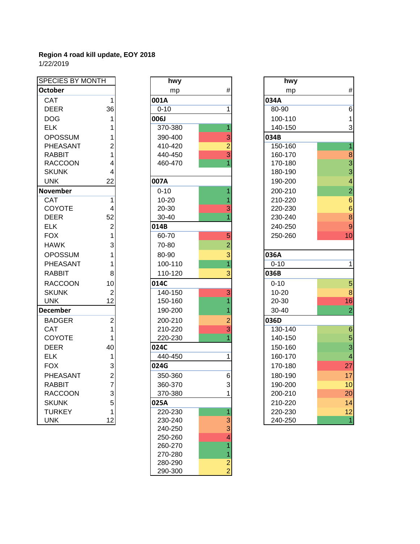| SPECIES BY MONTH |                         |  |  |  |
|------------------|-------------------------|--|--|--|
| <b>October</b>   |                         |  |  |  |
| CAT              | $\overline{\mathbf{1}}$ |  |  |  |
| <b>DEER</b>      | 36                      |  |  |  |
| <b>DOG</b>       | 1                       |  |  |  |
| <b>ELK</b>       | 1                       |  |  |  |
| <b>OPOSSUM</b>   | 1                       |  |  |  |
| PHEASANT         | $\overline{c}$          |  |  |  |
| <b>RABBIT</b>    | 1                       |  |  |  |
| <b>RACCOON</b>   | 4                       |  |  |  |
| <b>SKUNK</b>     | 4                       |  |  |  |
| <b>UNK</b>       | 22                      |  |  |  |
| <b>November</b>  |                         |  |  |  |
| <b>CAT</b>       | $\overline{1}$          |  |  |  |
| COYOTE           | 4                       |  |  |  |
| <b>DEER</b>      | 52                      |  |  |  |
| <b>ELK</b>       | $\overline{\mathbf{c}}$ |  |  |  |
| <b>FOX</b>       | 1                       |  |  |  |
| <b>HAWK</b>      | 3                       |  |  |  |
| <b>OPOSSUM</b>   | $\overline{\mathbf{1}}$ |  |  |  |
| PHEASANT         | 1                       |  |  |  |
| RABBIT           | 8                       |  |  |  |
| <b>RACCOON</b>   | 10                      |  |  |  |
| <b>SKUNK</b>     | $\overline{c}$          |  |  |  |
| UNK              | 12                      |  |  |  |
| <b>December</b>  |                         |  |  |  |
| <b>BADGER</b>    | $\overline{c}$          |  |  |  |
| CAT              | 1                       |  |  |  |
| COYOTE           | 1                       |  |  |  |
| <b>DEER</b>      | 40                      |  |  |  |
| <b>ELK</b>       | 1                       |  |  |  |
| <b>FOX</b>       | 3273512                 |  |  |  |
| PHEASANT         |                         |  |  |  |
| <b>RABBIT</b>    |                         |  |  |  |
| <b>RACCOON</b>   |                         |  |  |  |
| <b>SKUNK</b>     |                         |  |  |  |
| <b>TURKEY</b>    |                         |  |  |  |
| <b>UNK</b>       |                         |  |  |  |

| SPECIES BY MONTH |                | hwy                |                | hwy      |
|------------------|----------------|--------------------|----------------|----------|
| <b>October</b>   |                | mp                 | #              | mp       |
| <b>CAT</b>       | 1              | 001A               |                | 034A     |
| <b>DEER</b>      | 36             | $0 - 10$           | 1              | 80-90    |
| <b>DOG</b>       | 1              | 006J               |                | 100-110  |
| <b>ELK</b>       | 1              | 370-380            | 1              | 140-150  |
| <b>OPOSSUM</b>   | 1              | 390-400            | 3              | 034B     |
| <b>PHEASANT</b>  | $\overline{2}$ | 410-420            | $\overline{2}$ | 150-160  |
| <b>RABBIT</b>    | $\overline{1}$ | 440-450            | 3              | 160-170  |
| <b>RACCOON</b>   | 4              | 460-470            |                | 170-180  |
| <b>SKUNK</b>     | 4              |                    |                | 180-190  |
| <b>UNK</b>       | 22             | 007A               |                | 190-200  |
| <b>November</b>  |                | $0 - 10$           |                | 200-210  |
| <b>CAT</b>       | 1              | 10-20              |                | 210-220  |
| <b>COYOTE</b>    | 4              | 20-30              | 3              | 220-230  |
| <b>DEER</b>      | 52             | 30-40              |                | 230-240  |
| <b>ELK</b>       | $\overline{c}$ | 014B               |                | 240-250  |
| <b>FOX</b>       | 1              | 60-70              | 5              | 250-260  |
| <b>HAWK</b>      | 3              | 70-80              | $\overline{2}$ |          |
| <b>OPOSSUM</b>   | 1              | 80-90              | 3              | 036A     |
| <b>PHEASANT</b>  | 1              | 100-110            | $\overline{1}$ | $0 - 10$ |
| <b>RABBIT</b>    | 8              | 110-120            | 3              | 036B     |
| <b>RACCOON</b>   | 10             | 014C               |                | $0 - 10$ |
| <b>SKUNK</b>     | 2              | 140-150            | 3              | 10-20    |
| <b>UNK</b>       | 12             | 150-160            | 1              | 20-30    |
| <b>December</b>  |                | 190-200            |                | 30-40    |
| <b>BADGER</b>    | $\overline{2}$ | 200-210            | 2              | 036D     |
| <b>CAT</b>       | $\overline{1}$ | 210-220            | 3              | 130-140  |
| COYOTE           | 1              | 220-230            | 1              | 140-150  |
| <b>DEER</b>      | 40             | 024C               |                | 150-160  |
| <b>ELK</b>       | 1              | 440-450            | 1              | 160-170  |
| <b>FOX</b>       | 3              | 024G               |                | 170-180  |
| <b>PHEASANT</b>  | $\overline{2}$ | 350-360            | 6              | 180-190  |
| <b>RABBIT</b>    |                | 360-370            | 3              | 190-200  |
| <b>RACCOON</b>   | 3              | 370-380            | 1              | 200-210  |
| <b>SKUNK</b>     | 5              | 025A               |                | 210-220  |
| <b>TURKEY</b>    | 1              | 220-230            | 1              | 220-230  |
| <b>UNK</b>       | 12             | 230-240            | 3              | 240-250  |
|                  |                | 240-250            | 3              |          |
|                  |                | 250-260            | 4              |          |
|                  |                | 260-270<br>270-280 | 1              |          |
|                  |                | 280-290            | $\overline{c}$ |          |
|                  |                | 290-300            | $\overline{2}$ |          |
|                  |                |                    |                |          |

| <b>SPECIES BY MONTH</b> |                | hwy       |                | hwy       |                  |
|-------------------------|----------------|-----------|----------------|-----------|------------------|
| <b>October</b>          |                | mp        | $\#$           | mp        | $\#$             |
| CAT                     | 1              | 001A      |                | 034A      |                  |
| <b>DEER</b>             | 36             | $0 - 10$  | 1              | 80-90     | 6                |
| <b>DOG</b>              | 1              | 006J      |                | 100-110   | 1                |
| <b>ELK</b>              | 1              | 370-380   |                | 140-150   | 3                |
| <b>OPOSSUM</b>          | 1              | 390-400   | 3              | 034B      |                  |
| PHEASANT                | $\overline{2}$ | 410-420   | $\overline{2}$ | 150-160   | 1                |
| <b>RABBIT</b>           | 1              | 440-450   | 3              | 160-170   | 8                |
| <b>RACCOON</b>          | 4              | 460-470   |                | 170-180   | $\frac{3}{3}$    |
| <b>SKUNK</b>            | 4              |           |                | 180-190   |                  |
| <b>UNK</b>              | 22             | 007A      |                | 190-200   | 4                |
| <b>November</b>         |                | $0 - 10$  |                | 200-210   | $\overline{2}$   |
| <b>CAT</b>              | 1              | $10 - 20$ |                | 210-220   | $\overline{6}$   |
| <b>COYOTE</b>           | 4              | 20-30     | 3              | 220-230   | $\boldsymbol{6}$ |
| <b>DEER</b>             | 52             | 30-40     |                | 230-240   | $\overline{8}$   |
| <b>ELK</b>              | $\overline{c}$ | 014B      |                | 240-250   | 9                |
| <b>FOX</b>              | 1              | 60-70     | 5              | 250-260   | 10               |
| <b>HAWK</b>             | 3              | 70-80     | $\overline{2}$ |           |                  |
| <b>OPOSSUM</b>          | 1              | 80-90     | 3              | 036A      |                  |
| PHEASANT                | 1              | 100-110   | 1              | $0 - 10$  | $\mathbf{1}$     |
| <b>RABBIT</b>           | 8              | 110-120   | 3              | 036B      |                  |
| <b>RACCOON</b>          | 10             | 014C      |                | $0 - 10$  | 5                |
| <b>SKUNK</b>            | $\overline{2}$ | 140-150   | 3              | $10 - 20$ | 8                |
| <b>UNK</b>              | 12             | 150-160   |                | 20-30     | 16               |
| <b>December</b>         |                | 190-200   |                | $30 - 40$ | $\overline{2}$   |
| <b>BADGER</b>           | $\overline{2}$ | 200-210   | $\overline{2}$ | 036D      |                  |
| CAT                     | 1              | 210-220   | 3              | 130-140   | $6\phantom{1}6$  |
| <b>COYOTE</b>           | 1              | 220-230   |                | 140-150   | 5                |
| <b>DEER</b>             | 40             | 024C      |                | 150-160   | $\overline{3}$   |
| <b>ELK</b>              | 1              | 440-450   | 1              | 160-170   | 4                |
| <b>FOX</b>              | 3              | 024G      |                | 170-180   | 27               |
| PHEASANT                | $\overline{2}$ | 350-360   | 6              | 180-190   | 17               |
| <b>RABBIT</b>           | $\overline{7}$ | 360-370   | 3              | 190-200   | 10               |
| <b>RACCOON</b>          | 3              | 370-380   | 1              | 200-210   | 20               |
| <b>SKUNK</b>            | 5              | 025A      |                | 210-220   | 14               |
| <b>TURKEY</b>           | 1              | 220-230   |                | 220-230   | 12               |
| <b>UNK</b>              | 12             | 230-240   | 3              | 240-250   | $\overline{1}$   |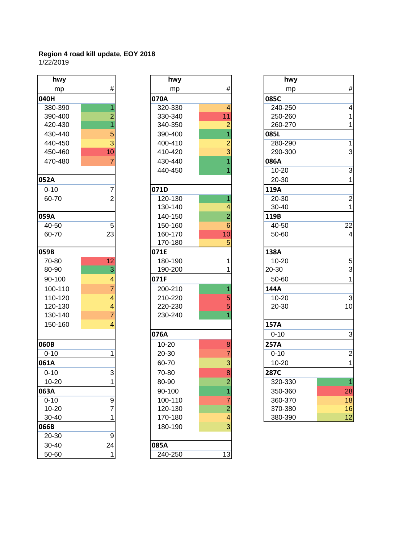| hwy       |                         |                 |
|-----------|-------------------------|-----------------|
| mp        | #                       |                 |
| 040H      |                         | 070A            |
| 380-390   | $\overline{1}$          | 320             |
| 390-400   | $\overline{2}$          | 330             |
| 420-430   | $\overline{1}$          | 34C             |
| 430-440   | 5                       | 390             |
| 440-450   | 3                       | 40 <sub>C</sub> |
| 450-460   | 10                      | 410             |
| 470-480   | $\overline{7}$          | 430             |
|           |                         | 440             |
| 052A      |                         |                 |
| $0 - 10$  | 7                       | 071D            |
| 60-70     | $\overline{2}$          | 120             |
|           |                         | 13C             |
| 059A      |                         | 140             |
| 40-50     | 5                       | 15C             |
| 60-70     | 23                      | 160             |
|           |                         | 17 <sub>C</sub> |
| 059B      |                         | 071E            |
| 70-80     | $\overline{12}$         | <b>180</b>      |
| 80-90     | 3                       | 190             |
| 90-100    | 4                       | 071F            |
| 100-110   | $\overline{7}$          | 200             |
| 110-120   | $\overline{4}$          | 210             |
| 120-130   | $\overline{\mathbf{4}}$ | 220             |
| 130-140   | $\overline{7}$          | 230             |
| 150-160   | 4                       |                 |
|           |                         | 076A            |
| 060B      |                         | $10 -$          |
| $0 - 10$  | 1                       | $20 -$          |
| 061A      |                         | $60 -$          |
| $0 - 10$  | 3                       | $70-$           |
| $10 - 20$ | $\overline{1}$          | 80-             |
| 063A      |                         | 90-             |
| $0 - 10$  | 9                       | 10C             |
| $10 - 20$ | 7                       | 120             |
| 30-40     | $\overline{1}$          | 17 <sub>C</sub> |
| 066B      |                         | 18C             |
| 20-30     | 9                       |                 |
| 30-40     | 24                      | 085A            |
| 50-60     |                         | 240             |

| hwy       |                | hwy       |                | hwy         |
|-----------|----------------|-----------|----------------|-------------|
| mp        | #              | mp        | #              | mp          |
| 040H      |                | 070A      |                | 085C        |
| 380-390   | 1              | 320-330   | 4              | 240-250     |
| 390-400   | $\overline{2}$ | 330-340   | 11             | 250-260     |
| 420-430   | $\overline{1}$ | 340-350   | 2              | 260-270     |
| 430-440   | 5              | 390-400   | 1              | 085L        |
| 440-450   | $\overline{3}$ | 400-410   | $\overline{2}$ | 280-290     |
| 450-460   | 10             | 410-420   | 3              | 290-300     |
| 470-480   | 7              | 430-440   | 1              | 086A        |
|           |                | 440-450   |                | $10 - 20$   |
| 052A      |                |           |                | 20-30       |
| $0 - 10$  | 7              | 071D      |                | 119A        |
| 60-70     | $\overline{2}$ | 120-130   | 1              | 20-30       |
|           |                | 130-140   | 4              | 30-40       |
| 059A      |                | 140-150   | $\overline{2}$ | 119B        |
| 40-50     | 5              | 150-160   | 6              | 40-50       |
| 60-70     | 23             | 160-170   | 10             | 50-60       |
|           |                | 170-180   | 5              |             |
| 059B      |                | 071E      |                | 138A        |
| 70-80     | 12             | 180-190   | 1              | $10 - 20$   |
| 80-90     | $\overline{3}$ | 190-200   | 1              | 20-30       |
| 90-100    | $\overline{4}$ | 071F      |                | 50-60       |
| 100-110   | $\overline{7}$ | 200-210   | 1              | 144A        |
| 110-120   | $\overline{4}$ | 210-220   | 5              | $10 - 20$   |
| 120-130   | $\overline{4}$ | 220-230   | 5              | 20-30       |
| 130-140   | $\overline{7}$ | 230-240   | 1              |             |
| 150-160   | $\overline{4}$ |           |                | 157A        |
|           |                | 076A      |                | $0 - 10$    |
| 060B      |                | $10 - 20$ | 8              | <b>257A</b> |
| $0 - 10$  | 1              | 20-30     | $\overline{7}$ | $0 - 10$    |
| 061A      |                | 60-70     | 3              | $10 - 20$   |
| $0 - 10$  | 3              | 70-80     | 8              | 287C        |
| $10 - 20$ | 1              | 80-90     | $\overline{c}$ | 320-330     |
| 063A      |                | 90-100    | 1              | 350-360     |
| $0 - 10$  | 9              | 100-110   | $\overline{7}$ | 360-370     |
| $10 - 20$ | $\overline{7}$ | 120-130   | $\overline{c}$ | 370-380     |
| 30-40     | 1              | 170-180   | 4              | 380-390     |
| 066B      |                | 180-190   | 3              |             |
| 20-30     | 9              |           |                |             |
| 30-40     | 24             | 085A      |                |             |
| 50-60     | 1              | 240-250   | 13             |             |

| hwy       |                 | hwy       |                | hwy       |                 |
|-----------|-----------------|-----------|----------------|-----------|-----------------|
| mp        | #               | mp        | #              | mp        | $\#$            |
| 040H      |                 | 070A      |                | 085C      |                 |
| 380-390   | 1               | 320-330   | 4              | 240-250   | $\overline{4}$  |
| 390-400   | $\overline{2}$  | 330-340   | 11             | 250-260   |                 |
| 420-430   |                 | 340-350   | $\overline{2}$ | 260-270   | 1               |
| 430-440   | 5               | 390-400   |                | 085L      |                 |
| 440-450   | $\overline{3}$  | 400-410   |                | 280-290   | 1               |
| 450-460   | 10              | 410-420   |                | 290-300   | 3               |
| 470-480   | $\overline{7}$  | 430-440   |                | 086A      |                 |
|           |                 | 440-450   |                | $10 - 20$ | $\overline{3}$  |
| 052A      |                 |           |                | 20-30     | 1               |
| $0 - 10$  | 7               | 071D      |                | 119A      |                 |
| 60-70     | $\overline{2}$  | 120-130   |                | 20-30     | $\overline{2}$  |
|           |                 | 130-140   |                | 30-40     | $\mathbf{1}$    |
| 059A      |                 | 140-150   | $\overline{2}$ | 119B      |                 |
| 40-50     | 5               | 150-160   | 6              | 40-50     | $\overline{22}$ |
| 60-70     | 23              | 160-170   | 10             | 50-60     | 4               |
|           |                 | 170-180   | 5              |           |                 |
| 059B      |                 | 071E      |                | 138A      |                 |
| 70-80     | $\overline{12}$ | 180-190   | 1              | $10 - 20$ | $\sqrt{5}$      |
| 80-90     | $\overline{3}$  | 190-200   |                | 20-30     | $\mathbf{3}$    |
| 90-100    | 4               | 071F      |                | 50-60     | 1               |
| 100-110   | $\overline{7}$  | 200-210   |                | 144A      |                 |
| 110-120   | 4               | 210-220   | 5              | $10 - 20$ | $\overline{3}$  |
| 120-130   | 4               | 220-230   | 5              | 20-30     | 10              |
| 130-140   | $\overline{7}$  | 230-240   |                |           |                 |
| 150-160   | 4               |           |                | 157A      |                 |
|           |                 | 076A      |                | $0 - 10$  | $\mathbf{3}$    |
| 060B      |                 | $10 - 20$ | 8              | 257A      |                 |
| $0 - 10$  | 1               | 20-30     | 7              | $0 - 10$  | $\overline{2}$  |
| 061A      |                 | 60-70     | 3              | $10 - 20$ | 1               |
| $0 - 10$  | 3               | 70-80     | 8              | 287C      |                 |
| 10-20     | 1               | 80-90     | $\overline{2}$ | 320-330   | $\overline{1}$  |
| 063A      |                 | 90-100    | 1              | 350-360   | 28              |
| $0 - 10$  | $\overline{9}$  | 100-110   | 7              | 360-370   | 18              |
| $10 - 20$ | 7               | 120-130   | $\overline{2}$ | 370-380   | 16              |
| $30 - 40$ | 1               | 170-180   | 4              | 380-390   | 12              |
|           |                 |           |                |           |                 |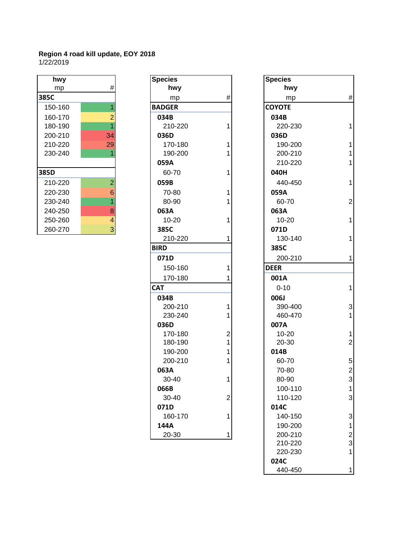| hwy     |                |
|---------|----------------|
| mp      | #              |
| 385C    |                |
| 150-160 | 1              |
| 160-170 | $\frac{2}{1}$  |
| 180-190 |                |
| 200-210 | 34             |
| 210-220 | 29             |
| 230-240 | 1              |
|         |                |
| 385D    |                |
| 210-220 | $\overline{c}$ |
| 220-230 | 6              |
| 230-240 | $\overline{1}$ |
| 240-250 | $\frac{8}{4}$  |
| 250-260 |                |
| 260-270 |                |

| hwy     |                         | <b>Species</b> |                | <b>Species</b> |
|---------|-------------------------|----------------|----------------|----------------|
| mp      | #                       | hwy            |                | hwy            |
| 385C    |                         | mp             | $\#$           | mp             |
| 150-160 | $\overline{1}$          | <b>BADGER</b>  |                | <b>COYOTE</b>  |
| 160-170 | $\overline{2}$          | 034B           |                | 034B           |
| 180-190 | $\overline{1}$          | 210-220        | 1              | 220-23         |
| 200-210 | 34                      | 036D           |                | 036D           |
| 210-220 | 29                      | 170-180        | 1              | 190-20         |
| 230-240 | 1                       | 190-200        | 1              | 200-21         |
|         |                         | 059A           |                | 210-22         |
| 385D    |                         | 60-70          | 1              | 040H           |
| 210-220 | $\overline{2}$          | 059B           |                | 440-45         |
| 220-230 | 6                       | 70-80          | 1              | 059A           |
| 230-240 | $\overline{1}$          | 80-90          | 1              | 60-70          |
| 240-250 | 8                       | 063A           |                | 063A           |
| 250-260 | $\overline{\mathbf{4}}$ | 10-20          | 1              | $10 - 20$      |
| 260-270 | 3                       | 385C           |                | 071D           |
|         |                         | 210-220        | 1              | 130-14         |
|         |                         | <b>BIRD</b>    |                | 385C           |
|         |                         | 071D           |                | 200-21         |
|         |                         | 150-160        | 1              | <b>DEER</b>    |
|         |                         | 170-180        | 1              | 001A           |
|         |                         | <b>CAT</b>     |                | $0 - 10$       |
|         |                         | 034B           |                | 006J           |
|         |                         | 200-210        | 1              | 390-40         |
|         |                         | 230-240        | 1              | 460-47         |
|         |                         | 036D           |                |                |
|         |                         | 170-180        |                | 007A           |
|         |                         |                | $\overline{c}$ | $10 - 20$      |
|         |                         | 180-190        | 1              | 20-30          |
|         |                         | 190-200        | 1              | 014B           |
|         |                         | 200-210        | 1              | 60-70          |
|         |                         | 063A           |                | 70-80          |
|         |                         | 30-40          | 1              | 80-90          |
|         |                         | 066B           |                | 100-11         |
|         |                         | 30-40          | 2              | 110-12         |
|         |                         | 071D           |                | 014C           |
|         |                         | 160-170        | 1              | 140-15         |
|         |                         | 144A           |                | 190-20         |
|         |                         | 20-30          |                | 200-21         |

| hwy     |                | <b>Species</b> |                | <b>Species</b> |                           |
|---------|----------------|----------------|----------------|----------------|---------------------------|
| mp      | $\#$           | hwy            |                | hwy            |                           |
| 385C    |                | mp             | $\#$           | mp             | $\#$                      |
| 150-160 |                | <b>BADGER</b>  |                | <b>COYOTE</b>  |                           |
| 160-170 | $\overline{2}$ | 034B           |                | 034B           |                           |
| 180-190 | 1              | 210-220        | 1              | 220-230        | 1                         |
| 200-210 | 34             | 036D           |                | 036D           |                           |
| 210-220 | 29             | 170-180        |                | 190-200        | 1                         |
| 230-240 | 1              | 190-200        |                | 200-210        | 1                         |
|         |                | 059A           |                | 210-220        | 1                         |
| 385D    |                | 60-70          |                | 040H           |                           |
| 210-220 | $\overline{2}$ | 059B           |                | 440-450        | 1                         |
| 220-230 | 6              | 70-80          |                | 059A           |                           |
| 230-240 |                | 80-90          |                | 60-70          | $\overline{2}$            |
| 240-250 | 8              | 063A           |                | 063A           |                           |
| 250-260 | 4              | $10 - 20$      |                | $10 - 20$      | 1                         |
| 260-270 | 3              | 385C           |                | 071D           |                           |
|         |                | 210-220        |                | 130-140        | 1                         |
|         |                | <b>BIRD</b>    |                | 385C           |                           |
|         |                | 071D           |                | 200-210        | 1                         |
|         |                | 150-160        |                | <b>DEER</b>    |                           |
|         |                | 170-180        |                | 001A           |                           |
|         |                | <b>CAT</b>     |                | $0 - 10$       | $\mathbf{1}$              |
|         |                | 034B           |                | 006J           |                           |
|         |                | 200-210        |                | 390-400        | $\ensuremath{\mathsf{3}}$ |
|         |                | 230-240        |                | 460-470        | 1                         |
|         |                | 036D           |                | 007A           |                           |
|         |                | 170-180        | $\overline{2}$ | $10 - 20$      | 1                         |
|         |                | 180-190        | 1              | 20-30          | $\overline{c}$            |
|         |                | 190-200        | 1              | 014B           |                           |
|         |                | 200-210        |                | 60-70          | 5                         |
|         |                | 063A           |                | 70-80          | $\overline{\mathbf{c}}$   |
|         |                | 30-40          |                | 80-90          | $\overline{3}$            |
|         |                | 066B           |                | 100-110        | 1                         |
|         |                | 30-40          | $\overline{c}$ | 110-120        | 3                         |
|         |                | 071D           |                | 014C           |                           |
|         |                | 160-170        |                | 140-150        | 3                         |
|         |                | 144A           |                | 190-200        | 1                         |
|         |                | 20-30          |                | 200-210        | $\overline{\mathbf{c}}$   |
|         |                |                |                | 210-220        | 3<br>1                    |
|         |                |                |                | 220-230        |                           |
|         |                |                |                | 024C           |                           |
|         |                |                |                | 440-450        | 1                         |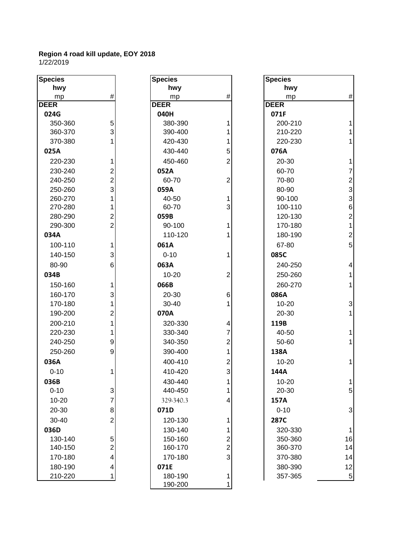| <b>Species</b> |                                | <b>Species</b> |                                           | <b>Species</b>     |                |
|----------------|--------------------------------|----------------|-------------------------------------------|--------------------|----------------|
| hwy            |                                | hwy            |                                           | hwy                |                |
| mp             | $\#$                           | mp             | $\#$                                      | mp                 | #              |
| <b>DEER</b>    |                                | <b>DEER</b>    |                                           | <b>DEER</b>        |                |
| 024G           |                                | 040H           |                                           | 071F               |                |
| 350-360        | 5                              | 380-390        |                                           | 200-210            |                |
| 360-370        | 3                              | 390-400        |                                           | 210-220            |                |
| 370-380        |                                | 420-430        |                                           | 220-230            | 1              |
| 025A           |                                | 430-440        | 5                                         | 076A               |                |
| 220-230        | 1                              | 450-460        | $\overline{2}$                            | 20-30              | 1              |
| 230-240        | 2                              | 052A           |                                           | 60-70              | $\overline{7}$ |
| 240-250        | $\overline{2}$                 | 60-70          | $\mathbf 2$                               | 70-80              | $\overline{a}$ |
| 250-260        | 3                              | 059A           |                                           | 80-90              | 3              |
| 260-270        | 1                              | 40-50          | 1                                         | 90-100             | 3              |
| 270-280        | 1                              | 60-70          | 3                                         | 100-110            | 6              |
| 280-290        | $\overline{2}$                 | 059B           |                                           | 120-130            | $\overline{a}$ |
| 290-300        | $\overline{2}$                 | 90-100         | 1                                         | 170-180            | 1              |
| 034A           |                                | 110-120        |                                           | 180-190            | $\overline{c}$ |
| 100-110        | 1                              | 061A           |                                           | 67-80              | 5              |
| 140-150        | 3                              | $0 - 10$       |                                           | 085C               |                |
| 80-90          | 6                              | 063A           |                                           | 240-250            | 4              |
| 034B           |                                | $10 - 20$      | $\overline{2}$                            | 250-260            | 1              |
| 150-160        | 1                              | 066B           |                                           | 260-270            | 1              |
| 160-170        | 3                              | 20-30          | $\,6$                                     | 086A               |                |
| 170-180        | 1                              | 30-40          |                                           | $10 - 20$          | 3              |
| 190-200        | $\overline{c}$                 | 070A           |                                           | 20-30              | 1              |
| 200-210        | 1                              | 320-330        | 4                                         | 119B               |                |
| 220-230        | 1                              | 330-340        | 7                                         | 40-50              | 1              |
| 240-250        | 9                              | 340-350        | 2                                         | 50-60              | 1              |
| 250-260        | 9                              | 390-400        | 1                                         | 138A               |                |
| 036A           |                                | 400-410        | $\mathbf 2$                               | $10 - 20$          | 1              |
| $0 - 10$       | 1                              | 410-420        | 3                                         | 144A               |                |
| 036B           |                                | 430-440        |                                           | $10 - 20$          |                |
| $0 - 10$       | $\mathbf{3}$                   | 440-450        | 1                                         | 20-30              | 5              |
| 10-20          | 7                              | 329-340.3      | 4                                         | 157A               |                |
| 20-30          | $\bf{8}$                       | 071D           |                                           | $0 - 10$           | 3              |
| 30-40          | $\overline{2}$                 | 120-130        | 1                                         | 287C               |                |
| 036D           |                                | 130-140        |                                           | 320-330            |                |
| 130-140        |                                | 150-160        |                                           |                    | $\mathbf 1$    |
| 140-150        | 5<br>$\overline{2}$            | 160-170        | $\overline{\mathbf{c}}$<br>$\overline{c}$ | 350-360<br>360-370 | 16<br>14       |
| 170-180        | $\overline{4}$                 | 170-180        | 3                                         | 370-380            | 14             |
| 180-190        |                                | 071E           |                                           | 380-390            |                |
| 210-220        | $\overline{4}$<br>$\mathbf{1}$ | 180-190        | 1                                         | 357-365            | 12<br>5        |
|                |                                | 190-200        | 1                                         |                    |                |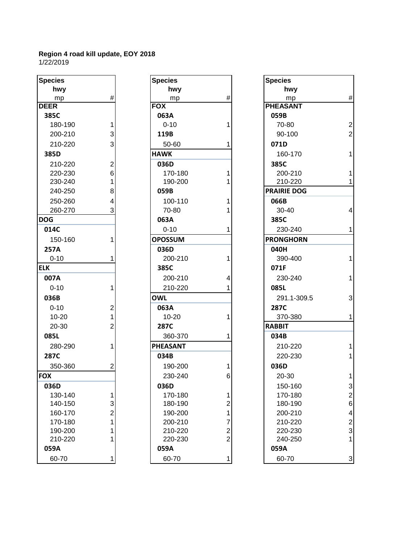| Species     |                                       |
|-------------|---------------------------------------|
| hwy         |                                       |
| mp          | #                                     |
| <b>DEER</b> |                                       |
| 385C        |                                       |
| 180-190     | 1                                     |
| 200-210     | 3<br>3                                |
| 210-220     |                                       |
| 385D        |                                       |
| 210-220     | $\overline{c}$                        |
| 220-230     | 6                                     |
| 230-240     | $\mathbf{1}$                          |
| 240-250     | 8                                     |
| 250-260     | 4                                     |
| 260-270     | 3                                     |
| <b>DOG</b>  |                                       |
| 014C        |                                       |
| 150-160     | 1                                     |
| 257A        |                                       |
| $0 - 10$    | 1                                     |
| <b>ELK</b>  |                                       |
| 007A        |                                       |
| $0 - 10$    | 1                                     |
| 036B        |                                       |
| $0 - 10$    |                                       |
| 10-20       | $\begin{array}{c} 2 \\ 1 \end{array}$ |
| 20-30       | $\overline{2}$                        |
| 085L        |                                       |
| 280-290     | 1                                     |
| 287C        |                                       |
| 350-360     | 2                                     |
| <b>FOX</b>  |                                       |
| 036D        |                                       |
| 130-140     | 1                                     |
| 140-150     | 3                                     |
| 160-170     | $\overline{c}$                        |
| 170-180     | 1                                     |
| 190-200     | $\overline{\mathbf{1}}$               |
| 210-220     | 1                                     |
| 059A        |                                       |
| 60-70       | 1                                     |

| <b>Species</b> |                | <b>Species</b>  |                         | <b>Species</b>     |
|----------------|----------------|-----------------|-------------------------|--------------------|
| hwy            |                | hwy             |                         | hwy                |
| mp             | #              | mp              | #                       | mp                 |
| <b>DEER</b>    |                | <b>FOX</b>      |                         | <b>PHEASANT</b>    |
| 385C           |                | 063A            |                         | 059B               |
| 180-190        | 1              | $0 - 10$        | 1                       | 70-80              |
| 200-210        | 3              | 119B            |                         | 90-100             |
| 210-220        | 3              | 50-60           | 1                       | 071D               |
| 385D           |                | <b>HAWK</b>     |                         | 160-170            |
| 210-220        | $\overline{c}$ | 036D            |                         | 385C               |
| 220-230        | 6              | 170-180         | 1                       | 200-210            |
| 230-240        | 1              | 190-200         |                         | 210-220            |
| 240-250        | 8              | 059B            |                         | <b>PRAIRIE DOG</b> |
| 250-260        | 4              | 100-110         | 1                       | 066B               |
| 260-270        | 3              | 70-80           | 1                       | 30-40              |
| DOG.           |                | 063A            |                         | 385C               |
| 014C           |                | $0 - 10$        | 1                       | 230-240            |
| 150-160        | 1              | <b>OPOSSUM</b>  |                         | <b>PRONGHORN</b>   |
| 257A           |                | 036D            |                         | 040H               |
| $0 - 10$       | 1              | 200-210         | 1                       | 390-400            |
| <b>ELK</b>     |                | 385C            |                         | 071F               |
| 007A           |                | 200-210         | 4                       | 230-240            |
| $0 - 10$       | 1              | 210-220         | 1                       | 085L               |
| 036B           |                | <b>OWL</b>      |                         | 291.1-309          |
| $0 - 10$       | $\overline{c}$ | 063A            |                         | 287C               |
| $10 - 20$      | $\mathbf 1$    | $10 - 20$       | 1                       | 370-380            |
| 20-30          | $\overline{2}$ | 287C            |                         | <b>RABBIT</b>      |
| 085L           |                | 360-370         | 1                       | 034B               |
| 280-290        | 1              | <b>PHEASANT</b> |                         | 210-220            |
| 287C           |                | 034B            |                         | 220-230            |
| 350-360        | $\overline{2}$ | 190-200         | 1                       | 036D               |
| <b>FOX</b>     |                | 230-240         | 6                       | 20-30              |
| 036D           |                | 036D            |                         | 150-160            |
| 130-140        | 1              | 170-180         | 1                       | 170-180            |
| 140-150        | 3              | 180-190         | $\overline{2}$          | 180-190            |
| 160-170        | $\overline{c}$ | 190-200         | 1                       | 200-210            |
| 170-180        | $\overline{1}$ | 200-210         | $\overline{7}$          | 210-220            |
| 190-200        | 1              | 210-220         | $\overline{\mathbf{c}}$ | 220-230            |
| 210-220        | 1              | 220-230         | $\overline{2}$          | 240-250            |
| 059A           |                | 059A            |                         | 059A               |
| 60-70          | 1              | 60-70           | 1                       | 60-70              |

| <b>Species</b> |                          | <b>Species</b>  |                         | <b>Species</b>     |                           |
|----------------|--------------------------|-----------------|-------------------------|--------------------|---------------------------|
| hwy            |                          | hwy             |                         | hwy                |                           |
| mp             | $\#$                     | mp              | $\#$                    | mp                 | $\#$                      |
| <b>DEER</b>    |                          | <b>FOX</b>      |                         | <b>PHEASANT</b>    |                           |
| 385C           |                          | 063A            |                         | 059B               |                           |
| 180-190        | 1                        | $0 - 10$        |                         | 70-80              | $\overline{2}$            |
| 200-210        | 3                        | 119B            |                         | 90-100             | $\overline{2}$            |
| 210-220        | 3                        | 50-60           |                         | 071D               |                           |
| 385D           |                          | <b>HAWK</b>     |                         | 160-170            | $\mathbf{1}$              |
| 210-220        | $\mathbf 2$              | 036D            |                         | 385C               |                           |
| 220-230        | $6\phantom{1}$           | 170-180         |                         | 200-210            | $\mathbf{1}$              |
| 230-240        | 1                        | 190-200         |                         | 210-220            | $\mathbf{1}$              |
| 240-250        | 8                        | 059B            |                         | <b>PRAIRIE DOG</b> |                           |
| 250-260        | $\overline{\mathcal{A}}$ | 100-110         |                         | 066B               |                           |
| 260-270        | 3                        | 70-80           |                         | 30-40              | $\overline{4}$            |
| <b>DOG</b>     |                          | 063A            |                         | 385C               |                           |
| 014C           |                          | $0 - 10$        |                         | 230-240            | $\mathbf{1}$              |
| 150-160        | 1                        | <b>OPOSSUM</b>  |                         | <b>PRONGHORN</b>   |                           |
| 257A           |                          | 036D            |                         | 040H               |                           |
| $0 - 10$       |                          | 200-210         |                         | 390-400            | $\mathbf{1}$              |
| <b>ELK</b>     |                          | 385C            |                         | 071F               |                           |
| 007A           |                          | 200-210         |                         | 230-240            | $\mathbf{1}$              |
| $0 - 10$       | 1                        | 210-220         |                         | 085L               |                           |
| 036B           |                          | <b>OWL</b>      |                         | 291.1-309.5        | 3                         |
| $0 - 10$       | $\overline{\mathbf{c}}$  | 063A            |                         | <b>287C</b>        |                           |
| $10 - 20$      | $\mathbf{1}$             | $10 - 20$       |                         | 370-380            | $\mathbf{1}$              |
| 20-30          | $\overline{2}$           | 287C            |                         | <b>RABBIT</b>      |                           |
| 085L           |                          | 360-370         |                         | 034B               |                           |
| 280-290        | 1                        | <b>PHEASANT</b> |                         | 210-220            | 1                         |
| <b>287C</b>    |                          | 034B            |                         | 220-230            | $\mathbf{1}$              |
| 350-360        | 2                        | 190-200         |                         | 036D               |                           |
| <b>FOX</b>     |                          | 230-240         | 6                       | 20-30              | $\mathbf{1}$              |
| 036D           |                          | 036D            |                         | 150-160            | 3                         |
| 130-140        | $\mathbf{1}$             | 170-180         | 1                       | 170-180            | $\overline{\mathbf{c}}$   |
| 140-150        | 3                        | 180-190         | $\overline{c}$          | 180-190            | $6\phantom{1}6$           |
| 160-170        | $\overline{\mathbf{c}}$  | 190-200         | 1                       | 200-210            | $\overline{\mathbf{4}}$   |
| 170-180        | $\mathbf{1}$             | 200-210         | 7                       | 210-220            | $\overline{\mathbf{c}}$   |
| 190-200        | 1                        | 210-220         | $\overline{\mathbf{c}}$ | 220-230            | 3                         |
| 210-220        | 1                        | 220-230         | $\overline{2}$          | 240-250            | $\mathbf{1}$              |
| 059A           |                          | 059A            |                         | 059A               |                           |
| 60-70          | 1                        | 60-70           | 1                       | 60-70              | $\ensuremath{\mathsf{3}}$ |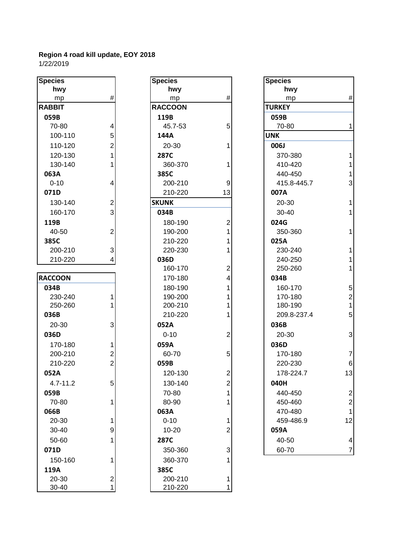| <b>Species</b> |                         | <b>Specie</b>   |
|----------------|-------------------------|-----------------|
| hwy            |                         | h               |
| mp             | #                       | n               |
| <b>RABBIT</b>  |                         | <b>RACCO</b>    |
| 059B           |                         | 119B            |
| 70-80          | 4                       | 45.             |
| 100-110        | 5                       | 144A            |
| 110-120        | $\overline{c}$          | $20 -$          |
| 120-130        | $\overline{1}$          | <b>287C</b>     |
| 130-140        | $\overline{1}$          | 360             |
| 063A           |                         | 385C            |
| $0 - 10$       | 4                       | 200             |
| 071D           |                         | 210             |
| 130-140        | $\overline{\mathbf{c}}$ | <b>SKUNK</b>    |
| 160-170        | 3                       | 034B            |
| 119B           |                         | 180             |
| 40-50          | $\overline{c}$          | 190             |
| 385C           |                         | 210             |
| 200-210        | 3                       | 220             |
| 210-220        | $\overline{4}$          | 036D            |
|                |                         | 160             |
| <b>RACCOON</b> |                         | 17 <sub>0</sub> |
| 034B           |                         | 180             |
| 230-240        | 1                       | 190             |
| 250-260        | 1                       | 200             |
| 036B           |                         | 210             |
| 20-30          | 3                       | 052A            |
| 036D           |                         | $0 - 1$         |
| 170-180        | 1                       | 059A            |
| 200-210        | $\frac{2}{2}$           | 60-             |
| 210-220        |                         | 059B            |
| 052A           |                         | 120             |
| 4.7-11.2       | 5                       | 130             |
| 059B           |                         | $70-$           |
| 70-80          | 1                       | 80-             |
| 066B           |                         | 063A            |
| 20-30          | 1                       | $0 - 1$         |
| 30-40          | 9                       | $10-$           |
| 50-60          | $\overline{1}$          | 287C            |
| 071D           |                         | 350             |
| 150-160        | 1                       | 360             |
| 119A           |                         | 385C            |
| 20-30          |                         | 200             |
| 30-40          | $\frac{2}{1}$           | 210             |

| <b>Species</b> |                         | <b>Species</b>  |                | <b>Species</b> |
|----------------|-------------------------|-----------------|----------------|----------------|
| hwy            |                         | hwy             |                | hwy            |
| mp             | $\#$                    | mp              | #              | mp             |
| <b>RABBIT</b>  |                         | <b>RACCOON</b>  |                | <b>TURKEY</b>  |
| 059B           |                         | 119B            |                | 059B           |
| 70-80          | 4                       | 45.7-53         | 5              | 70-80          |
| 100-110        | 5 <sup>1</sup>          | 144A            |                | <b>UNK</b>     |
| 110-120        | $\overline{2}$          | 20-30           | 1              | 006J           |
| 120-130        | $\mathbf{1}$            | <b>287C</b>     |                | 370-38         |
| 130-140        | 1                       | 360-370         | 1              | 410-42         |
| 063A           |                         | 385C            |                | 440-45         |
| $0 - 10$       | 4                       | 200-210         | 9              | 415.8-4        |
| 071D           |                         | 210-220         | 13             | 007A           |
| 130-140        | $\overline{c}$          | <b>SKUNK</b>    |                | 20-30          |
| 160-170        | 3                       | 034B            |                | $30 - 40$      |
| 119B           |                         | 180-190         | $\overline{c}$ | 024G           |
| 40-50          | $\overline{2}$          | 190-200         | 1              | 350-36         |
| 385C           |                         | 210-220         | 1              | 025A           |
| 200-210        | $\mathbf{3}$            | 220-230         | 1              | 230-24         |
| 210-220        | $\overline{\mathbf{4}}$ | 036D            |                | 240-25         |
|                |                         | 160-170         | $\overline{2}$ | 250-26         |
| <b>RACCOON</b> |                         | 170-180         | 4              | 034B           |
| 034B           |                         | 180-190         | 1              | 160-17         |
| 230-240        | 1                       | 190-200         | 1              | 170-18         |
| 250-260        | 1                       | 200-210         | 1              | 180-19         |
| 036B           |                         | 210-220         | 1              | 209.8-2        |
| 20-30          | 3                       | 052A            |                | 036B           |
| 036D           |                         | $0 - 10$        | $\overline{2}$ | 20-30          |
| 170-180        | 1                       | 059A            |                | 036D           |
| 200-210        | $\overline{\mathbf{c}}$ | 60-70           | 5              | 170-18         |
| 210-220        | $\overline{2}$          | 059B            |                | 220-23         |
| 052A           |                         | 120-130         | $\overline{2}$ | 178-22         |
| $4.7 - 11.2$   | $5 \vert$               | 130-140         | $\overline{2}$ | 040H           |
| 059B           |                         | 70-80           | 1              | 440-45         |
| 70-80          | 1                       | 80-90           | 1              | 450-46         |
| 066B           |                         | 063A            |                | 470-48         |
| 20-30          | 1                       | $0 - 10$        | 1              | 459-48         |
| 30-40          | 9                       | 10-20           | 2              | 059A           |
| 50-60          | 1                       | 287C            |                | 40-50          |
| 071D           |                         | 350-360         | 3              | 60-70          |
| 150-160        | 1                       | 360-370         |                |                |
| 119A           |                         |                 |                |                |
| 20-30          |                         | 385C<br>200-210 | 1              |                |
| 30-40          | 2<br>1                  | 210-220         | 1              |                |
|                |                         |                 |                |                |

| pecies        |                | <b>Species</b> |                         | <b>Species</b> |                  |
|---------------|----------------|----------------|-------------------------|----------------|------------------|
| hwy           |                | hwy            |                         | hwy            |                  |
| mp            | $\#$           | mp             | $\#$                    | mp             | $\#$             |
| <b>ABBIT</b>  |                | <b>RACCOON</b> |                         | <b>TURKEY</b>  |                  |
| 059B          |                | 119B           |                         | 059B           |                  |
| 70-80         | 4              | 45.7-53        | 5                       | 70-80          | $\mathbf{1}$     |
| 100-110       | 5              | 144A           |                         | <b>UNK</b>     |                  |
| 110-120       | $\overline{2}$ | 20-30          | 1                       | 006J           |                  |
| 120-130       | 1              | 287C           |                         | 370-380        | $\mathbf{1}$     |
| 130-140       | 1              | 360-370        |                         | 410-420        | $\mathbf{1}$     |
| 063A          |                | 385C           |                         | 440-450        | $\mathbf{1}$     |
| $0 - 10$      | 4              | 200-210        | 9                       | 415.8-445.7    | 3                |
| 071D          |                | 210-220        | 13                      | 007A           |                  |
| 130-140       | $\mathbf 2$    | <b>SKUNK</b>   |                         | 20-30          | $\mathbf{1}$     |
| 160-170       | 3              | 034B           |                         | 30-40          | $\mathbf{1}$     |
| 119B          |                | 180-190        | $\overline{c}$          | 024G           |                  |
| 40-50         | $\overline{2}$ | 190-200        |                         | 350-360        | $\mathbf{1}$     |
| 385C          |                | 210-220        |                         | 025A           |                  |
| 200-210       | $\mathbf{3}$   | 220-230        |                         | 230-240        | $\mathbf{1}$     |
| 210-220       | 4              | 036D           |                         | 240-250        | $\mathbf{1}$     |
|               |                | 160-170        | $\overline{2}$          | 250-260        | $\mathbf{1}$     |
| <b>ACCOON</b> |                | 170-180        | 4                       | 034B           |                  |
| 034B          |                | 180-190        |                         | 160-170        | 5                |
| 230-240       | 1              | 190-200        |                         | 170-180        | $\overline{c}$   |
| 250-260       |                | 200-210        |                         | 180-190        | $\mathbf{1}$     |
| 036B          |                | 210-220        |                         | 209.8-237.4    | 5                |
| 20-30         | 3              | 052A           |                         | 036B           |                  |
| 036D          |                | $0 - 10$       | $\overline{2}$          | 20-30          | 3                |
| 170-180       | 1              | 059A           |                         | 036D           |                  |
| 200-210       | $\overline{2}$ | 60-70          | 5                       | 170-180        | $\overline{7}$   |
| 210-220       | $\overline{2}$ | 059B           |                         | 220-230        | $6\phantom{1}6$  |
| 052A          |                | 120-130        | $\overline{\mathbf{c}}$ | 178-224.7      | 13               |
| $4.7 - 11.2$  | 5              | 130-140        | 2                       | 040H           |                  |
| 059B          |                | 70-80          | 1                       | 440-450        | $\overline{c}$   |
| 70-80         | 1              | 80-90          |                         | 450-460        | $\overline{c}$   |
| 066B          |                | 063A           |                         | 470-480        | $\mathbf{1}$     |
| 20-30         | 1              | $0 - 10$       | 1                       | 459-486.9      | 12               |
| 30-40         | 9              | $10 - 20$      | $\overline{c}$          | 059A           |                  |
| 50-60         | 1              | 287C           |                         | 40-50          | $\overline{4}$   |
| 071D          |                | 350-360        | 3                       | 60-70          | $\boldsymbol{7}$ |
|               |                |                |                         |                |                  |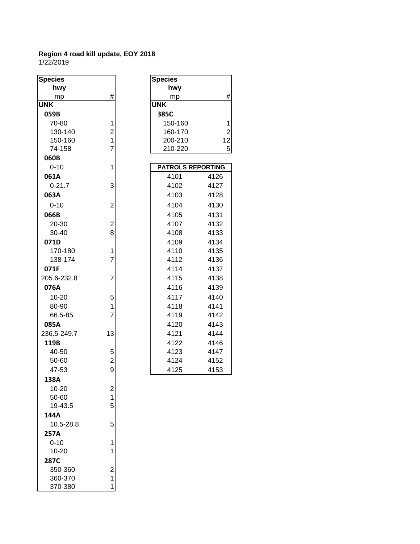| <b>Species</b> |                         | <b>Species</b>           |                |
|----------------|-------------------------|--------------------------|----------------|
| hwy            |                         | hwy                      |                |
| mp             | #                       | mp                       | #              |
| <b>UNK</b>     |                         | <b>UNK</b>               |                |
| 059B           |                         | 385C                     |                |
| 70-80          | 1                       | 150-160                  | 1              |
| 130-140        | $\overline{\mathbf{c}}$ | 160-170                  | $\overline{c}$ |
| 150-160        | $\mathbf{1}$            | 200-210                  | 12             |
| 74-158         | $\overline{7}$          | 210-220                  | 5              |
| 060B           |                         |                          |                |
| $0 - 10$       | 1                       | <b>PATROLS REPORTING</b> |                |
| 061A           |                         | 4101                     | 4126           |
| $0 - 21.7$     | 3                       | 4102                     | 4127           |
| 063A           |                         | 4103                     | 4128           |
| $0 - 10$       | $\overline{2}$          | 4104                     | 4130           |
| 066B           |                         | 4105                     | 4131           |
| 20-30          | $\overline{\mathbf{c}}$ | 4107                     | 4132           |
| 30-40          | 8                       | 4108                     | 4133           |
| 071D           |                         | 4109                     | 4134           |
| 170-180        | 1                       | 4110                     | 4135           |
| 138-174        | $\overline{7}$          | 4112                     | 4136           |
| 071F           |                         | 4114                     | 4137           |
| 205.6-232.8    | $\overline{7}$          | 4115                     | 4138           |
| 076A           |                         | 4116                     | 4139           |
| 10-20          | 5                       | 4117                     | 4140           |
| 80-90          | 1                       | 4118                     | 4141           |
| 66.5-85        | 7                       | 4119                     | 4142           |
| 085A           |                         | 4120                     | 4143           |
| 236.5-249.7    | 13                      | 4121                     | 4144           |
| 119B           |                         | 4122                     | 4146           |
| 40-50          | 5                       | 4123                     | 4147           |
| 50-60          | $\overline{\mathbf{c}}$ | 4124                     | 4152           |
| 47-53          | 9                       | 4125                     | 4153           |
| 138A           |                         |                          |                |
| 10-20          | $\overline{\mathbf{c}}$ |                          |                |
| 50-60          | 1                       |                          |                |
| 19-43.5        | 5                       |                          |                |
| 144A           |                         |                          |                |
| 10.5-28.8      | 5                       |                          |                |
| 257A           |                         |                          |                |
| $0 - 10$       | 1                       |                          |                |
| 10-20          | 1                       |                          |                |
| 287C           |                         |                          |                |
| 350-360        | $\overline{c}$          |                          |                |
| 360-370        | 1                       |                          |                |
| 370-380        | 1                       |                          |                |
|                |                         |                          |                |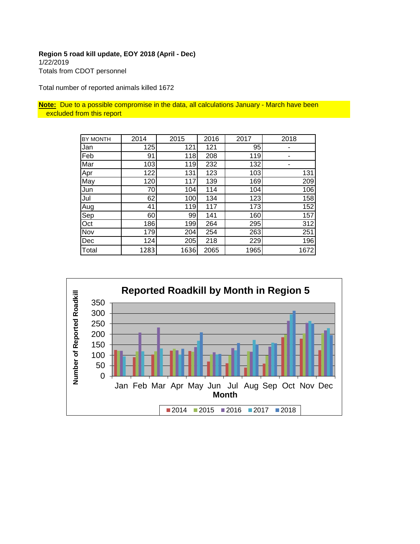# **Region 5 road kill update, EOY 2018 (April - Dec)** 1/22/2019 Totals from CDOT personnel

Total number of reported animals killed 1672

**Note:** Due to a possible compromise in the data, all calculations January - March have been excluded from this report

| <b>BY MONTH</b> | 2014 | 2015 | 2016 | 2017 | 2018 |
|-----------------|------|------|------|------|------|
| Jan             | 125  | 121  | 121  | 95   |      |
| Feb             | 91   | 118  | 208  | 119  |      |
| Mar             | 103  | 119  | 232  | 132  |      |
| Apr             | 122  | 131  | 123  | 103  | 131  |
| May             | 120  | 117  | 139  | 169  | 209  |
| Jun             | 70   | 104  | 114  | 104  | 106  |
| Jul             | 62   | 100  | 134  | 123  | 158  |
| Aug             | 41   | 119  | 117  | 173  | 152  |
| Sep             | 60   | 99   | 141  | 160  | 157  |
| Oct             | 186  | 199  | 264  | 295  | 312  |
| Nov             | 179  | 204  | 254  | 263  | 251  |
| Dec             | 124  | 205  | 218  | 229  | 196  |
| Total           | 1283 | 1636 | 2065 | 1965 | 1672 |

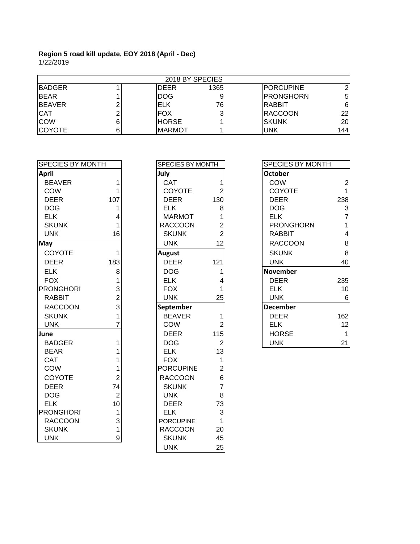| 2018 BY SPECIES |  |               |      |                  |                 |  |
|-----------------|--|---------------|------|------------------|-----------------|--|
| <b>BADGER</b>   |  | <b>DEER</b>   | 1365 | <b>PORCUPINE</b> |                 |  |
| <b>I</b> BEAR   |  | DOG           | 9    | <b>PRONGHORN</b> | 5               |  |
| IBEAVER         |  | IELK          | 76   | IRABBIT          | 6               |  |
| <b>CAT</b>      |  | IFOX          | 31   | RACCOON          | 22              |  |
| <b>COW</b>      |  | <b>HORSE</b>  |      | Iskunk           | 20 <sub>l</sub> |  |
| ICOYOTE         |  | <b>MARMOT</b> |      | <b>UNK</b>       | 144             |  |

| <b> SPECIES BY MONTH</b> |                | SPECIES BY MONTH |                | <b>SPECIES BY MONTH</b> |
|--------------------------|----------------|------------------|----------------|-------------------------|
| <b>April</b>             |                | July             |                | <b>October</b>          |
| <b>BEAVER</b>            | 1              | <b>CAT</b>       | 1              | <b>COW</b>              |
| <b>COW</b>               | 1              | <b>COYOTE</b>    | $\overline{2}$ | <b>COYOTE</b>           |
| <b>DEER</b>              | 107            | <b>DEER</b>      | 130            | <b>DEER</b>             |
| <b>DOG</b>               | 1              | <b>ELK</b>       | 8              | <b>DOG</b>              |
| <b>ELK</b>               | 4              | <b>MARMOT</b>    |                | <b>ELK</b>              |
| <b>SKUNK</b>             | 1              | <b>RACCOON</b>   | $\overline{2}$ | <b>PRONGHORN</b>        |
| <b>UNK</b>               | 16             | <b>SKUNK</b>     | $\overline{2}$ | <b>RABBIT</b>           |
| May]                     |                | <b>UNK</b>       | 12             | <b>RACCOON</b>          |
| COYOTE                   | 1              | <b>August</b>    |                | <b>SKUNK</b>            |
| <b>DEER</b>              | 183            | <b>DEER</b>      | 121            | <b>UNK</b>              |
| <b>ELK</b>               | 8              | <b>DOG</b>       |                | <b>November</b>         |
| <b>FOX</b>               | 1              | <b>ELK</b>       |                | <b>DEER</b>             |
| <b>PRONGHORI</b>         | 3              | <b>FOX</b>       |                | <b>ELK</b>              |
| <b>RABBIT</b>            | $\overline{2}$ | <b>UNK</b>       | 25             | <b>UNK</b>              |
| <b>RACCOON</b>           | 3              | September        |                | <b>December</b>         |
| <b>SKUNK</b>             |                | <b>BEAVER</b>    |                | <b>DEER</b>             |
| <b>UNK</b>               |                | <b>COW</b>       | $\overline{2}$ | <b>ELK</b>              |
| June                     |                | <b>DEER</b>      | 115            | <b>HORSE</b>            |
| <b>BADGER</b>            | 1              | DOG              | $\overline{2}$ | <b>UNK</b>              |
| <b>BEAR</b>              |                | <b>ELK</b>       | 13             |                         |
| CAT                      |                | <b>FOX</b>       |                |                         |
| COW                      |                | <b>PORCUPINE</b> | $\overline{2}$ |                         |
| <b>COYOTE</b>            | $\overline{2}$ | <b>RACCOON</b>   | 6              |                         |
| <b>DEER</b>              | 74             | <b>SKUNK</b>     | $\overline{7}$ |                         |
| <b>DOG</b>               | $\overline{2}$ | <b>UNK</b>       | 8              |                         |
| <b>ELK</b>               | 10             | <b>DEER</b>      | 73             |                         |
| <b>PRONGHORI</b>         | 1              | <b>ELK</b>       | 3              |                         |
| <b>RACCOON</b>           | 3              | <b>PORCUPINE</b> |                |                         |
| <b>SKUNK</b>             | 1              | <b>RACCOON</b>   | 20             |                         |
| <b>UNK</b>               | 9              | <b>SKUNK</b>     | 45             |                         |

| SPECIES BY MONTH |                                              |  |  |  |  |
|------------------|----------------------------------------------|--|--|--|--|
| luly             |                                              |  |  |  |  |
| CAT              | 1<br>2                                       |  |  |  |  |
| <b>COYOTE</b>    |                                              |  |  |  |  |
| <b>DEER</b>      | 130                                          |  |  |  |  |
| <b>ELK</b>       |                                              |  |  |  |  |
| <b>MARMOT</b>    |                                              |  |  |  |  |
| <b>RACCOON</b>   |                                              |  |  |  |  |
| <b>SKUNK</b>     |                                              |  |  |  |  |
| <b>UNK</b>       |                                              |  |  |  |  |
| <b>August</b>    |                                              |  |  |  |  |
| <b>DEER</b>      | 121                                          |  |  |  |  |
| <b>DOG</b>       | 1                                            |  |  |  |  |
| <b>ELK</b>       | 4                                            |  |  |  |  |
| <b>FOX</b>       | 1                                            |  |  |  |  |
| <b>UNK</b>       | 25                                           |  |  |  |  |
| September        |                                              |  |  |  |  |
| <b>BEAVER</b>    |                                              |  |  |  |  |
| COW              |                                              |  |  |  |  |
| <b>DEER</b>      | $\begin{array}{c} 1 \\ 2 \\ 115 \end{array}$ |  |  |  |  |
| <b>DOG</b>       |                                              |  |  |  |  |
| <b>ELK</b>       |                                              |  |  |  |  |
| <b>FOX</b>       |                                              |  |  |  |  |
| <b>PORCUPINE</b> |                                              |  |  |  |  |
| <b>RACCOON</b>   |                                              |  |  |  |  |
| <b>SKUNK</b>     |                                              |  |  |  |  |
| <b>UNK</b>       | $231$<br>$126$<br>$678$                      |  |  |  |  |
| <b>DEER</b>      | $\begin{array}{c} 73 \\ 3 \\ 1 \end{array}$  |  |  |  |  |
| <b>ELK</b>       |                                              |  |  |  |  |
| <b>PORCUPINE</b> |                                              |  |  |  |  |
| <b>RACCOON</b>   | 20                                           |  |  |  |  |
| <b>SKUNK</b>     | 45                                           |  |  |  |  |
| <b>UNK</b>       | 25                                           |  |  |  |  |

| SPECIES BY MONTH |     | <b>SPECIES BY MONTH</b> |     | SPECIES BY MONTH |     |
|------------------|-----|-------------------------|-----|------------------|-----|
| April            |     | July                    |     | <b>October</b>   |     |
| <b>BEAVER</b>    |     | <b>CAT</b>              |     | <b>COW</b>       |     |
| <b>COW</b>       |     | <b>COYOTE</b>           |     | <b>COYOTE</b>    |     |
| <b>DEER</b>      | 107 | <b>DEER</b>             | 130 | <b>DEER</b>      | 238 |
| <b>DOG</b>       |     | <b>ELK</b>              | 8   | <b>DOG</b>       |     |
| <b>ELK</b>       |     | <b>MARMOT</b>           |     | <b>ELK</b>       |     |
| <b>SKUNK</b>     |     | <b>RACCOON</b>          |     | <b>PRONGHORN</b> |     |
| <b>UNK</b>       | 16  | <b>SKUNK</b>            |     | <b>RABBIT</b>    |     |
| May              |     | <b>UNK</b>              | 12  | <b>RACCOON</b>   | 8   |
| <b>COYOTE</b>    |     | <b>August</b>           |     | <b>SKUNK</b>     | 8   |
| <b>DEER</b>      | 183 | <b>DEER</b>             | 121 | <b>UNK</b>       | 40  |
| <b>ELK</b>       | 8   | <b>DOG</b>              |     | <b>November</b>  |     |
| <b>FOX</b>       |     | <b>ELK</b>              |     | <b>DEER</b>      | 235 |
| <b>PRONGHORI</b> | 3   | <b>FOX</b>              |     | <b>ELK</b>       | 10  |
| <b>RABBIT</b>    | 2   | <b>UNK</b>              | 25  | <b>UNK</b>       | 6   |
| <b>RACCOON</b>   | 3   | September               |     | <b>December</b>  |     |
| <b>SKUNK</b>     |     | <b>BEAVER</b>           |     | <b>DEER</b>      | 162 |
| <b>UNK</b>       |     | <b>COW</b>              |     | <b>ELK</b>       | 12  |
| June             |     | <b>DEER</b>             | 115 | <b>HORSE</b>     |     |
| <b>BADGER</b>    |     | <b>DOG</b>              | 2   | <b>UNK</b>       | 21  |
|                  |     |                         |     |                  |     |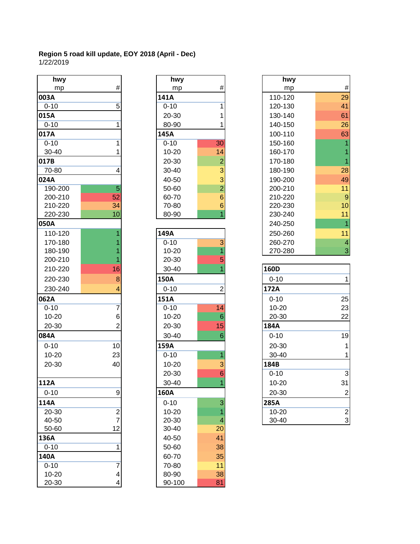| hwy               |                         | hwy         |                 | hwy       |                |
|-------------------|-------------------------|-------------|-----------------|-----------|----------------|
| mp                | $\#$                    | mp          | #               | mp        | #              |
| 003A              |                         | 141A        |                 | 110-120   | 29             |
| $0 - 10$          | 5                       | $0 - 10$    | 1               | 120-130   | 41             |
| 015A              |                         | 20-30       | 1               | 130-140   | 61             |
| $0 - 10$          | 1                       | 80-90       |                 | 140-150   | 26             |
| 017A              |                         | 145A        |                 | 100-110   | 63             |
| $0 - 10$          | 1                       | $0 - 10$    | $\overline{30}$ | 150-160   |                |
| 30-40             |                         | $10 - 20$   | 14              | 160-170   |                |
| 017B              |                         | 20-30       | $\overline{c}$  | 170-180   | $\overline{1}$ |
| 70-80             | 4                       | 30-40       | $\overline{3}$  | 180-190   | 28             |
| 024A              |                         | 40-50       | $\overline{3}$  | 190-200   | 49             |
| 190-200           | $\overline{5}$          | 50-60       | $\overline{2}$  | 200-210   | 11             |
| 200-210           | 52                      | 60-70       | $6\phantom{1}$  | 210-220   | 9              |
| 210-220           | 34                      | 70-80       | 6 <sup>1</sup>  | 220-230   | 10             |
| 220-230           | 10                      | 80-90       | $\overline{1}$  | 230-240   | 11             |
| 050A              |                         |             |                 | 240-250   | $\overline{1}$ |
| 110-120           |                         | 149A        |                 | 250-260   | 11             |
| 170-180           |                         | $0 - 10$    | 3               | 260-270   | $\overline{4}$ |
| 180-190           |                         | $10 - 20$   |                 | 270-280   | 3              |
| 200-210           |                         | 20-30       | 5               |           |                |
| 210-220           | 16                      | 30-40       |                 | 160D      |                |
| 220-230           | 8                       | <b>150A</b> |                 | $0 - 10$  | 1              |
| 230-240           |                         | $0 - 10$    | $\overline{2}$  | 172A      |                |
| 062A              |                         | 151A        |                 | $0 - 10$  | 25             |
| $0 - 10$          | 7                       | $0 - 10$    | 14              | $10 - 20$ | 23             |
| $10 - 20$         | 6                       | $10 - 20$   | $6\phantom{1}$  | 20-30     | 22             |
| 20-30             | 2                       | 20-30       | 15              | 184A      |                |
| 084A              |                         | 30-40       | 6               | $0 - 10$  | 19             |
| $0 - 10$          | 10                      | 159A        |                 | 20-30     | $\mathbf{1}$   |
| $10 - 20$         | 23                      | $0 - 10$    | 1               | 30-40     | 1              |
| 20-30             | 40                      | $10 - 20$   | 3               | 184B      |                |
|                   |                         | 20-30       | $6\phantom{1}6$ | $0 - 10$  | $\overline{3}$ |
| $\overline{112A}$ |                         | $30 - 40$   |                 | $10 - 20$ | 31             |
| $0 - 10$          | 9                       | 160A        |                 | 20-30     | $\overline{c}$ |
| 114A              |                         | $0 - 10$    | 3               | 285A      |                |
| 20-30             | $\overline{\mathbf{c}}$ | 10-20       |                 | $10 - 20$ | $\overline{c}$ |
| 40-50             | $\overline{7}$          | 20-30       | 4               | 30-40     | 3              |
| 50-60             | 12                      | 30-40       | 20              |           |                |
| 136A              |                         | 40-50       | 41              |           |                |
| $0 - 10$          | 1                       | 50-60       | 38              |           |                |
| 140A              |                         | 60-70       | 35              |           |                |
| $0 - 10$          | 7                       | 70-80       | 11              |           |                |
| 10-20             | 4                       | 80-90       | 38              |           |                |
| 20-30             | 4                       | 90-100      | 81              |           |                |

| hwy                      |                | hwy        |                 | hwy       |
|--------------------------|----------------|------------|-----------------|-----------|
| mp                       | #              | mp         | #               | mp        |
| ι                        |                | 141A       |                 | 110-120   |
| $\overline{0}$           | 5              | $0 - 10$   | 1               | 120-130   |
| Í                        |                | 20-30      | 1               | 130-140   |
| $\overline{0}$           | 1              | 80-90      |                 | 140-150   |
| I                        |                | 145A       |                 | 100-110   |
| $\overline{0}$           | 1              | $0 - 10$   | $\overline{30}$ | 150-160   |
| $-40$                    | 1              | $10 - 20$  | 14              | 160-170   |
|                          |                | 20-30      | $\overline{2}$  | 170-180   |
| -80                      | 4              | 30-40      | 3               | 180-190   |
|                          |                | 40-50      | 3               | 190-200   |
| $0 - 200$                | 5              | 50-60      | $\overline{2}$  | 200-210   |
| 0-210                    | 52             | 60-70      | 6               | 210-220   |
| 0-220                    | 34             | 70-80      | 6               | 220-230   |
| 0-230                    | 10             | 80-90      | $\overline{1}$  | 230-240   |
| V                        |                |            |                 | 240-250   |
| $0 - 120$                | 1              | 149A       |                 | 250-260   |
| $0 - 180$                |                | $0 - 10$   | $\overline{3}$  | 260-270   |
| 0-190                    |                | $10 - 20$  | 1               | 270-280   |
| $0 - 210$                |                | 20-30      | 5               |           |
| $0 - 220$                | 16             | 30-40      |                 | 160D      |
| 0-230                    | 8              | 150A       |                 | $0 - 10$  |
| $0 - 240$                | 4              | $0 - 10$   | $\overline{2}$  | 172A      |
| Í.                       |                | 151A       |                 | $0 - 10$  |
| $\overline{0}$           | $\overline{7}$ | $0 - 10$   | 14              | 10-20     |
| $-20$                    | 6              | $10 - 20$  | $6\phantom{1}$  | 20-30     |
| -30                      | $\overline{2}$ | 20-30      | 15              | 184A      |
| $\overline{\phantom{0}}$ |                | 30-40      | 6               | $0 - 10$  |
| $\overline{0}$           | 10             | 159A       |                 | 20-30     |
| $-20$                    | 23             | $0 - 10$   | 1               | 30-40     |
| -30                      | 40             | 10-20      | 3               | 184B      |
|                          |                | 20-30      | 6               | $0 - 10$  |
| v                        |                | 30-40      | 4.              | $10 - 20$ |
| $\overline{0}$           | 9              | 160A       |                 | 20-30     |
| ١                        |                | $0 - 10$   | 3               | 285A      |
| $-30$                    | $\overline{2}$ | $10 - 20$  | 1               | $10 - 20$ |
| $-50$                    | $\overline{7}$ | 20-30      | 4               | 30-40     |
| -60                      | 12             | 30-40      | 20              |           |
| Í.                       |                | 40-50      | 41              |           |
| $\overline{0}$           | $\mathbf{1}$   | 50-60      | 38              |           |
| V                        |                | 60-70      | 35              |           |
| $\overline{0}$           | 7              | 70-80      | 11              |           |
| $-20$                    | 4              | 80-90      | 38              |           |
| -30                      | 4              | $90 - 100$ | 81              |           |

|                | hwy         |                         | hwy                                    |                |
|----------------|-------------|-------------------------|----------------------------------------|----------------|
| #              | mp          | #                       | mp                                     | #              |
|                | 141A        |                         | 110-120                                | 29             |
| $\overline{5}$ | $0 - 10$    | 1                       | 120-130                                | 41             |
|                | 20-30       |                         | 130-140                                | 61             |
| 1              | 80-90       |                         | 140-150                                | 26             |
|                | 145A        |                         | 100-110                                | 63             |
| 1              | $0 - 10$    | $\overline{30}$         | 150-160                                |                |
| 1              | $10 - 20$   | 14                      | 160-170                                |                |
|                | 20-30       | $\overline{2}$          | 170-180                                |                |
| 4              | 30-40       | 3                       | 180-190                                | 28             |
|                | 40-50       | 3                       | 190-200                                | 49             |
| 5              | 50-60       | $\overline{2}$          | 200-210                                | 11             |
| 52             | 60-70       | 6                       | 210-220                                | $\overline{9}$ |
| 34             | 70-80       | $6\phantom{1}$          | 220-230                                | 10             |
|                |             |                         | 230-240                                | 11             |
|                |             |                         | 240-250                                | 1              |
| 1              | 149A        |                         | 250-260                                | 11             |
|                | $0 - 10$    | $\overline{3}$          | 260-270                                | $\overline{4}$ |
|                | $10 - 20$   |                         | 270-280                                | 3              |
|                | 20-30       | 5                       |                                        |                |
| 16             | 30-40       |                         | 160D                                   |                |
| 8              | <b>150A</b> |                         | $0 - 10$                               | 1              |
| 4              | $0 - 10$    | 2                       | 172A                                   |                |
|                | 151A        |                         | $0 - 10$                               | 25             |
| $\overline{7}$ | $0 - 10$    | 14                      | $10 - 20$                              | 23             |
| 6              | $10 - 20$   | $6\phantom{1}6$         | 20-30                                  | 22             |
| $\overline{2}$ | 20-30       | 15                      | 184A                                   |                |
|                | $30 - 40$   | 6                       | $0 - 10$                               | 19             |
| 10             | 159A        |                         | 20-30                                  |                |
| 23             | $0 - 10$    | 1                       | 30-40                                  |                |
|                | $10 - 20$   |                         |                                        |                |
|                |             |                         | $0 - 10$                               | $\overline{3}$ |
|                |             | 1                       | $10 - 20$                              | 31             |
|                | 10<br>40    | 80-90<br>20-30<br>30-40 | $\overline{1}$<br>3<br>$6\phantom{1}6$ | 184B           |

| 16 | $30 - 40$ |                | 160D        |                |
|----|-----------|----------------|-------------|----------------|
| 8  | 150A      |                | $0 - 10$    |                |
| 4  | $0 - 10$  | $\overline{2}$ | 172A        |                |
|    | 151A      |                | $0 - 10$    | 25             |
|    | $0 - 10$  | 14             | $10 - 20$   | 23             |
| 6  | 10-20     | 6              | 20-30       | 22             |
|    | 20-30     | 15             | 184A        |                |
|    | $30 - 40$ | 6              | $0 - 10$    | 19             |
| 10 | 159A      |                | 20-30       |                |
| 23 | $0 - 10$  |                | $30 - 40$   |                |
| 40 | $10 - 20$ | 3              | 184B        |                |
|    | 20-30     | 6              | $0 - 10$    | $\overline{3}$ |
|    | $30 - 40$ |                | $10 - 20$   | 31             |
| 9  | 160A      |                | 20-30       | $\overline{2}$ |
|    | $0 - 10$  | 3              | <b>285A</b> |                |
| 2  | 10-20     |                | $10 - 20$   | $\overline{2}$ |
|    | 20-30     | 4              | $30 - 40$   | $\overline{3}$ |
|    |           |                |             |                |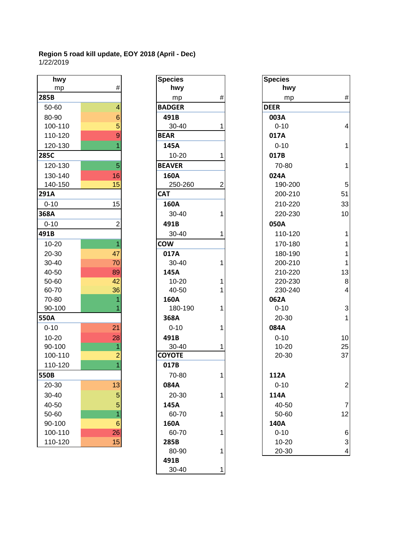| hwy       |                | <b>Species</b> |   | <b>Species</b> |
|-----------|----------------|----------------|---|----------------|
| mp        | #              | hwy            |   | hv             |
| 285B      |                | mp             | # | m              |
| 50-60     | 4              | <b>BADGER</b>  |   | <b>DEER</b>    |
| 80-90     | 6              | 491B           |   | 003A           |
| 100-110   | 5              | 30-40          |   | $0 - 10$       |
| 110-120   | 9              | <b>BEAR</b>    |   | 017A           |
| 120-130   | 1              | 145A           |   | $0 - 10$       |
| 285C      |                | 10-20          | 1 | 017B           |
| 120-130   | 5              | <b>BEAVER</b>  |   | $70-8$         |
| 130-140   | 16             | 160A           |   | 024A           |
| 140-150   | 15             | 250-260        | 2 | 190-           |
| 291A      |                | <b>CAT</b>     |   | $200 - 1$      |
| $0 - 10$  | 15             | 160A           |   | $210 - 2$      |
| 368A      |                | 30-40          |   | $220 - 1$      |
| $0 - 10$  | $\overline{2}$ | 491B           |   | 050A           |
| 491B      |                | 30-40          |   | $110 -$        |
| $10 - 20$ | $\overline{1}$ | <b>COW</b>     |   | $170 -$        |
| 20-30     | 47             | 017A           |   | 180-           |
| 30-40     | 70             | $30 - 40$      | 1 | $200 - 1$      |
| 40-50     | 89             | 145A           |   | $210 - 2$      |
| 50-60     | 42             | $10 - 20$      | 1 | $220 - 2$      |
| 60-70     | 36             | 40-50          | 1 | 230-           |
| 70-80     | 1              | 160A           |   | 062A           |
| 90-100    |                | 180-190        |   | $0 - 10$       |
| 550A      |                | 368A           |   | $20 - 3$       |
| $0 - 10$  | 21             | $0 - 10$       | 1 | 084A           |
| $10 - 20$ | 28             | 491B           |   | $0 - 10$       |
| 90-100    | 1              | 30-40          |   | $10-2$         |
| 100-110   | $\overline{2}$ | <b>COYOTE</b>  |   | $20 - 3$       |
| 110-120   |                | 017B           |   |                |
| 550B      |                | 70-80          | 1 | 112A           |
| 20-30     | 13             | 084A           |   | $0 - 10$       |
| 30-40     | 5              | 20-30          | 1 | 114A           |
| 40-50     | 5              | 145A           |   | $40 - 5$       |
| 50-60     | $\overline{1}$ | 60-70          | 1 | $50 - 6$       |
| 90-100    | $6\phantom{1}$ | 160A           |   | 140A           |
| 100-110   | 26             | 60-70          | 1 | $0 - 10$       |
| 110-120   | 15             | 285B           |   | $10 - 2$       |

| <b>nwy</b> |                 | <b>Species</b> |   | <b>Species</b> |
|------------|-----------------|----------------|---|----------------|
| mp         | #               | hwy            |   | hwy            |
|            |                 | mp             | # | mp             |
| 60         | $\overline{4}$  | <b>BADGER</b>  |   | <b>DEER</b>    |
| 90         | 6               | 491B           |   | 003A           |
| $-110$     | 5               | 30-40          | 1 | $0 - 10$       |
| $-120$     | 9               | <b>BEAR</b>    |   | 017A           |
| $-130$     | 1               | 145A           |   | $0 - 10$       |
|            |                 | $10 - 20$      | 1 | 017B           |
| $-130$     | 5               | <b>BEAVER</b>  |   | 70-80          |
| $-140$     | 16              | 160A           |   | 024A           |
| $-150$     | 15              | 250-260        | 2 | 190-20         |
|            |                 | <b>CAT</b>     |   | 200-21         |
| 0          | 15              | 160A           |   | 210-22         |
|            |                 | 30-40          | 1 | 220-23         |
| 0          | $\overline{2}$  | 491B           |   | 050A           |
|            |                 | 30-40          | 1 | 110-12         |
| 20         | $\overline{1}$  | <b>COW</b>     |   | 170-18         |
| 30         | 47              | 017A           |   | 180-19         |
| 40         | 70              | 30-40          | 1 | 200-21         |
| 50         | 89              | 145A           |   | 210-22         |
| 60         | 42              | $10 - 20$      | 1 | 220-23         |
| 70         | 36              | 40-50          | 1 | 230-24         |
| 80         | 1               | 160A           |   | 062A           |
| 100        |                 | 180-190        | 1 | $0 - 10$       |
|            |                 | 368A           |   | 20-30          |
| 0          | 21              | $0 - 10$       | 1 | 084A           |
| 20         | 28              | 491B           |   | $0 - 10$       |
| 100        | $\overline{1}$  | 30-40          | 1 | $10 - 20$      |
| $-110$     | $\overline{2}$  | <b>COYOTE</b>  |   | 20-30          |
| $-120$     | 1               | 017B           |   |                |
|            |                 | 70-80          | 1 | 112A           |
| 30         | 13              | 084A           |   | $0 - 10$       |
| 40         | 5               | 20-30          | 1 | 114A           |
| 50         | 5               | 145A           |   | 40-50          |
| 60         | $\overline{1}$  | 60-70          | 1 | 50-60          |
| 100        | $6\phantom{1}6$ | 160A           |   | 140A           |
| $-110$     | 26              | 60-70          | 1 | $0 - 10$       |
| $-120$     | 15              | 285B           |   | 10-20          |
|            |                 | 80-90          | 1 | 20-30          |
|            |                 | 491B           |   |                |
|            |                 | 30-40          | 1 |                |
|            |                 |                |   |                |

| hwy       |                 | <b>Species</b>            | <b>Species</b> |    |
|-----------|-----------------|---------------------------|----------------|----|
| mp        | $\#$            | hwy                       | hwy            |    |
| 285B      |                 | $\#$<br>mp                | mp             |    |
| 50-60     | 4               | <b>BADGER</b>             | <b>DEER</b>    |    |
| 80-90     | 6               | 491B                      | 003A           |    |
| 100-110   | 5               | 30-40<br>1                | $0 - 10$       |    |
| 110-120   | 9               | <b>BEAR</b>               | 017A           |    |
| 120-130   |                 | 145A                      | $0 - 10$       |    |
| 285C      |                 | 10-20<br>1                | 017B           |    |
| 120-130   | 5               | <b>BEAVER</b>             | 70-80          |    |
| 130-140   | 16              | 160A                      | 024A           |    |
| 140-150   | 15              | 250-260<br>$\overline{2}$ | 190-200        |    |
| 291A      |                 | <b>CAT</b>                | 200-210        | 51 |
| $0 - 10$  | 15              | 160A                      | 210-220        | 33 |
| 368A      |                 | 30-40<br>1                | 220-230        | 10 |
| $0 - 10$  | $\overline{2}$  | 491B                      | 050A           |    |
| 491B      |                 | 30-40<br>1                | 110-120        |    |
| $10 - 20$ | 1               | <b>COW</b>                | 170-180        |    |
| 20-30     | 47              | 017A                      | 180-190        |    |
| 30-40     | 70              | 30-40<br>1                | 200-210        |    |
| 40-50     | 89              | 145A                      | 210-220        | 13 |
| 50-60     | 42              | $10 - 20$<br>1            | 220-230        |    |
| 60-70     | 36              | 40-50<br>1                | 230-240        |    |
| 70-80     |                 | 160A                      | 062A           |    |
| 90-100    |                 | 180-190<br>1              | $0 - 10$       |    |
| 550A      |                 | 368A                      | 20-30          |    |
| $0 - 10$  | 21              | $0 - 10$<br>1             | 084A           |    |
| $10 - 20$ | 28              | 491B                      | $0 - 10$       | 10 |
| 90-100    | 1               | 30-40<br>1                | $10 - 20$      | 25 |
| 100-110   | $\overline{c}$  | <b>COYOTE</b>             | 20-30          | 37 |
| 110-120   |                 | 017B                      |                |    |
| 550B      |                 | 70-80<br>1                | 112A           |    |
| 20-30     | 13              | 084A                      | $0 - 10$       |    |
| 30-40     | 5               | 20-30<br>1                | 114A           |    |
| 40-50     | 5               | 145A                      | 40-50          |    |
| 50-60     | 1               | 60-70<br>1                | 50-60          | 12 |
| 90-100    | $6\phantom{1}6$ | 160A                      | 140A           |    |
| 100-110   | 26              | 60-70<br>1                | $0 - 10$       |    |
| 110-120   | 15              | 285B                      | 10-20          |    |
|           |                 | 80-90<br>1                | 20-30          |    |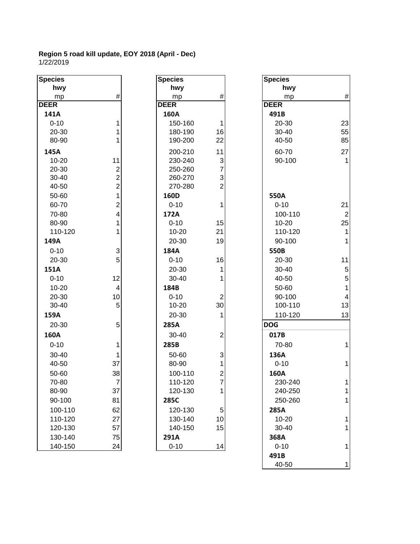| <b>Species</b> |                           | <b>Species</b> |                         | <b>Species</b> |
|----------------|---------------------------|----------------|-------------------------|----------------|
| hwy            |                           | hwy            |                         | hwy            |
| mp             | $\#$                      | mp             | #                       | mp             |
| <b>DEER</b>    |                           | <b>DEER</b>    |                         | <b>DEER</b>    |
| 141A           |                           | 160A           |                         | 491B           |
| $0 - 10$       | 1                         | 150-160        | $\mathbf{1}$            | 20-30          |
| 20-30          | 1                         | 180-190        | 16                      | 30-40          |
| 80-90          | 1                         | 190-200        | 22                      | 40-50          |
| 145A           |                           | 200-210        | 11                      | 60-70          |
| $10 - 20$      | 11                        | 230-240        | 3                       | 90-100         |
| 20-30          | $\overline{c}$            | 250-260        | $\overline{7}$          |                |
| 30-40          | $\overline{2}$            | 260-270        | 3                       |                |
| 40-50          | $\overline{2}$            | 270-280        | $\overline{2}$          |                |
| 50-60          | $\overline{1}$            | 160D           |                         | 550A           |
| 60-70          | $\overline{2}$            | $0 - 10$       | $\mathbf{1}$            | $0 - 10$       |
| 70-80          | $\overline{\mathbf{4}}$   | 172A           |                         | 100-11         |
| 80-90          | $\mathbf{1}$              | $0 - 10$       | 15                      | $10 - 20$      |
| 110-120        | 1                         | $10 - 20$      | 21                      | 110-12         |
| 149A           |                           | 20-30          | 19                      | 90-100         |
| $0 - 10$       | $\ensuremath{\mathsf{3}}$ | 184A           |                         | 550B           |
| 20-30          | 5                         | $0 - 10$       | 16                      | 20-30          |
| 151A           |                           | 20-30          | 1                       | $30 - 40$      |
| $0 - 10$       | 12                        | 30-40          | 1                       | 40-50          |
| $10 - 20$      | $\overline{\mathbf{4}}$   | 184B           |                         | 50-60          |
| 20-30          | 10                        | $0 - 10$       | $\overline{2}$          | 90-100         |
| 30-40          | 5                         | $10 - 20$      | 30                      | 100-11         |
| 159A           |                           | 20-30          | 1                       | 110-12         |
| 20-30          | 5                         | 285A           |                         | <b>DOG</b>     |
| 160A           |                           | 30-40          | $\overline{2}$          | 017B           |
| $0 - 10$       | 1                         | 285B           |                         | 70-80          |
| 30-40          | 1                         | 50-60          | 3                       | 136A           |
| 40-50          | 37                        | 80-90          | 1                       | $0 - 10$       |
| 50-60          | 38                        | 100-110        | $\overline{\mathbf{c}}$ | 160A           |
| 70-80          | $\overline{7}$            | 110-120        | $\overline{7}$          | 230-24         |
| 80-90          | 37                        | 120-130        | 1                       | 240-25         |
| 90-100         | 81                        | 285C           |                         | 250-26         |
| 100-110        | 62                        | 120-130        | 5                       | 285A           |
| 110-120        | 27                        | 130-140        | 10                      | 10-20          |
| 120-130        | 57                        | 140-150        | 15                      | 30-40          |
| 130-140        | 75                        | 291A           |                         | 368A           |
| 140-150        | 24                        | $0 - 10$       | 14                      | $0 - 10$       |

| Species          |                                            |
|------------------|--------------------------------------------|
| hwy              |                                            |
| <u>mp</u>        | #                                          |
| <b>DEER</b>      |                                            |
| 160A             |                                            |
| 150-160          | 1                                          |
| 180-190          | 16                                         |
| 190-200          | 22                                         |
| 200-210          | 11                                         |
| 230-240          |                                            |
| 250-260          |                                            |
| 260-270          | $\begin{array}{c} 3 \\ 7 \\ 2 \end{array}$ |
| 270-280          |                                            |
| 160D             | $\overline{\mathbf{1}}$                    |
| $0 - 10$         |                                            |
| 172A<br>$0 - 10$ | 15                                         |
| 10-20            | 21                                         |
| 20-30            | 19                                         |
| 184A             |                                            |
| $0 - 10$         | 16                                         |
| 20-30            | 1                                          |
| 30-40            | $\overline{1}$                             |
| 184B             |                                            |
| $0 - 10$         |                                            |
| 10-20            | 2<br>30                                    |
| 20-30            | 1                                          |
| 285A             |                                            |
| 30-40            | $\overline{c}$                             |
| 285B             |                                            |
| 50-60            | $\begin{array}{c} 3 \\ 1 \\ 2 \end{array}$ |
| 80-90            |                                            |
| 100-110          |                                            |
| 110-120          | 7                                          |
| 120-130          | 1                                          |
| 285C             |                                            |
| 120-130          |                                            |
| 130-140          | 10                                         |
| 140-150          | 15                                         |
| 291A             |                                            |
| 0-10             |                                            |

| pecies    |                           | <b>Species</b> |                           | <b>Species</b> |                         |
|-----------|---------------------------|----------------|---------------------------|----------------|-------------------------|
| hwy       |                           | hwy            |                           | hwy            |                         |
| mp        | $\#$                      | mp             | $\#$                      | mp             | $\#$                    |
| EER       |                           | <b>DEER</b>    |                           | <b>DEER</b>    |                         |
| 141A      |                           | 160A           |                           | 491B           |                         |
| $0 - 10$  | 1                         | 150-160        | 1                         | 20-30          | 23                      |
| 20-30     | 1                         | 180-190        | 16                        | 30-40          | 55                      |
| 80-90     | 1                         | 190-200        | 22                        | 40-50          | 85                      |
| 145A      |                           | 200-210        | 11                        | 60-70          | 27                      |
| $10 - 20$ | 11                        | 230-240        | $\mathsf 3$               | 90-100         | $\mathbf{1}$            |
| 20-30     | $\frac{2}{2}$             | 250-260        | $\overline{7}$            |                |                         |
| 30-40     |                           | 260-270        | 3                         |                |                         |
| 40-50     | $\overline{2}$            | 270-280        | $\overline{2}$            |                |                         |
| 50-60     | 1                         | 160D           |                           | 550A           |                         |
| 60-70     | $\overline{2}$            | $0 - 10$       | 1                         | $0 - 10$       | 21                      |
| 70-80     | 4                         | 172A           |                           | 100-110        | $\overline{2}$          |
| 80-90     | 1                         | $0 - 10$       | 15                        | $10 - 20$      | 25                      |
| 110-120   | 1                         | $10 - 20$      | 21                        | 110-120        | $\mathbf{1}$            |
| 149A      |                           | 20-30          | 19                        | 90-100         | $\mathbf{1}$            |
| $0 - 10$  | $\ensuremath{\mathsf{3}}$ | 184A           |                           | 550B           |                         |
| 20-30     | 5                         | $0 - 10$       | 16                        | 20-30          | 11                      |
| 151A      |                           | 20-30          | 1                         | 30-40          | 5                       |
| $0 - 10$  | 12                        | $30 - 40$      |                           | 40-50          | 5                       |
| 10-20     | $\overline{4}$            | 184B           |                           | 50-60          | $\mathbf{1}$            |
| 20-30     | 10                        | $0 - 10$       | $\boldsymbol{2}$          | 90-100         | $\overline{\mathbf{4}}$ |
| 30-40     | $5\,$                     | $10 - 20$      | 30                        | 100-110        | 13                      |
| 159A      |                           | 20-30          | 1                         | 110-120        | 13                      |
| 20-30     | 5                         | 285A           |                           | <b>DOG</b>     |                         |
| 160A      |                           | 30-40          | $\boldsymbol{2}$          | 017B           |                         |
| $0 - 10$  | 1                         | 285B           |                           | 70-80          | 1                       |
| 30-40     | 1                         | 50-60          | $\ensuremath{\mathsf{3}}$ | 136A           |                         |
| 40-50     | 37                        | 80-90          | 1                         | $0 - 10$       | $\mathbf{1}$            |
| 50-60     | 38                        | 100-110        | $\mathbf{2}$              | 160A           |                         |
| 70-80     | $\mathbf{7}$              | 110-120        | T                         | 230-240        | 1                       |
| 80-90     | 37                        | 120-130        | 1                         | 240-250        | 1                       |
| 90-100    | 81                        | 285C           |                           | 250-260        | $\mathbf{1}$            |
| 100-110   | 62                        | 120-130        | 5                         | 285A           |                         |
| 110-120   | 27                        | 130-140        | 10                        | $10 - 20$      | 1                       |
| 120-130   | 57                        | 140-150        | 15                        | 30-40          | 1                       |
| 130-140   | 75                        | 291A           |                           | 368A           |                         |
| 140-150   | 24                        | $0 - 10$       | 14                        | $0 - 10$       | $\mathbf{1}$            |
|           |                           |                |                           | 491B           |                         |
|           |                           |                |                           | 40-50          | 1                       |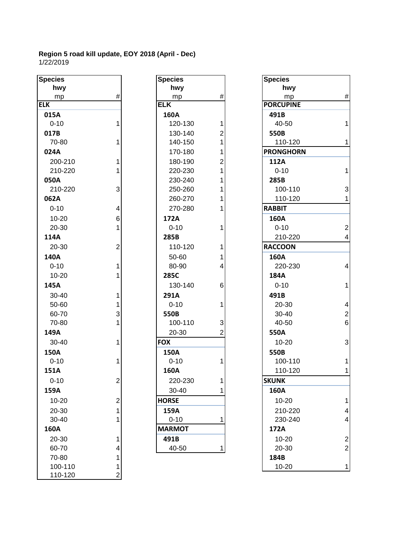| <b>Species</b> |                         | <b>Species</b> |                | <b>Species</b>   |
|----------------|-------------------------|----------------|----------------|------------------|
| hwy            |                         | hwy            |                | hwy              |
| mp             | $\#$                    | mp             | $\#$           | mp               |
| <b>ELK</b>     |                         | <b>ELK</b>     |                | <b>PORCUPINE</b> |
| 015A           |                         | 160A           |                | 491B             |
| $0 - 10$       | 1                       | 120-130        | 1              | 40-50            |
| 017B           |                         | 130-140        | $\overline{2}$ | 550B             |
| 70-80          | 1                       | 140-150        | $\overline{1}$ | 110-120          |
| 024A           |                         | 170-180        | 1              | <b>PRONGHORN</b> |
| 200-210        | 1                       | 180-190        | $\overline{2}$ | 112A             |
| 210-220        | 1                       | 220-230        | 1              | $0 - 10$         |
| 050A           |                         | 230-240        | 1              | 285B             |
| 210-220        | 3                       | 250-260        | 1              | 100-110          |
| 062A           |                         | 260-270        | 1              | 110-120          |
| $0 - 10$       | $\overline{\mathbf{4}}$ | 270-280        | 1              | <b>RABBIT</b>    |
| 10-20          | 6                       | 172A           |                | 160A             |
| 20-30          | 1                       | $0 - 10$       | 1              | $0 - 10$         |
| 114A           |                         | 285B           |                | 210-220          |
| 20-30          | $\overline{2}$          | 110-120        | 1              | <b>RACCOON</b>   |
| 140A           |                         | 50-60          | 1              | 160A             |
| $0 - 10$       | 1                       | 80-90          | 4              | 220-230          |
| $10 - 20$      | 1                       | 285C           |                | 184A             |
| 145A           |                         | 130-140        | 6              | $0 - 10$         |
| 30-40          | 1                       | 291A           |                | 491B             |
| 50-60          | 1                       | $0 - 10$       | 1              | 20-30            |
| 60-70          | 3                       | 550B           |                | 30-40            |
| 70-80          | 1                       | 100-110        | 3              | 40-50            |
| 149A           |                         | 20-30          | $\overline{2}$ | 550A             |
| $30 - 40$      | 1                       | <b>FOX</b>     |                | $10 - 20$        |
| 150A           |                         | 150A           |                | 550B             |
| $0 - 10$       | 1                       | $0 - 10$       | 1              | 100-110          |
| 151A           |                         | 160A           |                | 110-120          |
|                | $\mathfrak{p}$          | 220-230        | 1              | <b>SKUNK</b>     |
| $0 - 10$       |                         |                |                |                  |
| 159A           |                         | 30-40          | 1              | 160A             |
| 10-20          | $\overline{2}$          | <b>HORSE</b>   |                | 10-20            |
| 20-30          | 1                       | 159A           |                | 210-220          |
| 30-40          | 1                       | $0 - 10$       | 1              | 230-240          |
| 160A           |                         | <b>MARMOT</b>  |                | 172A             |
| 20-30          | 1                       | 491B           |                | 10-20            |
| 60-70          | 4                       | 40-50          | 1              | 20-30            |
| 70-80          | 1                       |                |                | 184B             |
| 100-110        | 1                       |                |                | 10-20            |
| 110-120        | $\overline{2}$          |                |                |                  |

| cies     |                         | <b>Species</b> |                | <b>Species</b>  |
|----------|-------------------------|----------------|----------------|-----------------|
| hwy      |                         | hwy            |                | hwy             |
| mp       | #                       | mp             | #              | mp              |
|          |                         | <b>ELK</b>     |                | <b>PORCUPIN</b> |
| L5A      |                         | 160A           |                | 491B            |
| $0 - 10$ | $\mathbf{1}$            | 120-130        | 1              | 40-50           |
| L7B      |                         | 130-140        | 2              | 550B            |
| 70-80    | $\mathbf{1}$            | 140-150        | 1              | 110-12          |
| 24A      |                         | 170-180        | 1              | <b>PRONGHO</b>  |
| 200-210  | $\mathbf{1}$            | 180-190        | $\overline{2}$ | 112A            |
| 210-220  | $\mathbf{1}$            | 220-230        | 1              | $0 - 10$        |
| 50A      |                         | 230-240        | 1              | 285B            |
| 210-220  | 3                       | 250-260        | 1              | 100-11          |
| 52A      |                         | 260-270        | 1              | 110-12          |
| 0-10     | $\overline{\mathbf{4}}$ | 270-280        | 1              | <b>RABBIT</b>   |
| 10-20    | 6                       | 172A           |                | 160A            |
| 20-30    | $\mathbf{1}$            | $0 - 10$       | 1              | $0 - 10$        |
| L4A      |                         | 285B           |                | 210-22          |
| 20-30    | $\overline{c}$          | 110-120        | 1              | <b>RACCOON</b>  |
| 10A      |                         | 50-60          | 1              | 160A            |
| 0-10     | $\mathbf{1}$            | 80-90          | 4              | 220-23          |
| 10-20    | 1                       | 285C           |                | 184A            |
| 15A      |                         | 130-140        | 6              | $0 - 10$        |
| 30-40    | $\mathbf{1}$            | 291A           |                | 491B            |
| 50-60    | $\mathbf{1}$            | $0 - 10$       | 1              | 20-30           |
| 60-70    | 3                       | 550B           |                | 30-40           |
| 70-80    | 1                       | 100-110        | 3              | 40-50           |
| 19A      |                         | 20-30          | $\overline{2}$ | 550A            |
| 30-40    | $\mathbf{1}$            | <b>FOX</b>     |                | $10 - 20$       |
| 50A      |                         | 150A           |                | 550B            |
| 0-10     | 1                       | $0 - 10$       | 1              | 100-11          |
| 51A      |                         | 160A           |                | 110-12          |
| 0-10     | $\overline{2}$          | 220-230        | 1              | <b>SKUNK</b>    |
| 59A      |                         | 30-40          | 1              | 160A            |
| 10-20    | $\overline{c}$          | <b>HORSE</b>   |                | $10 - 20$       |
| 20-30    | 1                       | 159A           |                | 210-22          |
| 30-40    | 1                       | $0 - 10$       | 1              | 230-24          |
| 50A      |                         | <b>MARMOT</b>  |                | 172A            |
| 20-30    | 1                       | 491B           |                | $10 - 20$       |
| 60-70    | 4                       | 40-50          | 1              | 20-30           |
|          |                         |                |                |                 |

|                         | <b>Species</b>                                        |                | <b>Species</b>   |                         | pecies                                              |
|-------------------------|-------------------------------------------------------|----------------|------------------|-------------------------|-----------------------------------------------------|
|                         |                                                       |                |                  |                         |                                                     |
|                         | hwy                                                   |                | hwy              |                         | hwy                                                 |
| $\#$                    | mp                                                    | $\#$           | mp               | $\#$                    | mp                                                  |
|                         | <b>PORCUPINE</b>                                      |                | <b>ELK</b>       |                         | $\overline{\mathsf{K}}$                             |
|                         | 491B                                                  |                | <b>160A</b>      |                         | 015A                                                |
| $\mathbf{1}$            | 40-50                                                 | 1              | 120-130          | 1                       | $0 - 10$                                            |
|                         | 550B                                                  | $\overline{2}$ | 130-140          |                         | 017B                                                |
| $\mathbf{1}$            | 110-120                                               | 1              | 140-150          | 1                       | 70-80                                               |
|                         | <b>PRONGHORN</b>                                      |                | 170-180          |                         | 024A                                                |
|                         | 112A                                                  | $\overline{2}$ | 180-190          | 1                       | 200-210                                             |
| $\mathbf{1}$            | $0 - 10$                                              |                | 220-230          |                         | 210-220                                             |
|                         | 285B                                                  |                | 230-240          |                         | 050A                                                |
| 3                       | 100-110                                               |                | 250-260          | 3                       | 210-220                                             |
| $\mathbf{1}$            | 110-120                                               |                | 260-270          |                         | 062A                                                |
|                         | <b>RABBIT</b>                                         |                | 270-280          | $\overline{\mathbf{4}}$ | $0 - 10$                                            |
|                         | 160A                                                  |                | 172A             | 6                       | 10-20                                               |
| $\overline{2}$          | $0 - 10$                                              | 1              | $0 - 10$         | 1                       | 20-30                                               |
| $\overline{\mathbf{4}}$ | 210-220                                               |                | 285B             |                         | 114A                                                |
|                         | <b>RACCOON</b>                                        |                | 110-120          | $\overline{c}$          | 20-30                                               |
|                         | 160A                                                  | 1              | 50-60            |                         | 140A                                                |
| $\overline{\mathbf{4}}$ | 220-230                                               | 4              | 80-90            | 1                       | $0 - 10$                                            |
|                         | 184A                                                  |                | 285C             |                         | 10-20                                               |
| $\mathbf{1}$            | $0 - 10$                                              | 6              | 130-140          |                         | 145A                                                |
|                         | 491B                                                  |                | 291A             | 1                       | 30-40                                               |
| $\overline{\mathbf{4}}$ | 20-30                                                 |                | $0 - 10$         | 1                       | 50-60                                               |
| $\overline{2}$          | 30-40                                                 |                | 550B             | 3                       | 60-70                                               |
| $6\phantom{1}6$         | 40-50                                                 | 3              | 100-110          |                         | 70-80                                               |
|                         | 550A                                                  | 2              | 20-30            |                         | 149A                                                |
| 3                       | 10-20                                                 |                | <b>FOX</b>       | 1                       | 30-40                                               |
|                         | 550B                                                  |                | 150A             |                         | 150A                                                |
| $\mathbf{1}$            | 100-110                                               | 1              | $0 - 10$         | 1                       | $0 - 10$                                            |
| 1                       | 110-120                                               |                | 160A             |                         | 151A                                                |
|                         | <b>SKUNK</b>                                          | 1              | 220-230          | $\overline{2}$          | $0 - 10$                                            |
|                         | 160A                                                  |                | 30-40            |                         | 159A                                                |
| 1                       | 10-20                                                 |                | <b>HORSE</b>     | $\overline{c}$          | 10-20                                               |
| 4                       |                                                       |                | 159A             |                         | 20-30                                               |
| 4                       |                                                       |                |                  |                         |                                                     |
|                         | 172A                                                  |                | <b>MARMOT</b>    |                         |                                                     |
| $\overline{2}$          |                                                       |                |                  | 1                       |                                                     |
| $\overline{2}$          |                                                       | 1              | 40-50            | 4                       |                                                     |
|                         |                                                       |                |                  | 1                       |                                                     |
| 1                       |                                                       |                |                  | 1                       |                                                     |
|                         | 210-220<br>230-240<br>10-20<br>20-30<br>184B<br>10-20 |                | $0 - 10$<br>491B |                         | 30-40<br>160A<br>20-30<br>60-70<br>70-80<br>100-110 |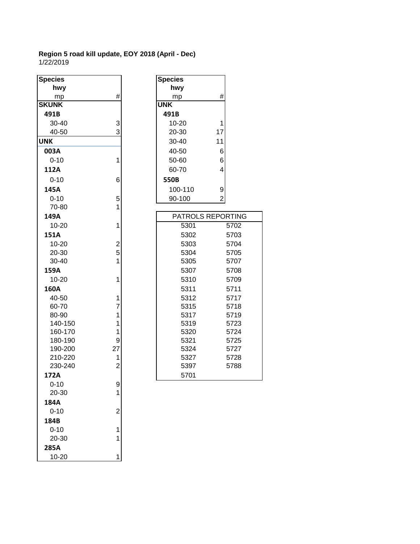| <b>Species</b> |                | <b>Species</b>           |
|----------------|----------------|--------------------------|
| hwy            |                | hwy                      |
| mp             | #              | #<br>mp                  |
| <b>SKUNK</b>   |                | <b>UNK</b>               |
| 491B           |                | 491B                     |
| 30-40          | 3              | 10-20<br>1               |
| 40-50          | 3              | 20-30<br>17              |
| <b>UNK</b>     |                | 11<br>30-40              |
| 003A           |                | 40-50<br>6               |
| $0 - 10$       | 1              | 50-60<br>6               |
| 112A           |                | 4<br>60-70               |
| $0 - 10$       | 6              | 550B                     |
| 145A           |                | 100-110<br>9             |
| $0 - 10$       | 5              | 90-100<br>$\overline{c}$ |
| 70-80          | 1              |                          |
| 149A           |                | <b>PATROLS REPC</b>      |
| 10-20          | 1              | 5301                     |
| <b>151A</b>    |                | 5302                     |
| 10-20          | $\overline{2}$ | 5303                     |
| 20-30          | 5              | 5304                     |
| 30-40          | 1              | 5305                     |
| 159A           |                | 5307                     |
| 10-20          | 1              | 5310                     |
| 160A           |                | 5311                     |
| 40-50          | 1              | 5312                     |
| 60-70          | $\overline{7}$ | 5315                     |
| 80-90          | 1              | 5317                     |
| 140-150        | 1              | 5319                     |
| 160-170        | 1              | 5320                     |
| 180-190        | 9              | 5321                     |
| 190-200        | 27             | 5324                     |
| 210-220        | 1              | 5327                     |
| 230-240        | $\overline{c}$ | 5397                     |
| 172A           |                | 5701                     |
| $0 - 10$       | 9              |                          |
| 20-30          | 1              |                          |
| 184A           |                |                          |
| $0 - 10$       | $\overline{c}$ |                          |
| 184B           |                |                          |
| $0 - 10$       | 1              |                          |
| 20-30          | 1              |                          |
| 285A           |                |                          |
| 10-20          | 1              |                          |

| pecies   |                | <b>Species</b>    |                |      |
|----------|----------------|-------------------|----------------|------|
| hwy      |                | hwy               |                |      |
| mp       | #              | mp                | #              |      |
| KUNK     |                | <b>UNK</b>        |                |      |
| 491B     |                | 491B              |                |      |
| 30-40    | 3              | 10-20             | 1              |      |
| 40-50    | 3              | 20-30             | 17             |      |
| NΚ       |                | 30-40             | 11             |      |
| 003A     |                | 40-50             | 6              |      |
| $0 - 10$ | 1              | 50-60             | 6              |      |
| 112A     |                | 60-70             | 4              |      |
| $0 - 10$ | 6              | 550B              |                |      |
| 145A     |                | 100-110           | 9              |      |
| $0 - 10$ | 5              | 90-100            | $\overline{2}$ |      |
| 70-80    | 1              |                   |                |      |
| 149A     |                | PATROLS REPORTING |                |      |
| 10-20    | 1              | 5301              |                | 5702 |
| 151A     |                | 5302              |                | 5703 |
| 10-20    | $\overline{c}$ | 5303              |                | 5704 |
| 20-30    | 5              | 5304              |                | 5705 |
| 30-40    | 1              | 5305              |                | 5707 |
| 159A     |                | 5307              |                | 5708 |
| 10-20    | 1              | 5310              |                | 5709 |
| 160A     |                | 5311              |                | 5711 |
| 40-50    | 1              | 5312              |                | 5717 |
| 60-70    | 7              | 5315              |                | 5718 |
| 80-90    | 1              | 5317              |                | 5719 |
| 140-150  | 1              | 5319              |                | 5723 |
| 160-170  | 1              | 5320              |                | 5724 |
| 180-190  | 9              | 5321              |                | 5725 |
| 190-200  | 27             | 5324              |                | 5727 |
| 210-220  | 1              | 5327              |                | 5728 |
| 230-240  | $\overline{2}$ | 5397              |                | 5788 |
| 172A     |                | 5701              |                |      |